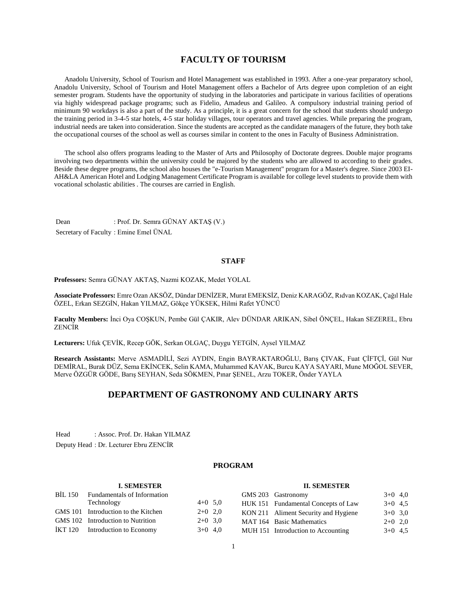## **FACULTY OF TOURISM**

 Anadolu University, School of Tourism and Hotel Management was established in 1993. After a one-year preparatory school, Anadolu University, School of Tourism and Hotel Management offers a Bachelor of Arts degree upon completion of an eight semester program. Students have the opportunity of studying in the laboratories and participate in various facilities of operations via highly widespread package programs; such as Fidelio, Amadeus and Galileo. A compulsory industrial training period of minimum 90 workdays is also a part of the study. As a principle, it is a great concern for the school that students should undergo the training period in 3-4-5 star hotels, 4-5 star holiday villages, tour operators and travel agencies. While preparing the program, industrial needs are taken into consideration. Since the students are accepted as the candidate managers of the future, they both take the occupational courses of the school as well as courses similar in content to the ones in Faculty of Business Administration.

 The school also offers programs leading to the Master of Arts and Philosophy of Doctorate degrees. Double major programs involving two departments within the university could be majored by the students who are allowed to according to their grades. Beside these degree programs, the school also houses the "e-Tourism Management" program for a Master's degree. Since 2003 EI-AH&LA American Hotel and Lodging Management Certificate Program is available for college level students to provide them with vocational scholastic abilities . The courses are carried in English.

Dean : Prof. Dr. Semra GÜNAY AKTAŞ (V.) Secretary of Faculty : Emine Emel ÜNAL

## **STAFF**

**Professors:** Semra GÜNAY AKTAŞ, Nazmi KOZAK, Medet YOLAL

**Associate Professors:** Emre Ozan AKSÖZ, Dündar DENİZER, Murat EMEKSİZ, Deniz KARAGÖZ, Rıdvan KOZAK, Çağıl Hale ÖZEL, Erkan SEZGİN, Hakan YILMAZ, Gökçe YÜKSEK, Hilmi Rafet YÜNCÜ

**Faculty Members:** İnci Oya COŞKUN, Pembe Gül ÇAKIR, Alev DÜNDAR ARIKAN, Sibel ÖNÇEL, Hakan SEZEREL, Ebru ZENCİR

**Lecturers:** Ufuk ÇEVİK, Recep GÖK, Serkan OLGAÇ, Duygu YETGİN, Aysel YILMAZ

**Research Assistants:** Merve ASMADİLİ, Sezi AYDIN, Engin BAYRAKTAROĞLU, Barış ÇIVAK, Fuat ÇİFTÇİ, Gül Nur DEMİRAL, Burak DÜZ, Sema EKİNCEK, Selin KAMA, Muhammed KAVAK, Burcu KAYA SAYARI, Mune MOĞOL SEVER, Merve ÖZGÜR GÖDE, Barış SEYHAN, Seda SÖKMEN, Pınar ŞENEL, Arzu TOKER, Önder YAYLA

## **DEPARTMENT OF GASTRONOMY AND CULINARY ARTS**

Head : Assoc. Prof. Dr. Hakan YILMAZ Deputy Head : Dr. Lecturer Ebru ZENCİR

## **PROGRAM**

#### **I. SEMESTER**

## **II. SEMESTER**

| BİL 150 | <b>Fundamentals of Information</b>  |           | GMS 203 Gastronomy                   | $3+0$ 4,0 |  |
|---------|-------------------------------------|-----------|--------------------------------------|-----------|--|
|         | Technology                          | $4+0$ 5.0 | HUK 151 Fundamental Concepts of Law  | $3+0$ 4.5 |  |
|         | GMS 101 Introduction to the Kitchen | $2+0$ 2,0 | KON 211 Aliment Security and Hygiene | $3+0$ 3.0 |  |
|         | GMS 102 Introduction to Nutrition   | $2+0$ 3.0 | MAT 164 Basic Mathematics            | $2+0$ 2,0 |  |
|         | IKT 120 Introduction to Economy     | $3+0$ 4,0 | MUH 151 Introduction to Accounting   | $3+0$ 4.5 |  |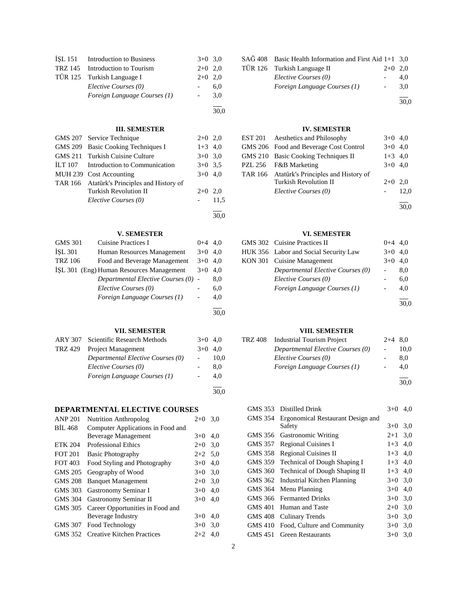|         | ISL 151 Introduction to Business | $3+0$ 3.0 |      |
|---------|----------------------------------|-----------|------|
| TRZ 145 | Introduction to Tourism          | $2+0$     | 2,0  |
| TÜR 125 | Turkish Language I               | $2+0$     | 2,0  |
|         | Elective Courses (0)             |           | 6,0  |
|         | Foreign Language Courses (1)     |           | 3,0  |
|         |                                  |           | 30,0 |
|         | <b>III. SEMESTER</b>             |           |      |
|         | GMS 207 Service Technique        | $2+$      |      |

|         | GMS 209 Basic Cooking Techniques I          | $1+3$ 4,0 |      |
|---------|---------------------------------------------|-----------|------|
|         | GMS 211 Turkish Cuisine Culture             | $3+0$ 3.0 |      |
| ILT 107 | Introduction to Communication               | $3+0$ 3.5 |      |
|         | MUH 239 Cost Accounting                     | $3+0$ 4,0 |      |
|         | TAR 166 Atatürk's Principles and History of |           |      |
|         | <b>Turkish Revolution II</b>                | $2+0$ 2.0 |      |
|         | Elective Courses (0)                        |           | 11.5 |
|         |                                             |           |      |

# **V. SEMESTER**<br>Cuisine Practices I

| <b>GMS 301</b> | <b>Cuisine Practices I</b>               | $0 + 4$ | 4.0  |
|----------------|------------------------------------------|---------|------|
| <b>ISL 301</b> | Human Resources Management               | $3+0$   | 4.0  |
| <b>TRZ 106</b> | Food and Beverage Management             | $3+0$   | 4.0  |
|                | ISL 301 (Eng) Human Resources Management | $3+0$   | 4,0  |
|                | Departmental Elective Courses (0)        |         | 8,0  |
|                | Elective Courses (0)                     |         | 6,0  |
|                | Foreign Language Courses (1)             |         | 4,0  |
|                |                                          |         | 30,0 |
|                |                                          |         |      |

## **VII. SEMESTER**

|         | ARY 307 Scientific Research Methods | $3+0$ | 4.0  |
|---------|-------------------------------------|-------|------|
| TRZ 429 | Project Management                  | $3+0$ | 4.0  |
|         | Departmental Elective Courses (0)   |       | 10,0 |
|         | Elective Courses (0)                |       | 8.0  |
|         | Foreign Language Courses (1)        |       | 4.0  |
|         |                                     |       | 30,0 |

## **DEPARTMENTAL ELECTIVE COURSES**

| <b>ANP 201</b> | <b>Nutrition Anthropolog</b>      | $2+0$     | 3,0 |
|----------------|-----------------------------------|-----------|-----|
| <b>BIL 468</b> | Computer Applications in Food and |           |     |
|                | <b>Beverage Management</b>        | $3+0$     | 4.0 |
| <b>ETK 204</b> | <b>Professional Ethics</b>        | $2+0$ 3.0 |     |
| <b>FOT 201</b> | <b>Basic Photography</b>          | $2+2$ 5,0 |     |
| FOT 403        | Food Styling and Photography      | $3+0$     | 4,0 |
| GMS 205        | Geography of Wood                 | $3+0$     | 3,0 |
| <b>GMS 208</b> | <b>Banquet Management</b>         | $2+0$     | 3.0 |
| GMS 303        | Gastronomy Seminar I              | $3+0$     | 4.0 |
| GMS 304        | Gastronomy Seminar II             | $3+0$     | 4.0 |
| GMS 305        | Career Opportunities in Food and  |           |     |
|                | Beverage Industry                 | $3+0$     | 4.0 |
| GMS 307        | Food Technology                   | $3+0$ 3.0 |     |
| GMS 352        | <b>Creative Kitchen Practices</b> | $2+2$     | 4.0 |
|                |                                   |           |     |

| $SA\ddot{G}$ 408 Basic Health Information and First Aid 1+1 3,0 |                          |      |
|-----------------------------------------------------------------|--------------------------|------|
| TÜR 126 Turkish Language II                                     | $2+0$ 2.0                |      |
| Elective Courses (0)                                            |                          | 4.0  |
| Foreign Language Courses (1)                                    | $\overline{\phantom{0}}$ | 3.0  |
|                                                                 |                          | 30.0 |

## **IV. SEMESTER**

| <b>EST 201</b> Aesthetics and Philosophy    | $3+0$ 4,0 |      |
|---------------------------------------------|-----------|------|
| GMS 206 Food and Beverage Cost Control      | $3+0$ 4,0 |      |
| GMS 210 Basic Cooking Techniques II         | $1+3$ 4,0 |      |
| PZL 256 F&B Marketing                       | $3+0$ 4,0 |      |
| TAR 166 Atatürk's Principles and History of |           |      |
| <b>Turkish Revolution II</b>                | $2+0$ 2.0 |      |
| Elective Courses (0)                        |           | 12.0 |
|                                             |           |      |

30,0

## **VI. SEMESTER**

| GMS 302 Cuisine Practices II          | $0 + 4$ | 4.0  |
|---------------------------------------|---------|------|
| HUK 356 Labor and Social Security Law | $3+0$   | 4.0  |
| KON 301 Cuisine Management            | $3+0$   | 4.0  |
| Departmental Elective Courses (0)     |         | 8.0  |
| Elective Courses (0)                  |         | 6,0  |
| Foreign Language Courses (1)          |         | 4.0  |
|                                       |         |      |
|                                       |         | 30.0 |

## **VIII. SEMESTER**

| TRZ 408 | <b>Industrial Tourism Project</b> | $2+4$ 8.0 |               |
|---------|-----------------------------------|-----------|---------------|
|         | Departmental Elective Courses (0) |           | 10.0          |
|         | Elective Courses (0)              |           | 8.0           |
|         | Foreign Language Courses (1)      |           | 4.0           |
|         |                                   |           | $\sim$ $\sim$ |

30,0

| GMS 353        | Distilled Drink                      | $3+0$   | 4,0 |
|----------------|--------------------------------------|---------|-----|
| GMS 354        | Ergonomical Restaurant Design and    |         |     |
|                | Safety                               | $3+0$   | 3,0 |
| GMS 356        | <b>Gastronomic Writing</b>           | $2 + 1$ | 3,0 |
| GMS 357        | Regional Cuisines I                  | $1 + 3$ | 4,0 |
| GMS 358        | <b>Regional Cuisines II</b>          | $1+3$   | 4.0 |
| GMS 359        | <b>Technical of Dough Shaping I</b>  | $1 + 3$ | 4,0 |
| <b>GMS 360</b> | <b>Technical of Dough Shaping II</b> | $1+3$   | 4,0 |
| <b>GMS 362</b> | Industrial Kitchen Planning          | $3+0$   | 3,0 |
| GMS 364        | Menu Planning                        | $3+0$   | 4.0 |
| <b>GMS 366</b> | <b>Fermanted Drinks</b>              | $3+0$   | 3,0 |
| <b>GMS 401</b> | Human and Taste                      | $2+0$   | 3,0 |
| <b>GMS 408</b> | Culinary Trends                      | $3+0$   | 3,0 |
| <b>GMS 410</b> | Food, Culture and Community          | $3+0$   | 3,0 |
| GMS 451        | <b>Green Restaurants</b>             | $3+0$   | 3.0 |
|                |                                      |         |     |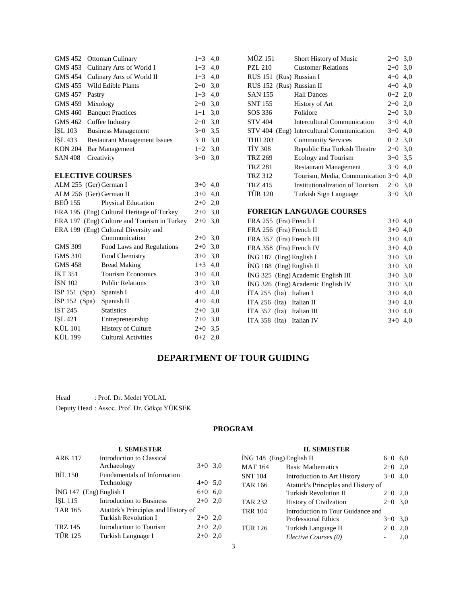| GMS 452        | <b>Ottoman Culinary</b>                     | $1+3$ 4.0 |     | <b>MÜZ 151</b>            | Short History of Music                    | $2+0$ 3,0 |  |
|----------------|---------------------------------------------|-----------|-----|---------------------------|-------------------------------------------|-----------|--|
| GMS 453        | Culinary Arts of World I                    | $1+3$     | 4,0 | <b>PZL 210</b>            | <b>Customer Relations</b>                 | $2+0$ 3,0 |  |
| <b>GMS 454</b> | Culinary Arts of World II                   | $1 + 3$   | 4,0 | RUS 151 (Rus) Russian I   |                                           | $4+0$ 4,0 |  |
| GMS 455        | Wild Edible Plants                          | $2 + 0$   | 3.0 | RUS 152 (Rus) Russian II  |                                           | $4+0$ 4,0 |  |
| <b>GMS 457</b> | Pastry                                      | $1 + 3$   | 4,0 | <b>SAN 155</b>            | <b>Hall Dances</b>                        | $0+2$ 2,0 |  |
| <b>GMS 459</b> | Mixology                                    | $2+0$     | 3,0 | <b>SNT 155</b>            | History of Art                            | $2+0$ 2,0 |  |
| <b>GMS 460</b> | <b>Banquet Practices</b>                    | $1+1$     | 3.0 | SOS 336                   | Folklore                                  | $2+0$ 3,0 |  |
| <b>GMS 462</b> | Coffee Industry                             | $2+0$     | 3,0 | <b>STV 404</b>            | Intercultural Communication               | $3+0$ 4,0 |  |
| <b>ISL 103</b> | <b>Business Management</b>                  | $3+0$     | 3.5 |                           | STV 404 (Eng) Intercultural Communication | $3+0$ 4,0 |  |
| ISL 433        | <b>Restaurant Management Issues</b>         | $3+0$     | 3,0 | <b>THU 203</b>            | <b>Community Services</b>                 | $0+2$ 3.0 |  |
| <b>KON 204</b> | <b>Bar Management</b>                       | $1+2$ 3,0 |     | <b>TİY 308</b>            | Republic Era Turkish Theatre              | $2+0$ 3,0 |  |
| <b>SAN 408</b> | Creativity                                  | $3+0$ 3.0 |     | <b>TRZ 269</b>            | Ecology and Tourism                       | $3+0$ 3,5 |  |
|                |                                             |           |     | <b>TRZ 281</b>            | <b>Restaurant Management</b>              | $3+0$ 4,0 |  |
|                | <b>ELECTIVE COURSES</b>                     |           |     | <b>TRZ 312</b>            | Tourism, Media, Communication 3+0 4,0     |           |  |
|                | ALM 255 (Ger) German I                      | $3+0$ 4,0 |     | <b>TRZ 415</b>            | Institutionalization of Tourism           | $2+0$ 3,0 |  |
|                | ALM 256 (Ger) German II                     | $3+0$ 4,0 |     | <b>TÜR 120</b>            | Turkish Sign Language                     | $3+0$ 3,0 |  |
| <b>BEÖ 155</b> | Physical Education                          | $2+0$ 2,0 |     |                           |                                           |           |  |
|                | ERA 195 (Eng) Cultural Heritage of Turkey   | $2+0$ 3,0 |     |                           | <b>FOREIGN LANGUAGE COURSES</b>           |           |  |
|                | ERA 197 (Eng) Culture and Tourism in Turkey | $2+0$ 3.0 |     | FRA 255 (Fra) French I    |                                           | $3+0$ 4,0 |  |
|                | ERA 199 (Eng) Cultural Diversity and        |           |     | FRA 256 (Fra) French II   |                                           | $3+0$ 4,0 |  |
|                | Communication                               | $2+0$ 3.0 |     | FRA 357 (Fra) French III  |                                           | $3+0$ 4,0 |  |
| <b>GMS 309</b> | Food Laws and Regulations                   | $2+0$ 3,0 |     | FRA 358 (Fra) French IV   |                                           | $3+0$ 4,0 |  |
| <b>GMS 310</b> | Food Chemistry                              | $3+0$     | 3,0 | İNG 187 (Eng) English I   |                                           | $3+0$ 3,0 |  |
| <b>GMS 458</b> | <b>Bread Making</b>                         | $1 + 3$   | 4,0 | İNG 188 (Eng) English II  |                                           | $3+0$ 3,0 |  |
| <b>IKT 351</b> | <b>Tourism Economics</b>                    | $3+0$ 4,0 |     |                           | İNG 325 (Eng) Academic English III        | $3+0$ 3,0 |  |
| <b>ISN 102</b> | <b>Public Relations</b>                     | $3+0$     | 3,0 |                           | İNG 326 (Eng) Academic English IV         | $3+0$ 3,0 |  |
| ISP 151 (Spa)  | Spanish I                                   | $4 + 0$   | 4,0 | İTA 255 (İta) Italian I   |                                           | $3+0$ 4,0 |  |
| ISP 152 (Spa)  | Spanish II                                  | $4 + 0$   | 4,0 | İTA 256 (İta) Italian II  |                                           | $3+0$ 4,0 |  |
| <b>IST 245</b> | <b>Statistics</b>                           | $2+0$     | 3,0 | İTA 357 (İta) Italian III |                                           | $3+0$ 4,0 |  |
| ISL 421        | Entrepreneurship                            | $2+0$ 3,0 |     | İTA 358 (İta) Italian IV  |                                           | $3+0$ 4,0 |  |
| <b>KÜL 101</b> | <b>History of Culture</b>                   | $2+0$ 3,5 |     |                           |                                           |           |  |
| <b>KÜL 199</b> | <b>Cultural Activities</b>                  | $0+2$ 2,0 |     |                           |                                           |           |  |
|                |                                             |           |     |                           |                                           |           |  |

# **DEPARTMENT OF TOUR GUIDING**

Head : Prof. Dr. Medet YOLAL Deputy Head : Assoc. Prof. Dr. Gökçe YÜKSEK

## **PROGRAM**

## **I. SEMESTER**

| <b>ARK 117</b>            | Introduction to Classical<br>Archaeology | $3+0$ 3.0      |
|---------------------------|------------------------------------------|----------------|
| <b>BIL 150</b>            | <b>Fundamentals of Information</b>       |                |
|                           | Technology                               | $4+0$ 5.0      |
| $ING 147$ (Eng) English I |                                          | 6,0<br>$6 + 0$ |
| ISL 115                   | <b>Introduction to Business</b>          | 2.0<br>$2+0$   |
| <b>TAR 165</b>            | Atatürk's Principles and History of      |                |
|                           | Turkish Revolution I                     | 2,0<br>$2+0$   |
| <b>TRZ 145</b>            | Introduction to Tourism                  | 2,0<br>$2+0$   |
| <b>TÜR 125</b>            | Turkish Language I                       | 2.0<br>$2+0$   |
|                           |                                          |                |

## **II. SEMESTER**

| ING 148 (Eng) English II |                                     | $6 + 0$ | 6.0 |
|--------------------------|-------------------------------------|---------|-----|
| <b>MAT 164</b>           | <b>Basic Mathematics</b>            | $2+0$   | 2,0 |
| <b>SNT 104</b>           | Introduction to Art History         | $3+0$   | 4.0 |
| <b>TAR 166</b>           | Atatürk's Principles and History of |         |     |
|                          | Turkish Revolution II               | $2+0$   | 2,0 |
| <b>TAR 232</b>           | <b>History of Civilzation</b>       | $2+0$   | 3,0 |
| <b>TRR 104</b>           | Introduction to Tour Guidance and   |         |     |
|                          | <b>Professional Ethics</b>          | $3+0$   | 3,0 |
| <b>TÜR 126</b>           | Turkish Language II                 | $2+0$   | 2,0 |
|                          | Elective Courses (0)                |         | 2.0 |
|                          |                                     |         |     |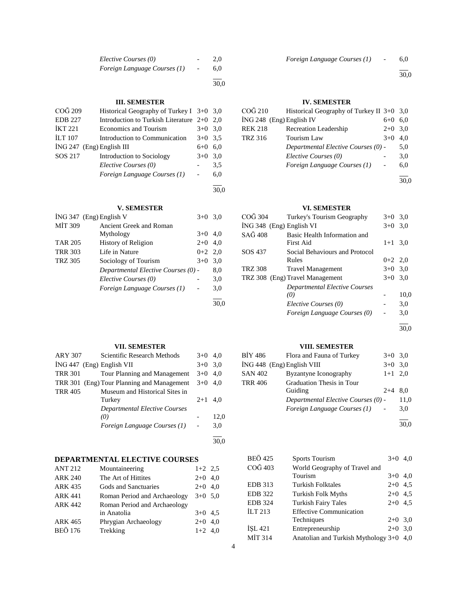| Elective Courses (0)         |                          | 2.0 |
|------------------------------|--------------------------|-----|
| Foreign Language Courses (1) | $\overline{\phantom{0}}$ | 6.0 |
|                              |                          |     |

30,0

## **III. SEMESTER**

| COG 209                     | Historical Geography of Turkey I $3+0$ 3,0 |           |     |
|-----------------------------|--------------------------------------------|-----------|-----|
| <b>EDB</b> 227              | Introduction to Turkish Literature $2+0$   |           | 2.0 |
| <b>IKT 221</b>              | <b>Economics and Tourism</b>               | $3+0$     | 3,0 |
| <b>ILT 107</b>              | Introduction to Communication              | $3+0$ 3.5 |     |
| $ING 247$ (Eng) English III |                                            | $6 + 0$   | 6.0 |
| SOS 217                     | Introduction to Sociology                  | $3+0$     | 3,0 |
|                             | Elective Courses (0)                       |           | 3.5 |
|                             | Foreign Language Courses (1)               |           | 6,0 |
|                             |                                            |           |     |
|                             |                                            |           |     |

## **V. SEMESTER**

| $3+0$ 3.0                           |      |
|-------------------------------------|------|
|                                     |      |
| $3+0$                               | 4.0  |
| $2+0$ 4.0                           |      |
| $0+2$ 2.0                           |      |
| $3+0$                               | 3,0  |
| Departmental Elective Courses (0) - | 8,0  |
|                                     | 3,0  |
|                                     | 3,0  |
|                                     | 30.0 |
|                                     |      |

## **VII. SEMESTER**

| <b>ARY 307</b> | Scientific Research Methods                | $3+0$     | 4.0  |
|----------------|--------------------------------------------|-----------|------|
|                | $ING 447$ (Eng) English VII                | $3+0$     | 3.0  |
| <b>TRR 301</b> | Tour Planning and Management               | $3+0$ 4.0 |      |
|                | TRR 301 (Eng) Tour Planning and Management | $3+0$ 4.0 |      |
| <b>TRR 405</b> | Museum and Historical Sites in             |           |      |
|                | Turkey                                     | $2+1$     | 4.0  |
|                | <b>Departmental Elective Courses</b>       |           |      |
|                | (0)                                        |           | 12,0 |
|                | Foreign Language Courses (1)               |           | 3,0  |
|                |                                            |           |      |

## **DEPARTMENTAL ELECTIVE COURSES**

| <b>ANT 212</b> | Mountaineering               | $1+2$ 2.5 |  |
|----------------|------------------------------|-----------|--|
| <b>ARK 240</b> | The Art of Hittites          | $2+0$ 4,0 |  |
| <b>ARK 435</b> | Gods and Sanctuaries         | $2+0$ 4.0 |  |
| <b>ARK 441</b> | Roman Period and Archaeology | $3+0$ 5.0 |  |
| <b>ARK 442</b> | Roman Period and Archaeology |           |  |
|                | in Anatolia                  | $3+0$ 4.5 |  |
| ARK 465        | Phrygian Archaeology         | $2+0$ 4.0 |  |
| <b>BEÖ 176</b> | Trekking                     | $1+2$ 4,0 |  |
|                |                              |           |  |

l 30,0

## **IV. SEMESTER**

| COĞ 210                  | Historical Geography of Turkey II $3+0$ 3,0 |           |      |
|--------------------------|---------------------------------------------|-----------|------|
| İNG 248 (Eng) English IV |                                             | 6+0       | 6.0  |
| REK 218                  | Recreation Leadership                       | $2+0$ 3.0 |      |
| TRZ 316                  | Tourism Law                                 | $3+0$     | 4.0  |
|                          | Departmental Elective Courses (0) -         |           | 5,0  |
|                          | Elective Courses (0)                        |           | 3,0  |
|                          | Foreign Language Courses (1)                |           | 6,0  |
|                          |                                             |           |      |
|                          |                                             |           | 30.0 |

## **VI. SEMESTER**

| COĞ 304                  | Turkey's Tourism Geography                | $3+0$ 3.0 |      |
|--------------------------|-------------------------------------------|-----------|------|
| ING 348 (Eng) English VI |                                           | $3+0$     | 3,0  |
| $SA\tilde{G}$ 408        | Basic Health Information and<br>First Aid | $1+1$     | 3,0  |
| SOS 437                  | Social Behaviours and Protocol            |           |      |
|                          | Rules                                     | $0+2$ 2,0 |      |
| <b>TRZ 308</b>           | Travel Management                         | $3+0$ 3.0 |      |
|                          | TRZ 308 (Eng) Travel Management           | $3+0$ 3.0 |      |
|                          | <b>Departmental Elective Courses</b>      |           |      |
|                          | (0)                                       |           | 10,0 |
|                          | Elective Courses (0)                      |           | 3,0  |
|                          | Foreign Language Courses (0)              |           | 3,0  |
|                          |                                           |           |      |

30,0

## **VIII. SEMESTER**

| BİY 486        | Flora and Fauna of Turkey           | $3+0$ 3.0 |      |
|----------------|-------------------------------------|-----------|------|
|                | $ING 448$ (Eng) English VIII        | $3+0$ 3.0 |      |
| <b>SAN 402</b> | Byzantyne Iconography               | $1+1$ 2.0 |      |
| <b>TRR 406</b> | Graduation Thesis in Tour           |           |      |
|                | Guiding                             | $2 + 4$   | 8.0  |
|                | Departmental Elective Courses (0) - |           | 11,0 |
|                | Foreign Language Courses (1)        |           | 3,0  |
|                |                                     |           |      |

30,0

| BEÖ 425        | <b>Sports Tourism</b>                     | $3+0$ 4,0 |  |
|----------------|-------------------------------------------|-----------|--|
| COĞ 403        | World Geography of Travel and             |           |  |
|                | Tourism                                   | $3+0$ 4,0 |  |
| EDB 313        | Turkish Folktales                         | $2+0$ 4,5 |  |
| <b>EDB</b> 322 | <b>Turkish Folk Myths</b>                 | $2+0$ 4.5 |  |
| <b>EDB 324</b> | <b>Turkish Fairy Tales</b>                | $2+0$ 4.5 |  |
| İLT 213        | <b>Effective Communication</b>            |           |  |
|                | Techniques                                | $2+0$ 3,0 |  |
| İSL 421        | Entrepreneurship                          | $2+0$ 3,0 |  |
| MİT 314        | Anatolian and Turkish Mythology $3+0$ 4,0 |           |  |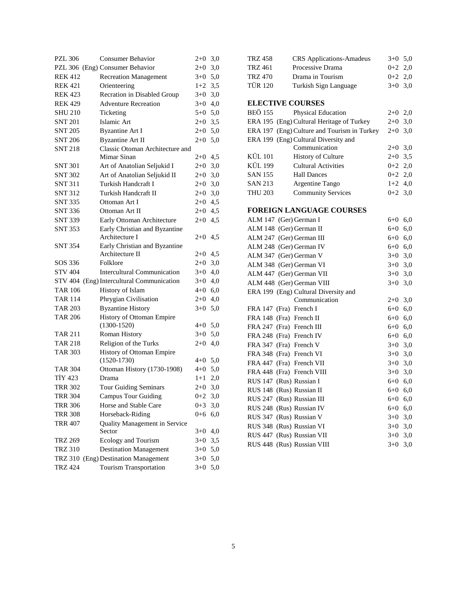| <b>PZL 306</b> | Consumer Behavior                                              | $2 + 0$        | 3,0        |
|----------------|----------------------------------------------------------------|----------------|------------|
|                | PZL 306 (Eng) Consumer Behavior                                | $2+0$          | 3,0        |
| <b>REK 412</b> | <b>Recreation Management</b>                                   | $3+0$ 5,0      |            |
| <b>REK 421</b> | Orienteering                                                   | $1+2$ 3,5      |            |
| <b>REK 423</b> | Recration in Disabled Group                                    | $3+0$          | 3,0        |
| <b>REK 429</b> | <b>Adventure Recreation</b>                                    | $3+0$          | 4,0        |
| <b>SHU 210</b> | Ticketing                                                      | $5+0$ 5,0      |            |
| <b>SNT 201</b> | Islamic Art                                                    | $2+0$ 3,5      |            |
| <b>SNT 205</b> | <b>Byzantine Art I</b>                                         | $2+0$ 5,0      |            |
| <b>SNT 206</b> | <b>Byzantine Art II</b>                                        | $2 + 0$        | 5,0        |
| <b>SNT 218</b> | Classic Otoman Architecture and                                |                |            |
|                | Mimar Sinan                                                    | $2+0$          | 4,5        |
| <b>SNT 301</b> | Art of Anatolian Seljukid I                                    | $2 + 0$        | 3,0        |
| <b>SNT 302</b> | Art of Anatolian Seljukid II                                   | $2 + 0$        | 3,0        |
| <b>SNT 311</b> | Turkish Handcraft I                                            | $2 + 0$        | 3,0        |
| <b>SNT 312</b> | Turkish Handcraft II                                           | $2 + 0$        | 3,0        |
| <b>SNT 335</b> | Ottoman Art I                                                  | $2 + 0$        | 4,5        |
| <b>SNT 336</b> | Ottoman Art II                                                 | $2 + 0$        | 4,5        |
| <b>SNT 339</b> | Early Ottoman Architecture                                     | $2 + 0$        | 4,5        |
| <b>SNT 353</b> | Early Christian and Byzantine                                  |                |            |
|                | Architecture I                                                 | $2+0$          | 4,5        |
| SNT 354        | Early Christian and Byzantine                                  |                |            |
|                | Architecture II                                                | $2+0$          | 4,5        |
| SOS 336        | Folklore                                                       | $2+0$          | 3,0        |
| STV 404        | <b>Intercultural Communication</b>                             | $3+0$          | 4,0        |
|                | STV 404 (Eng) Intercultural Communication                      | $3+0$          | 4,0        |
|                |                                                                |                |            |
| <b>TAR 106</b> | History of Islam                                               | $4 + 0$        | 6,0        |
| <b>TAR 114</b> | Phrygian Civilisation                                          | $2+0$          | 4,0        |
| <b>TAR 203</b> | <b>Byzantine History</b>                                       | $3+0$          | 5,0        |
| <b>TAR 206</b> | History of Ottoman Empire                                      |                |            |
|                | $(1300-1520)$                                                  | $4+0$ 5,0      |            |
| TAR 211        | Roman History                                                  | $3+0$ 5,0      |            |
| <b>TAR 218</b> | Religion of the Turks                                          | $2+0$          | 4,0        |
| <b>TAR 303</b> | History of Ottoman Empire                                      |                |            |
|                | $(1520-1730)$                                                  | $4+0$ 5,0      |            |
| <b>TAR 304</b> | Ottoman History (1730-1908)                                    | $4+0$ 5,0      |            |
| <b>TIY 423</b> | Drama                                                          | $1+1$          | 2,0        |
| <b>TRR 302</b> | <b>Tour Guiding Seminars</b>                                   | $2+0$ 3,0      |            |
| <b>TRR 304</b> | <b>Campus Tour Guiding</b>                                     | $0 + 2$        | 3,0        |
| <b>TRR 306</b> | Horse and Stable Care                                          | $0 + 3$        | 3,0        |
| <b>TRR 308</b> | Horseback-Riding                                               | $0 + 6$        | 6,0        |
| <b>TRR 407</b> | Quality Management in Service                                  |                |            |
|                | Sector                                                         | $3+0$          | 4,0        |
| <b>TRZ 269</b> | Ecology and Tourism                                            | $3+0$          | 3,5        |
| <b>TRZ 310</b> | <b>Destination Management</b>                                  | $3+0$          | 5,0        |
| <b>TRZ 424</b> | TRZ 310 (Eng) Destination Management<br>Tourism Transportation | $3+0$<br>$3+0$ | 5,0<br>5,0 |

| <b>TRZ 458</b> | <b>CRS</b> Applications-Amadeus             | $3+0$   | 5,0 |
|----------------|---------------------------------------------|---------|-----|
| <b>TRZ 461</b> | Processive Drama                            | $0 + 2$ | 2,0 |
| <b>TRZ 470</b> | Drama in Tourism                            | $0 + 2$ | 2,0 |
| <b>TÜR 120</b> | Turkish Sign Language                       | $3+0$   | 3,0 |
|                |                                             |         |     |
|                | <b>ELECTIVE COURSES</b>                     |         |     |
| <b>BEÖ 155</b> | Physical Education                          | $2+0$   | 2,0 |
|                | ERA 195 (Eng) Cultural Heritage of Turkey   | $2 + 0$ | 3,0 |
|                | ERA 197 (Eng) Culture and Tourism in Turkey | $2+0$   | 3,0 |
|                | ERA 199 (Eng) Cultural Diversity and        |         |     |
|                | Communication                               | $2+0$   | 3,0 |
| KÜL 101        | <b>History of Culture</b>                   | $2 + 0$ | 3,5 |
| <b>KÜL 199</b> | <b>Cultural Activities</b>                  | $0 + 2$ | 2,0 |
| <b>SAN 155</b> | <b>Hall Dances</b>                          | $0 + 2$ | 2,0 |
| <b>SAN 213</b> | Argentine Tango                             | $1+2$   | 4,0 |
| <b>THU 203</b> | <b>Community Services</b>                   | $0 + 2$ | 3,0 |
|                |                                             |         |     |
|                | FOREIGN LANGUAGE COURSES                    |         |     |
|                | ALM 147 (Ger) German I                      | 6+0     | 6,0 |
|                | ALM 148 (Ger) German II                     | $6 + 0$ | 6,0 |
|                | ALM 247 (Ger) German III                    | $6 + 0$ | 6,0 |
|                | ALM 248 (Ger) German IV                     | $6 + 0$ | 6,0 |
|                | ALM 347 (Ger) German V                      | $3+0$   | 3,0 |
|                | ALM 348 (Ger) German VI                     | $3+0$   | 3,0 |
|                | ALM 447 (Ger) German VII                    | $3+0$   | 3,0 |
|                | ALM 448 (Ger) German VIII                   | $3+0$   | 3,0 |
|                | ERA 199 (Eng) Cultural Diversity and        |         |     |
|                | Communication                               | $2+0$   | 3,0 |
| FRA 147        | (Fra) French I                              | $6+0$   | 6,0 |
|                | FRA 148 (Fra) French II                     | $6 + 0$ | 6,0 |
|                | FRA 247 (Fra) French III                    | $6 + 0$ | 6,0 |
| <b>FRA 248</b> | (Fra) French IV                             | $6 + 0$ | 6,0 |
| FRA 347        | (Fra) French V                              | $3+0$   | 3,0 |
|                | FRA 348 (Fra) French VI                     | $3+0$   | 3,0 |
| FRA 447        | (Fra) French VII                            | $3+0$   | 3,0 |
|                | FRA 448 (Fra) French VIII                   | $3+0$   | 3,0 |
|                | RUS 147 (Rus) Russian I                     | $6 + 0$ | 6,0 |
|                | RUS 148 (Rus) Russian II                    | $6 + 0$ | 6,0 |
| <b>RUS 247</b> | (Rus) Russian III                           | $6 + 0$ | 6,0 |
|                | RUS 248 (Rus) Russian IV                    | $6 + 0$ | 6,0 |
|                | RUS 347 (Rus) Russian V                     | $3+0$   | 3,0 |
|                | RUS 348 (Rus) Russian VI                    | $3+0$   | 3,0 |
|                | RUS 447 (Rus) Russian VII                   | $3+0$   | 3,0 |
| <b>RUS 448</b> | (Rus) Russian VIII                          | $3+0$   | 3,0 |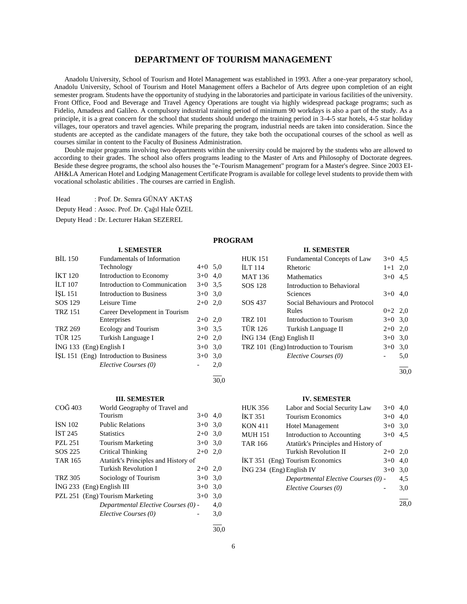## **DEPARTMENT OF TOURISM MANAGEMENT**

 Anadolu University, School of Tourism and Hotel Management was established in 1993. After a one-year preparatory school, Anadolu University, School of Tourism and Hotel Management offers a Bachelor of Arts degree upon completion of an eight semester program. Students have the opportunity of studying in the laboratories and participate in various facilities of the university. Front Office, Food and Beverage and Travel Agency Operations are tought via highly widespread package programs; such as Fidelio, Amadeus and Galileo. A compulsory industrial training period of minimum 90 workdays is also a part of the study. As a principle, it is a great concern for the school that students should undergo the training period in 3-4-5 star hotels, 4-5 star holiday villages, tour operators and travel agencies. While preparing the program, industrial needs are taken into consideration. Since the students are accepted as the candidate managers of the future, they take both the occupational courses of the school as well as courses similar in content to the Faculty of Business Administration.

 Double major programs involving two departments within the university could be majored by the students who are allowed to according to their grades. The school also offers programs leading to the Master of Arts and Philosophy of Doctorate degrees. Beside these degree programs, the school also houses the "e-Tourism Management" program for a Master's degree. Since 2003 EI-AH&LA American Hotel and Lodging Management Certificate Program is available for college level students to provide them with vocational scholastic abilities . The courses are carried in English.

Head : Prof. Dr. Semra GÜNAY AKTAŞ

Deputy Head : Assoc. Prof. Dr. Çağıl Hale ÖZEL

Deputy Head : Dr. Lecturer Hakan SEZEREL

## **PROGRAM**

| <b>BIL 150</b>            | <b>Fundamentals of Information</b>     |           |     |
|---------------------------|----------------------------------------|-----------|-----|
|                           | Technology                             | $4+0$ 5.0 |     |
| <b>IKT 120</b>            | Introduction to Economy                | $3+0$     | 4,0 |
| <b>ILT 107</b>            | Introduction to Communication          | $3+0$ 3.5 |     |
| ISL 151                   | <b>Introduction to Business</b>        | $3+0$     | 3,0 |
| SOS 129                   | Leisure Time                           | $2+0$     | 2.0 |
| <b>TRZ 151</b>            | Career Development in Tourism          |           |     |
|                           | Enterprises                            | $2+0$ 2,0 |     |
| <b>TRZ 269</b>            | Ecology and Tourism                    | $3+0$ 3.5 |     |
| <b>TÜR 125</b>            | Turkish Language I                     | $2+0$     | 2,0 |
| $ING 133$ (Eng) English I |                                        | $3+0$     | 3.0 |
|                           | ISL 151 (Eng) Introduction to Business | $3+0$     | 3.0 |
|                           | Elective Courses (0)                   |           | 2,0 |
|                           |                                        |           |     |

**I. SEMESTER**

## **III. SEMESTER**

| COG 403        | World Geography of Travel and       |           |     |
|----------------|-------------------------------------|-----------|-----|
|                | Tourism                             | $3+0$     | 4.0 |
| <b>ISN 102</b> | <b>Public Relations</b>             | $3+0$     | 3,0 |
| <b>IST 245</b> | <b>Statistics</b>                   | $2+0$     | 3,0 |
| PZL 251        | <b>Tourism Marketing</b>            | $3+0$     | 3,0 |
| SOS 225        | Critical Thinking                   | $2+0$     | 2.0 |
| <b>TAR 165</b> | Atatürk's Principles and History of |           |     |
|                | Turkish Revolution I                | $2+0$ 2,0 |     |
| <b>TRZ 305</b> | Sociology of Tourism                | $3+0$     | 3,0 |
|                | $ING 233$ (Eng) English III         | $3+0$     | 3.0 |
|                | PZL 251 (Eng) Tourism Marketing     | $3+0$     | 3.0 |
|                | Departmental Elective Courses (0) - |           | 4,0 |
|                | Elective Courses (0)                |           | 3,0 |
|                |                                     |           |     |

## **II. SEMESTER**

| <b>HUK 151</b>             | Fundamental Concepts of Law           | $3+0$     | 4,5 |
|----------------------------|---------------------------------------|-----------|-----|
| <b>ILT</b> 114             | Rhetoric                              | $1 + 1$   | 2,0 |
| <b>MAT 136</b>             | <b>Mathematics</b>                    | $3+0$     | 4.5 |
| SOS 128                    | Introduction to Behavioral            |           |     |
|                            | Sciences                              | $3+0$     | 4.0 |
| SOS 437                    | Social Behaviours and Protocol        |           |     |
|                            | Rules                                 | $0+2$ 2,0 |     |
| <b>TRZ 101</b>             | Introduction to Tourism               | $3+0$ 3.0 |     |
| <b>TÜR 126</b>             | Turkish Language II                   | $2+0$ 2,0 |     |
| $ING 134$ (Eng) English II |                                       | $3+0$ 3.0 |     |
|                            | TRZ 101 (Eng) Introduction to Tourism | $3+0$     | 3,0 |
|                            | Elective Courses (0)                  |           | 5,0 |
|                            |                                       |           |     |

30,0

## **IV. SEMESTER**

| <b>HUK 356</b>             | Labor and Social Security Law       | $3+0$ | 4.0 |
|----------------------------|-------------------------------------|-------|-----|
| <b>IKT 351</b>             | <b>Tourism Economics</b>            | $3+0$ | 4.0 |
| <b>KON 411</b>             | <b>Hotel Management</b>             | $3+0$ | 3,0 |
| <b>MUH 151</b>             | Introduction to Accounting          | $3+0$ | 4,5 |
| <b>TAR 166</b>             | Atatürk's Principles and History of |       |     |
|                            | Turkish Revolution II               | $2+0$ | 2,0 |
|                            | IKT 351 (Eng) Tourism Economics     | $3+0$ | 4.0 |
| $ING 234$ (Eng) English IV |                                     | $3+0$ | 3,0 |
|                            | Departmental Elective Courses (0) - |       | 4,5 |
|                            | Elective Courses (0)                |       | 3,0 |
|                            |                                     |       |     |

28,0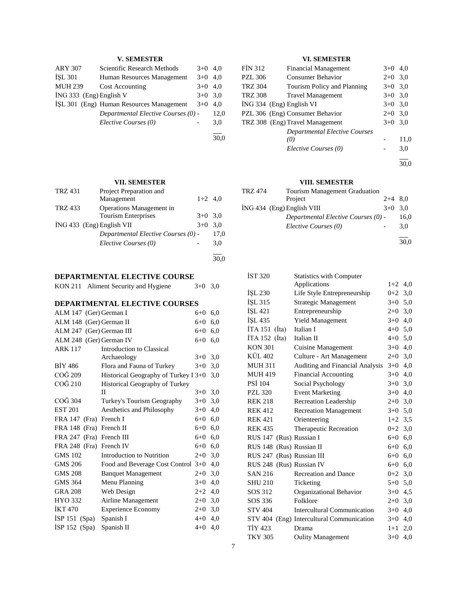## **V. SEMESTER**

| <b>ARY 307</b>          | Scientific Research Methods              | $3+0$ | 4.0  |
|-------------------------|------------------------------------------|-------|------|
| <b>İSL 301</b>          | Human Resources Management               | $3+0$ | 4.0  |
| <b>MUH 239</b>          | Cost Accounting                          | $3+0$ | 4.0  |
| ING 333 (Eng) English V |                                          | $3+0$ | 3.0  |
|                         | ISL 301 (Eng) Human Resources Management | $3+0$ | 4.0  |
|                         | Departmental Elective Courses (0) -      |       | 12.0 |
|                         | Elective Courses (0)                     |       | 3,0  |
|                         |                                          |       |      |

**VII. SEMESTER**

30,0

| <b>TRZ 431</b> | Project Preparation and             |           |      |
|----------------|-------------------------------------|-----------|------|
|                | Management                          | $1+2$ 4.0 |      |
| <b>TRZ 433</b> | Operations Management in            |           |      |
|                | <b>Tourism Enterprises</b>          | $3+0$ 3.0 |      |
|                | $ING 433$ (Eng) English VII         | $3+0$     | 3.0  |
|                | Departmental Elective Courses (0) - |           | 17,0 |
|                | Elective Courses (0)                |           | 3,0  |
|                |                                     |           |      |

## **DEPARTMENTAL ELECTIVE COURSE**

| KON 211 Aliment Security and Hygiene | $3+0$ 3,0 |  |
|--------------------------------------|-----------|--|
|                                      |           |  |

## **DEPARTMENTAL ELECTIVE COURSES**

| ALM 147 (Ger) German I   |                                      | $6 + 0$ | 6,0 |
|--------------------------|--------------------------------------|---------|-----|
| ALM 148 (Ger) German II  |                                      | $6 + 0$ | 6,0 |
| ALM 247 (Ger) German III |                                      | $6 + 0$ | 6,0 |
| ALM 248 (Ger) German IV  |                                      | $6 + 0$ | 6,0 |
| <b>ARK 117</b>           | Introduction to Classical            |         |     |
|                          | Archaeology                          | $3+0$   | 3,0 |
| <b>BIY 486</b>           | Flora and Fauna of Turkey            | $3+0$   | 3,0 |
| COĞ 209                  | Historical Geography of Turkey I 3+0 |         | 3,0 |
| COĞ 210                  | Historical Geography of Turkey       |         |     |
|                          | П                                    | $3+0$   | 3,0 |
| COĞ 304                  | Turkey's Tourism Geography           | $3+0$   | 3,0 |
| <b>EST 201</b>           | Aesthetics and Philosophy            | $3+0$   | 4,0 |
| FRA 147 (Fra) French I   |                                      | $6 + 0$ | 6,0 |
| FRA 148 (Fra) French II  |                                      | $6 + 0$ | 6,0 |
| FRA 247 (Fra) French III |                                      | 6+0     | 6,0 |
| FRA 248 (Fra) French IV  |                                      | 6+0     | 6,0 |
| <b>GMS 102</b>           | Introduction to Nutrition            | $2+0$   | 3,0 |
| GMS 206                  | Food and Beverage Cost Control 3+0   |         | 4,0 |
| <b>GMS 208</b>           | <b>Banquet Management</b>            | $2+0$   | 3,0 |
| <b>GMS 364</b>           | Menu Planning                        | $3+0$   | 4,0 |
| <b>GRA 208</b>           | Web Design                           | $2+2$   | 4,0 |
| HYO 332                  | Airline Management                   | $2+0$   | 3,0 |
| <b>IKT 470</b>           | <b>Experience Economy</b>            | $2+0$   | 3,0 |
| $ISP 151$ (Spa)          | Spanish I                            | $4 + 0$ | 4,0 |
| ISP 152 (Spa)            | Spanish II                           | $4 + 0$ | 4,0 |
|                          |                                      |         |     |

## **VI. SEMESTER**

| <b>FIN 312</b> | <b>Financial Management</b>          | $3+0$ 4,0 |      |
|----------------|--------------------------------------|-----------|------|
| <b>PZL 306</b> | <b>Consumer Behavior</b>             | $2+0$ 3,0 |      |
| <b>TRZ 304</b> | Tourism Policy and Planning          | $3+0$ 3.0 |      |
| <b>TRZ 308</b> | <b>Travel Management</b>             | $3+0$ 3.0 |      |
|                | $ING 334$ (Eng) English VI           | $3+0$ 3.0 |      |
|                | PZL 306 (Eng) Consumer Behavior      | $2+0$ 3.0 |      |
|                | TRZ 308 (Eng) Travel Management      | $3+0$ 3.0 |      |
|                | <b>Departmental Elective Courses</b> |           |      |
|                | (0)                                  |           | 11,0 |
|                | Elective Courses (0)                 |           | 3,0  |
|                |                                      |           |      |

l 30,0

## **VIII. SEMESTER**

| <b>TRZ 474</b> | <b>Tourism Management Graduation</b> |           |      |
|----------------|--------------------------------------|-----------|------|
|                | Project                              | $2+4$ 8.0 |      |
|                | $ING 434$ (Eng) English VIII         | $3+0$ 3.0 |      |
|                | Departmental Elective Courses (0) -  |           | 16,0 |
|                | Elective Courses (0)                 |           | 3.0  |
|                |                                      |           |      |

| IST 320                   | <b>Statistics with Computer</b>    |           |     |
|---------------------------|------------------------------------|-----------|-----|
|                           | Applications                       | $1+2$ 4,0 |     |
| ISL 230                   | Life Style Entrepreneurship        | $0+2$     | 3,0 |
| İŞL 315                   | Strategic Management               | $3+0$ 5,0 |     |
| <b>ISL 421</b>            | Entrepreneurship                   | $2+0$ 3,0 |     |
| <b>İSL 435</b>            | <b>Yield Management</b>            | $3+0$ 4,0 |     |
| İTA 151<br>(Ita)          | Italian I                          | $4+0$ 5,0 |     |
| $ITA 152$ (Ita)           | Italian II                         | $4+0$ 5,0 |     |
| <b>KON 301</b>            | <b>Cuisine Management</b>          | $3+0$ 4,0 |     |
| <b>KÜL 402</b>            | Culture - Art Management           | $2+0$ 3,0 |     |
| <b>MUH 311</b>            | Auditing and Financial Analysis    | $3+0$ 4,0 |     |
| <b>MUH 419</b>            | <b>Financial Accounting</b>        | $3+0$ 4,0 |     |
| PSİ 104                   | Social Psychology                  | $3+0$ 3,0 |     |
| <b>PZL 320</b>            | <b>Event Marketing</b>             | $3+0$ 4,0 |     |
| <b>REK 218</b>            | Recreation Leadership              | $2+0$ 3,0 |     |
| <b>REK 412</b>            | <b>Recreation Management</b>       | $3+0$ 5,0 |     |
| <b>REK 421</b>            | Orienteering                       | $1+2$ 3,5 |     |
| <b>REK 435</b>            | Therapeutic Recreation             | $0+2$ 3,0 |     |
| RUS 147 (Rus) Russian I   |                                    | $6+0$ 6,0 |     |
| RUS 148 (Rus) Russian II  |                                    | $6+0$ 6,0 |     |
| RUS 247 (Rus) Russian III |                                    | $6+0$ 6,0 |     |
| RUS 248 (Rus) Russian IV  |                                    | $6+0$ 6,0 |     |
| <b>SAN 216</b>            | <b>Recreation and Dance</b>        | $0+2$ 3,0 |     |
| <b>SHU 210</b>            | Ticketing                          | $5+0$ 5,0 |     |
| SOS 312                   | Organizational Behavior            | $3+0$ 4,5 |     |
| SOS 336                   | Folklore                           | $2+0$ 3,0 |     |
| <b>STV 404</b>            | <b>Intercultural Communication</b> | $3+0$ 4,0 |     |
| <b>STV 404</b>            | (Eng) Intercultural Communication  | $3+0$     | 4,0 |
| <b>TİY 423</b>            | Drama                              | $1+1$     | 2,0 |
| <b>TKY 305</b>            | <b>Oulity Management</b>           | $3+0$     | 4,0 |
|                           |                                    |           |     |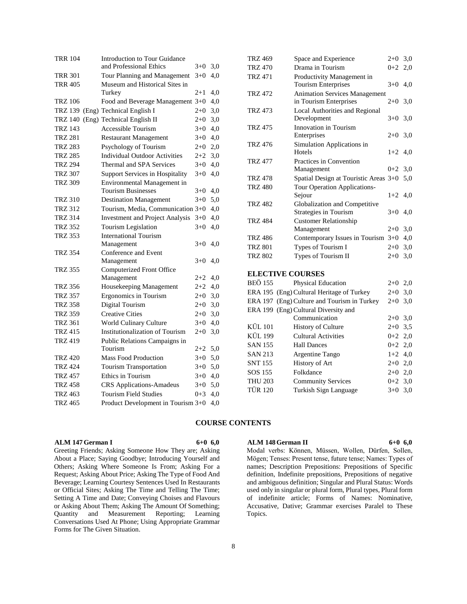| <b>TRR 104</b> | <b>Introduction to Tour Guidance</b><br>and Professional Ethics | $3+0$   | 3,0 |
|----------------|-----------------------------------------------------------------|---------|-----|
| <b>TRR 301</b> | Tour Planning and Management                                    | $3+0$   | 4.0 |
| <b>TRR 405</b> | Museum and Historical Sites in                                  |         |     |
|                | Turkey                                                          | $2+1$   | 4,0 |
| <b>TRZ 106</b> | Food and Beverage Management 3+0                                |         | 4,0 |
| <b>TRZ 139</b> | (Eng) Technical English I                                       | $2+0$   | 3,0 |
|                | TRZ 140 (Eng) Technical English II                              | $2+0$   | 3,0 |
| <b>TRZ 143</b> | Accessible Tourism                                              | $3+0$   | 4,0 |
| <b>TRZ 281</b> | <b>Restaurant Management</b>                                    | $3+0$   | 4,0 |
| <b>TRZ 283</b> | Psychology of Tourism                                           | $2+0$   | 2,0 |
| <b>TRZ 285</b> | <b>Individual Outdoor Activities</b>                            | $2+2$   | 3,0 |
| <b>TRZ 294</b> | Thermal and SPA Services                                        | $3+0$   | 4,0 |
| TRZ 307        | <b>Support Services in Hospitality</b>                          | $3+0$   | 4,0 |
| <b>TRZ 309</b> | Environmental Management in                                     |         |     |
|                | <b>Tourism Businesses</b>                                       | $3+0$   | 4,0 |
| <b>TRZ 310</b> | <b>Destination Management</b>                                   | $3+0$   | 5,0 |
| <b>TRZ 312</b> | Tourism, Media, Communication 3+0                               |         | 4,0 |
| <b>TRZ 314</b> | <b>Investment and Project Analysis</b>                          | $3+0$   | 4,0 |
| <b>TRZ 352</b> | Tourism Legislation                                             | $3+0$   | 4,0 |
| <b>TRZ 353</b> | <b>International Tourism</b>                                    |         |     |
|                | Management                                                      | $3+0$   | 4,0 |
| <b>TRZ 354</b> | Conference and Event                                            |         |     |
|                | Management                                                      | $3+0$   | 4,0 |
| <b>TRZ 355</b> | Computerized Front Office                                       |         |     |
|                | Management                                                      | $2 + 2$ | 4,0 |
| <b>TRZ 356</b> | Housekeeping Management                                         | $2 + 2$ | 4,0 |
| <b>TRZ 357</b> | Ergonomics in Tourism                                           | $2+0$   | 3,0 |
| <b>TRZ 358</b> | Digital Tourism                                                 | $2+0$   | 3,0 |
| <b>TRZ 359</b> | <b>Creative Cities</b>                                          | $2+0$   | 3,0 |
| <b>TRZ 361</b> | World Culinary Culture                                          | $3+0$   | 4,0 |
| <b>TRZ 415</b> | <b>Institutionalization of Tourism</b>                          | $2+0$   | 3,0 |
| <b>TRZ 419</b> | Public Relations Campaigns in                                   |         |     |
|                | Tourism                                                         | 2+2     | 5,0 |
| <b>TRZ 420</b> | <b>Mass Food Production</b>                                     | $3+0$   | 5,0 |
| <b>TRZ 424</b> | <b>Tourism Transportation</b>                                   | $3+0$   | 5,0 |
| <b>TRZ 457</b> | Ethics in Tourism                                               | $3+0$   | 4,0 |
| <b>TRZ 458</b> | <b>CRS</b> Applications-Amadeus                                 | $3+0$   | 5,0 |
| TRZ 463        | <b>Tourism Field Studies</b>                                    | $0 + 3$ | 4.0 |
| <b>TRZ 465</b> | Product Development in Tourism 3+0                              |         | 4.0 |

| <b>TRZ 469</b>          | Space and Experience                        | $2+0$ 3,0 |     |  |  |  |  |  |
|-------------------------|---------------------------------------------|-----------|-----|--|--|--|--|--|
| <b>TRZ 470</b>          | Drama in Tourism                            | $0 + 2$   | 2,0 |  |  |  |  |  |
| <b>TRZ 471</b>          | Productivity Management in                  |           |     |  |  |  |  |  |
|                         | <b>Tourism Enterprises</b>                  | $3+0$     | 4,0 |  |  |  |  |  |
| <b>TRZ 472</b>          | <b>Animation Services Management</b>        |           |     |  |  |  |  |  |
|                         | in Tourism Enterprises                      | $2+0$     | 3,0 |  |  |  |  |  |
| <b>TRZ 473</b>          | Local Authorities and Regional              |           |     |  |  |  |  |  |
|                         | Development                                 | $3+0$     | 3,0 |  |  |  |  |  |
| <b>TRZ 475</b>          | Innovation in Tourism                       |           |     |  |  |  |  |  |
|                         | Enterprises                                 | $2 + 0$   | 3,0 |  |  |  |  |  |
| <b>TRZ 476</b>          | Simulation Applications in<br>Hotels        |           |     |  |  |  |  |  |
|                         | Practices in Convention                     | $1+2$ 4,0 |     |  |  |  |  |  |
| <b>TRZ 477</b>          | Management                                  | $0 + 2$   | 3,0 |  |  |  |  |  |
| <b>TRZ 478</b>          | Spatial Design at Touristic Areas 3+0       |           | 5,0 |  |  |  |  |  |
| <b>TRZ 480</b>          | Tour Operation Applications-                |           |     |  |  |  |  |  |
|                         | Sejour                                      | $1+2$     | 4,0 |  |  |  |  |  |
| <b>TRZ 482</b>          | Globalization and Competitive               |           |     |  |  |  |  |  |
|                         | Strategies in Tourism                       | $3+0$     | 4,0 |  |  |  |  |  |
| <b>TRZ 484</b>          | <b>Customer Relationship</b>                |           |     |  |  |  |  |  |
|                         | Management                                  | $2+0$     | 3,0 |  |  |  |  |  |
| <b>TRZ 486</b>          | Contemporary Issues in Tourism 3+0          |           | 4,0 |  |  |  |  |  |
| <b>TRZ 801</b>          | Types of Tourism I                          | $2+0$     | 3,0 |  |  |  |  |  |
| <b>TRZ 802</b>          | Types of Tourism II                         | $2+0$     | 3,0 |  |  |  |  |  |
|                         |                                             |           |     |  |  |  |  |  |
| <b>ELECTIVE COURSES</b> |                                             |           |     |  |  |  |  |  |
| <b>BEÖ 155</b>          | Physical Education                          | $2+0$     | 2,0 |  |  |  |  |  |
|                         | ERA 195 (Eng) Cultural Heritage of Turkey   | $2+0$     | 3,0 |  |  |  |  |  |
|                         | ERA 197 (Eng) Culture and Tourism in Turkey | $2+0$     | 3,0 |  |  |  |  |  |
|                         | ERA 199 (Eng) Cultural Diversity and        |           |     |  |  |  |  |  |
|                         | Communication                               | $2+0$     | 3,0 |  |  |  |  |  |
| <b>KÜL 101</b>          | <b>History of Culture</b>                   | $2 + 0$   | 3,5 |  |  |  |  |  |
| <b>KÜL 199</b>          | <b>Cultural Activities</b>                  | $0+2$ 2,0 |     |  |  |  |  |  |
| <b>SAN 155</b>          | <b>Hall Dances</b>                          | $0+2$ 2,0 |     |  |  |  |  |  |
| <b>SAN 213</b>          | Argentine Tango                             | $1+2$ 4,0 |     |  |  |  |  |  |
| <b>SNT 155</b>          | History of Art                              | $2+0$ 2,0 |     |  |  |  |  |  |
| SOS 155                 | Folkdance                                   | $2+0$ 2,0 |     |  |  |  |  |  |
| <b>THU 203</b>          | <b>Community Services</b>                   | $0 + 2$   | 3,0 |  |  |  |  |  |
| <b>TÜR 120</b>          | Turkish Sign Language                       | $3+0$     | 3,0 |  |  |  |  |  |

## **COURSE CONTENTS**

## **ALM 147 German I 6+0 6,0**

Greeting Friends; Asking Someone How They are; Asking About a Place; Saying Goodbye; Introducing Yourself and Others; Asking Where Someone Is From; Asking For a Request; Asking About Price; Asking The Type of Food And Beverage; Learning Courtesy Sentences Used In Restaurants or Official Sites; Asking The Time and Telling The Time; Setting A Time and Date; Conveying Choises and Flavours or Asking About Them; Asking The Amount Of Something; Quantity and Measurement Reporting; Learning Conversations Used At Phone; Using Appropriate Grammar Forms for The Given Situation.

## **ALM 148 German II 6+0 6,0**

Modal verbs: Können, Müssen, Wollen, Dürfen, Sollen, Mögen; Tenses: Present tense, future tense; Names: Types of names; Description Prepositions: Prepositions of Specific definition, Indefinite prepositions, Prepositions of negative and ambiguous definition; Singular and Plural Status: Words used only in singular or plural form, Plural types, Plural form of indefinite article; Forms of Names: Nominative, Accusative, Dative; Grammar exercises Paralel to These Topics.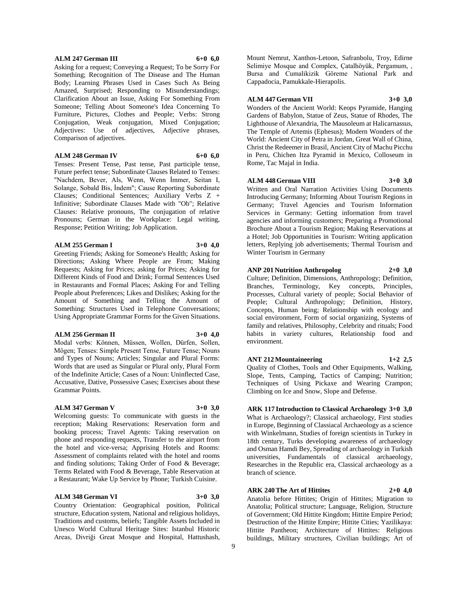## **ALM 247 German III 6+0 6,0**

Asking for a request; Conveying a Request; To be Sorry For Something; Recognition of The Disease and The Human Body; Learning Phrases Used in Cases Such As Being Amazed, Surprised; Responding to Misunderstandings; Clarification About an Issue, Asking For Something From Someone; Telling About Someone's Idea Concerning To Furniture, Pictures, Clothes and People; Verbs: Strong Conjugation, Weak conjugation, Mixed Conjugation; Adjectives: Use of adjectives, Adjective phrases, Comparison of adjectives.

## **ALM 248 German IV 6+0 6,0**

Tenses: Present Tense, Past tense, Past participle tense, Future perfect tense; Subordinate Clauses Related to Tenses: "Nachdem, Bever, Als, Wenn, Wenn İmmer, Seitan I, Solange, Sobald Bis, İndem"; Cause Reporting Subordinate Clauses; Conditional Sentences; Auxiliary Verbs Z + Infinitive; Subordinate Clauses Made with "Ob"; Relative Clauses: Relative pronouns, The conjugation of relative Pronouns; German in the Workplace: Legal writing, Response; Petition Writing; Job Application.

### **ALM 255 German I 3+0 4,0**

Greeting Friends; Asking for Someone's Health; Asking for Directions; Asking Where People are From; Making Requests; Asking for Prices; asking for Prices; Asking for Different Kinds of Food and Drink; Formal Sentences Used in Restaurants and Formal Places; Asking For and Telling People about Preferences; Likes and Dislikes; Asking for the Amount of Something and Telling the Amount of Something: Structures Used in Telephone Conversations; Using Appropriate Grammar Forms for the Given Situations.

## **ALM 256 German II 3+0 4,0**

Modal verbs: Können, Müssen, Wollen, Dürfen, Sollen, Mögen; Tenses: Simple Present Tense, Future Tense; Nouns and Types of Nouns; Articles; Singular and Plural Forms: Words that are used as Singular or Plural only, Plural Form of the Indefinite Article; Cases of a Noun: Uninflected Case, Accusative, Dative, Possessive Cases; Exercises about these Grammar Points.

## **ALM 347 German V 3+0 3,0**

Welcoming guests: To communicate with guests in the reception; Making Reservations: Reservation form and booking process; Travel Agents: Taking reservation on phone and responding requests, Transfer to the airport from the hotel and vice-versa; Apprising Hotels and Rooms: Assessment of complaints related with the hotel and rooms and finding solutions; Taking Order of Food & Beverage; Terms Related with Food & Beverage, Table Reservation at a Restaurant; Wake Up Service by Phone; Turkish Cuisine.

#### **ALM 348 German VI 3+0 3,0**

Country Orientation: Geographical position, Political structure, Education system, National and religious holidays, Traditions and customs, beliefs; Tangible Assets Included in Unesco World Cultural Heritage Sites: Istanbul Historic Areas, Divriği Great Mosque and Hospital, Hattushash,

Mount Nemrut, Xanthos-Letoon, Safranbolu, Troy, Edirne Selimiye Mosque and Complex, Çatalhöyük, Pergamum, , Bursa and Cumalikizik Göreme National Park and Cappadocia, Pamukkale-Hierapolis.

## **ALM 447 German VII 3+0 3,0**

Wonders of the Ancient World: Keops Pyramide, Hanging Gardens of Babylon, Statue of Zeus, Statue of Rhodes, The Lighthouse of Alexandria, The Mausoleum at Halicarnassus, The Temple of Artemis (Ephesus); Modern Wonders of the World: Ancient City of Petra in Jordan, Great Wall of China, Christ the Redeemer in Brasil, Ancient City of Machu Picchu in Peru, Chichen Itza Pyramid in Mexico, Colloseum in Rome, Tac Majal in India.

## **ALM 448 German VIII 3+0 3,0**

Written and Oral Narration Activities Using Documents Introducing Germany; Informing About Tourism Regions in Germany; Travel Agencies and Tourism Information Services in Germany: Getting information from travel agencies and informing customers; Preparing a Promotional Brochure About a Tourism Region; Making Reservations at a Hotel; Job Opportunities in Tourism: Writing application letters, Replying job advertisements; Thermal Tourism and Winter Tourism in Germany

## **ANP 201 Nutrition Anthropolog 2+0 3,0**

Culture; Definition, Dimensions, Anthropology; Definition, Branches, Terminology, Key concepts, Principles, Processes, Cultural variety of people; Social Behavior of People; Cultural Anthropology; Definition, History, Concepts, Human being; Relationship with ecology and social environment, Form of social organizing, Systems of family and relatives, Philosophy, Celebrity and rituals; Food habits in variety cultures, Relationship food and environment.

**ANT 212 Mountaineering 1+2 2,5** Quality of Clothes, Tools and Other Equipments, Walking, Slope, Tents, Camping, Tactics of Camping; Nutrition; Techniques of Using Pickaxe and Wearing Crampon; Climbing on Ice and Snow, Slope and Defense.

**ARK 117 Introduction to Classical Archaeology 3+0 3,0** What is Archaeology?; Classical archaeology, First studies in Europe, Beginning of Classiacal Archaeology as a science with Winkelmann, Studies of foreign scientists in Turkey in 18th century, Turks developing awareness of archaeology and Osman Hamdi Bey, Spreading of archaeology in Turkish universities, Fundamentals of classical archaeology, Researches in the Republic era, Classical archaeology as a branch of science.

## **ARK 240 The Art of Hittites 2+0 4,0**

Anatolia before Hittites; Origin of Hittites; Migration to Anatolia; Political structure; Language, Religion, Structure of Government; Old Hittite Kingdom; Hittite Empire Period; Destruction of the Hittite Empire; Hittite Cities; Yazilikaya: Hittite Pantheon; Architecture of Hittites: Religious buildings, Military structures, Civilian buildings; Art of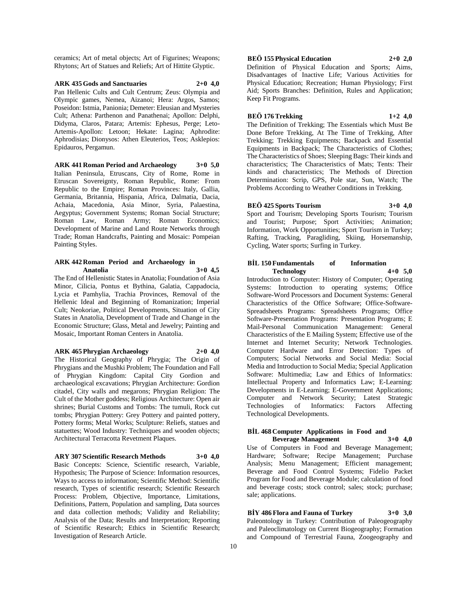ceramics; Art of metal objects; Art of Figurines; Weapons; Rhytons; Art of Statues and Reliefs; Art of Hittite Glyptic.

**ARK 435 Gods and Sanctuaries 2+0 4,0** Pan Hellenic Cults and Cult Centrum; Zeus: Olympia and Olympic games, Nemea, Aizanoi; Hera: Argos, Samos; Poseidon: Istmia, Panionia; Demeter: Eleusian and Mysteries Cult; Athena: Parthenon and Panathenai; Apollon: Delphi, Didyma, Claros, Patara; Artemis: Ephesus, Perge; Leto-Artemis-Apollon: Letoon; Hekate: Lagina; Aphrodite: Aphrodisias; Dionysos: Athen Eleuterios, Teos; Asklepios: Epidauros, Pergamun.

**ARK 441 Roman Period and Archaeology 3+0 5,0** Italian Peninsula, Etruscans, City of Rome, Rome in Etruscan Sovereignty, Roman Republic, Rome: From Republic to the Empire; Roman Provinces: Italy, Gallia, Germania, Britannia, Hispania, Africa, Dalmatia, Dacia, Achaia, Macedonia, Asia Minor, Syria, Palaestina, Aegyptus; Government Systems; Roman Social Structure; Roman Law, Roman Army; Roman Economics; Development of Marine and Land Route Networks through Trade; Roman Handcrafts, Painting and Mosaic: Pompeian Painting Styles.

### **ARK 442 Roman Period and Archaeology in Anatolia 3+0 4,5**

The End of Hellenistic States in Anatolia; Foundation of Asia Minor, Cilicia, Pontus et Bythina, Galatia, Cappadocia, Lycia et Pamhylia, Trachia Provinces, Removal of the Hellenic Ideal and Beginning of Romanization; Imperial Cult; Neokoriae, Political Developments, Situation of City States in Anatolia, Development of Trade and Change in the Economic Structure; Glass, Metal and Jewelry; Painting and Mosaic, Important Roman Centers in Anatolia.

## **ARK 465 Phrygian Archaeology 2+0 4,0**

The Historical Geography of Phrygia; The Origin of Phrygians and the Mushki Problem; The Foundation and Fall of Phrygian Kingdom: Capital City Gordion and archaeological excavations; Phrygian Architecture: Gordion citadel, City walls and megarons; Phrygian Religion: The Cult of the Mother goddess; Religious Architecture: Open air shrines; Burial Customs and Tombs: The tumuli, Rock cut tombs; Phrygian Pottery: Grey Pottery and painted pottery, Pottery forms; Metal Works; Sculpture: Reliefs, statues and statuettes; Wood Industry: Techniques and wooden objects; Architectural Terracotta Revetment Plaques.

## **ARY 307 Scientific Research Methods 3+0 4,0**

Basic Concepts: Science, Scientific research, Variable, Hypothesis; The Purpose of Science: Information resources, Ways to access to information; Scientific Method: Scientific research, Types of scientific research; Scientific Research Process: Problem, Objective, Importance, Limitations, Definitions, Pattern, Population and sampling, Data sources and data collection methods; Validity and Reliability; Analysis of the Data; Results and Interpretation; Reporting of Scientific Research; Ethics in Scientific Research; Investigation of Research Article.

## **BEÖ 155 Physical Education 2+0 2,0**

Definition of Physical Education and Sports; Aims, Disadvantages of Inactive Life; Various Activities for Physical Education; Recreation; Human Physiology; First Aid; Sports Branches: Definition, Rules and Application; Keep Fit Programs.

## **BEÖ 176 Trekking 1+2 4,0**

The Definition of Trekking; The Essentials which Must Be Done Before Trekking, At The Time of Trekking, After Trekking; Trekking Equipments; Backpack and Essential Equipments in Backpack; The Characteristics of Clothes; The Characteristics of Shoes; Sleeping Bags: Their kinds and characteristics; The Characteristics of Mats; Tents: Their kinds and characteristics; The Methods of Direction Determination: Scrip, GPS, Pole star, Sun, Watch; The Problems According to Weather Conditions in Trekking.

## **BEÖ 425 Sports Tourism 3+0 4,0**

Sport and Tourism; Developing Sports Tourism; Tourism and Tourist; Purpose; Sport Activities; Animation; Information, Work Opportunities; Sport Tourism in Turkey; Rafting, Tracking, Paragliding, Skiing, Horsemanship, Cycling, Water sports; Surfing in Turkey.

## **BİL 150 Fundamentals of Information Technology 4+0 5,0**

Introduction to Computer: History of Computer; Operating Systems: Introduction to operating systems; Office Software-Word Processors and Document Systems: General Characteristics of the Office Software; Office-Software-Spreadsheets Programs: Spreadsheets Programs; Office Software-Presentation Programs: Presentation Programs; E Mail-Personal Communication Management: General Characteristics of the E Mailing System; Effective use of the Internet and Internet Security; Network Technologies. Computer Hardware and Error Detection: Types of Computers; Social Networks and Social Media: Social Media and Introduction to Social Media; Special Application Software: Multimedia; Law and Ethics of Informatics: Intellectual Property and Informatics Law; E-Learning: Developments in E-Learning; E-Government Applications; Computer and Network Security; Latest Strategic Technologies of Informatics: Factors Affecting Technological Developments.

## **BİL 468 Computer Applications in Food and Beverage Management 3+0 4,0**

Use of Computers in Food and Beverage Management; Hardware; Software; Recipe Management; Purchase Analysis; Menu Management; Efficient management; Beverage and Food Control Systems; Fidelio Packet Program for Food and Beverage Module; calculation of food and beverage costs; stock control; sales; stock; purchase; sale; applications.

**BİY 486 Flora and Fauna of Turkey 3+0 3,0** Paleontology in Turkey: Contribution of Paleogeography and Paleoclimatology on Current Biogeography; Formation and Compound of Terrestrial Fauna, Zoogeography and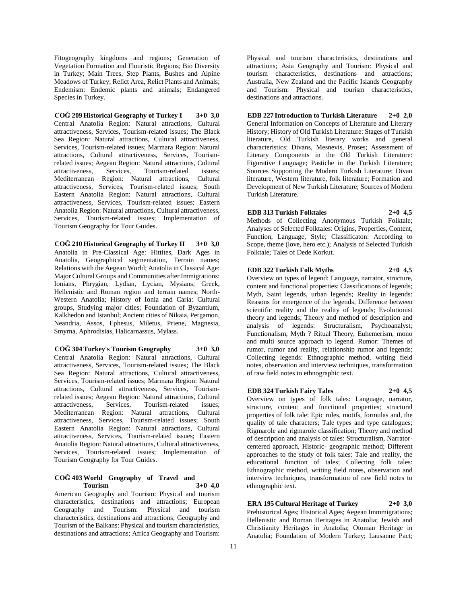Fitogeography kingdoms and regions; Generation of Vegetation Formation and Flouristic Regions; Bio Diversity in Turkey; Main Trees, Step Plants, Bushes and Alpine Meadows of Turkey; Relict Area, Relict Plants and Animals; Endemism: Endemic plants and animals; Endangered Species in Turkey.

**COĞ 209 Historical Geography of Turkey I 3+0 3,0** Central Anatolia Region: Natural attractions, Cultural attractiveness, Services, Tourism-related issues; The Black Sea Region: Natural attractions, Cultural attractiveness, Services, Tourism-related issues; Marmara Region: Natural attractions, Cultural attractiveness, Services, Tourismrelated issues; Aegean Region: Natural attractions, Cultural attractiveness, Services, Tourism-related issues; Mediterranean Region: Natural attractions, Cultural attractiveness, Services, Tourism-related issues; South Eastern Anatolia Region: Natural attractions, Cultural attractiveness, Services, Tourism-related issues; Eastern Anatolia Region: Natural attractions, Cultural attractiveness, Services, Tourism-related issues; Implementation of Tourism Geography for Tour Guides.

**COĞ 210 Historical Geography of Turkey II 3+0 3,0** Anatolia in Pre-Classical Age: Hittites, Dark Ages in Anatolia, Geographical segmentation, Terrain names; Relations with the Aegean World; Anatolia in Classical Age: Major Cultural Groups and Communities after Immigrations: Ionians, Phrygian, Lydian, Lycian, Mysians; Greek, Hellenistic and Roman region and terrain names; North-Western Anatolia; History of Ionia and Caria: Cultural groups, Studying major cities; Foundation of Byzantium, Kalkhedon and Istanbul; Ancient cities of Nikaia, Pergamon, Neandria, Assos, Ephesus, Miletus, Priene, Magnesia, Smyrna, Aphrodisias, Halicarnassus, Mylass.

**COĞ 304 Turkey's Tourism Geography 3+0 3,0** Central Anatolia Region: Natural attractions, Cultural attractiveness, Services, Tourism-related issues; The Black Sea Region: Natural attractions, Cultural attractiveness, Services, Tourism-related issues; Marmara Region: Natural attractions, Cultural attractiveness, Services, Tourismrelated issues; Aegean Region: Natural attractions, Cultural attractiveness, Services, Tourism-related issues; Mediterranean Region: Natural attractions, Cultural attractiveness, Services, Tourism-related issues; South Eastern Anatolia Region: Natural attractions, Cultural attractiveness, Services, Tourism-related issues; Eastern Anatolia Region: Natural attractions, Cultural attractiveness, Services, Tourism-related issues; Implementation of Tourism Geography for Tour Guides.

## **COĞ 403 World Geography of Travel and Tourism 3+0 4,0**

American Geography and Tourism: Physical and tourism characteristics, destinations and attractions; European Geography and Tourism: Physical and tourism characteristics, destinations and attractions; Geography and Tourism of the Balkans: Physical and tourism characteristics, destinations and attractions; Africa Geography and Tourism:

Physical and tourism characteristics, destinations and attractions; Asia Geography and Tourism: Physical and tourism characteristics, destinations and attractions; Australia, New Zealand and the Pacific Islands Geography and Tourism: Physical and tourism characteristics, destinations and attractions.

**EDB 227 Introduction to Turkish Literature 2+0 2,0** General Information on Concepts of Literature and Literary History; History of Old Turkish Literature: Stages of Turkish literature, Old Turkish literary works and general characteristics: Divans, Mesnevis, Proses; Assessment of Literary Components in the Old Turkish Literature: Figurative Language; Pastiche in the Turkish Literature; Sources Supporting the Modern Turkish Literature: Divan literature, Western literature, folk literature; Formation and Development of New Turkish Literature; Sources of Modern Turkish Literature.

**EDB 313 Turkish Folktales 2+0 4,5**

Methods of Collecting Anonymous Turkish Folktale; Analyses of Selected Folktales: Origins, Properties, Content, Function, Language, Style; Classificaton: According to Scope, theme (love, hero etc.); Analysis of Selected Turkish Folktale; Tales of Dede Korkut.

## **EDB 322 Turkish Folk Myths 2+0 4,5**

Overview on types of legend: Language, narrator, structure, content and functional properties; Classifications of legends; Myth, Saint legends, urban legends; Reality in legends: Reasons for emergence of the legends, Difference between scientific reality and the reality of legends; Evolutionist theory and legends; Theory and method of description and analysis of legends: Structuralism, Psychoanalyst; Functionalism, Myth ? Ritual Theory, Euhemerism, mono and multi source approach to legend. Rumor: Themes of rumor, rumor and reality, relationship rumor and legends; Collecting legends: Ethnographic method, writing field notes, observation and interview techniques, transformation of raw field notes to ethnographic text.

## **EDB 324 Turkish Fairy Tales 2+0 4,5**

Overview on types of folk tales: Language, narrator, structure, content and functional properties; structural properties of folk tale: Epic rules, motifs, formulas and, the quality of tale characters; Tale types and type catalogues; Rigmarole and rigmarole classification; Theory and method of description and analysis of tales: Structuralism, Narratorcentered approach, Historic- geographic method; Different approaches to the study of folk tales: Tale and reality, the educational function of tales; Collecting folk tales: Ethnographic method, writing field notes, observation and interview techniques, transformation of raw field notes to ethnographic text.

**ERA 195 Cultural Heritage of Turkey 2+0 3,0** Prehistorical Ages; Historical Ages; Aegean Immmigrations; Hellenistic and Roman Heritages in Anatolia; Jewish and Christianity Heritages in Anatolia; Otoman Heritage in Anatolia; Foundation of Modern Turkey; Lausanne Pact;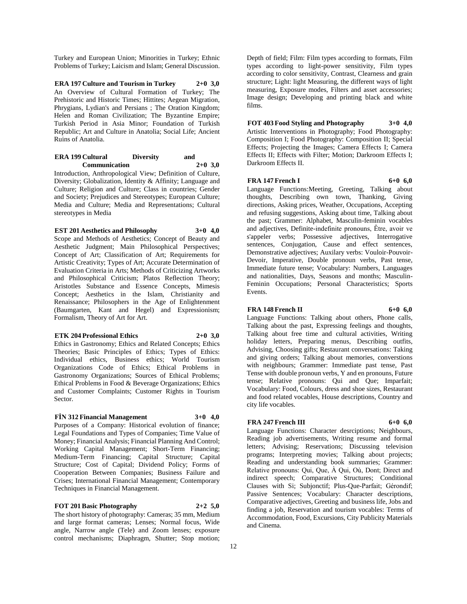Turkey and European Union; Minorities in Turkey; Ethnic Problems of Turkey; Laicism and Islam; General Discussion.

**ERA 197 Culture and Tourism in Turkey 2+0 3,0** An Overview of Cultural Formation of Turkey; The Prehistoric and Historic Times; Hittites; Aegean Migration, Phrygians, Lydian's and Persians ; The Oration Kingdom; Helen and Roman Civilization; The Byzantine Empire; Turkish Period in Asia Minor; Foundation of Turkish Republic; Art and Culture in Anatolia; Social Life; Ancient Ruins of Anatolia.

## **ERA 199 Cultural Diversity and Communication 2+0 3,0**

Introduction, Anthropological View; Definition of Culture, Diversity; Globalization, Identity & Affinity; Language and Culture; Religion and Culture; Class in countries; Gender and Society; Prejudices and Stereotypes; European Culture; Media and Culture; Media and Representations; Cultural stereotypes in Media

## **EST 201 Aesthetics and Philosophy 3+0 4,0**

Scope and Methods of Aesthetics; Concept of Beauty and Aesthetic Judgment; Main Philosophical Perspectives; Concept of Art; Classification of Art; Requirements for Artistic Creativity; Types of Art; Accurate Determination of Evaluation Criteria in Arts; Methods of Criticizing Artworks and Philosophical Criticism; Platos Reflection Theory; Aristotles Substance and Essence Concepts, Mimesis Concept; Aesthetics in the Islam, Christianity and Renaissance; Philosophers in the Age of Enlightenment (Baumgarten, Kant and Hegel) and Expressionism; Formalism, Theory of Art for Art.

#### **ETK 204 Professional Ethics 2+0 3,0**

Ethics in Gastronomy; Ethics and Related Concepts; Ethics Theories; Basic Principles of Ethics; Types of Ethics: Individual ethics, Business ethics; World Tourism Organizations Code of Ethics; Ethical Problems in Gastronomy Organizations; Sources of Ethical Problems; Ethical Problems in Food & Beverage Organizations; Ethics and Customer Complaints; Customer Rights in Tourism Sector.

## **FİN 312 Financial Management 3+0 4,0**

Purposes of a Company: Historical evolution of finance; Legal Foundations and Types of Companies; Time Value of Money; Financial Analysis; Financial Planning And Control; Working Capital Management; Short-Term Financing; Medium-Term Financing; Capital Structure; Capital Structure; Cost of Capital; Dividend Policy; Forms of Cooperation Between Companies; Business Failure and Crises; International Financial Management; Contemporary Techniques in Financial Management.

## **FOT 201 Basic Photography 2+2 5,0**

The short history of photography: Cameras; 35 mm, Medium and large format cameras; Lenses; Normal focus, Wide angle, Narrow angle (Tele) and Zoom lenses; exposure control mechanisms; Diaphragm, Shutter; Stop motion;

Depth of field; Film: Film types according to formats, Film types according to light-power sensitivity, Film types according to color sensitivity, Contrast, Clearness and grain structure; Light: light Measuring, the different ways of light measuring, Exposure modes, Filters and asset accessories; Image design; Developing and printing black and white films.

**FOT 403 Food Styling and Photography 3+0 4,0** Artistic Interventions in Photography; Food Photography: Composition I; Food Photography: Composition II; Special Effects; Projecting the Images; Camera Effects I; Camera Effects II; Effects with Filter; Motion; Darkroom Effects I; Darkroom Effects II.

## **FRA 147 French I 6+0 6,0**

Language Functions:Meeting, Greeting, Talking about thoughts, Describing own town, Thanking, Giving directions, Asking prices, Weather, Occupations, Accepting and refusing suggestions, Asking about time, Talking about the past; Grammer: Alphabet, Masculin-feminin vocables and adjectives, Definite-indefinite pronouns, Être, avoir ve s'appeler verbs; Possessive adjectives, Interrogative sentences, Conjugation, Cause and effect sentences, Demonstrative adjectives; Auxilary verbs: Vouloir-Pouvoir-Devoir, Imperative, Double pronoun verbs, Past tense, Immediate future tense; Vocabulary: Numbers, Languages and nationalities, Days, Seasons and months; Masculin-Feminin Occupations; Personal Characteristics; Sports

## **FRA 148 French II 6+0 6,0**

Events.

Language Functions: Talking about others, Phone calls, Talking about the past, Expressing feelings and thoughts, Talking about free time and cultural activities, Writing holiday letters, Preparing menus, Describing outfits, Advising, Choosing gifts; Restaurant conversations: Taking and giving orders; Talking about memories, converstions with neighbours; Grammer: Immediate past tense, Past Tense with double pronoun verbs, Y and en pronouns, Future tense; Relative pronouns: Qui and Que; Imparfait; Vocabulary: Food, Colours, dress and shoe sizes, Restaurant and food related vocables, House descriptions, Country and city life vocables.

## **FRA** 247 French III 6+0 6,0

Language Functions: Character desrciptions; Neighbours, Reading job advertisements, Writing resume and formal letters; Advising; Reservations; Discussing television programs; Interpreting movies; Talking about projects; Reading and understanding book summaries; Grammer: Relative pronouns: Qui, Que, À Qui, Où, Dont; Direct and indirect speech; Comparative Structures; Conditional Clauses with Si; Subjonctif; Plus-Que-Parfait; Gérondif; Passive Sentences; Vocabulary: Character descriptions, Comparative adjectives, Greeting and business life, Jobs and finding a job, Reservation and tourism vocables: Terms of Accommodation, Food, Excursions, City Publicity Materials and Cinema.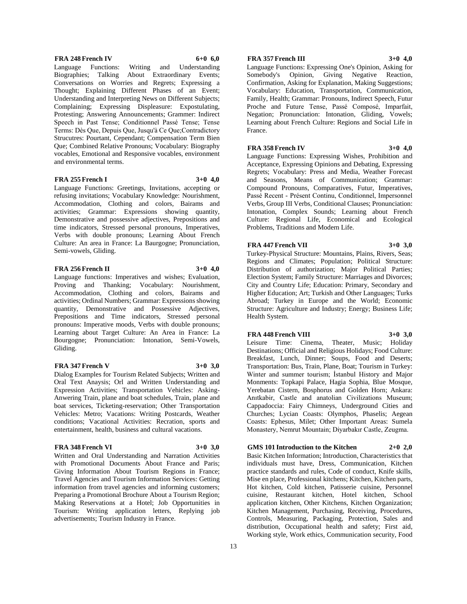## **FRA** 248 French IV 6+0 6,0

Language Functions: Writing and Understanding Biographies; Talking About Extraordinary Events; Conversations on Worries and Regrets; Expressing a Thought; Explaining Different Phases of an Event; Understanding and Interpreting News on Different Subjects; Complaining; Expressing Displeasure: Expostulating, Protesting; Answering Announcements; Grammer: Indirect Speech in Past Tense; Conditionnel Passé Tense; Tense Terms: Dès Que, Depuis Que, Jusqu'à Ce Que;Contradictory Strucutres: Pourtant, Cependant; Compensation Term Bien Que; Combined Relative Pronouns; Vocabulary: Biography vocables, Emotional and Responsive vocables, environment and environmental terms.

## **FRA 255 French I 3+0 4,0**

Language Functions: Greetings, Invitations, accepting or refusing invitations; Vocabulary Knowledge: Nourishment, Accommodation, Clothing and colors, Bairams and activities; Grammar: Expressions showing quantity, Demonstrative and possessive adjectives, Prepositions and time indicators, Stressed personal pronouns, Imperatives, Verbs with double pronouns; Learning About French Culture: An area in France: La Baurgogne; Pronunciation, Semi-vowels, Gliding.

## **FRA 256 French II 3+0 4,0**

Language functions: Imperatives and wishes; Evaluation, Proving and Thanking; Vocabulary: Nourishment, Accommodation, Clothing and colors, Bairams and activities; Ordinal Numbers; Grammar: Expressions showing quantity, Demonstrative and Possessive Adjectives, Prepositions and Time indicators, Stressed personal pronouns: Imperative moods, Verbs with double pronouns; Learning about Target Culture: An Area in France: La Bourgogne; Pronunciation: Intonation, Semi-Vowels, Gliding.

#### **FRA** 347 French V 3+0 3,0

Dialog Examples for Tourism Related Subjects; Written and Oral Text Anaysis; Orl and Written Understanding and Expression Activities; Transportation Vehicles: Asking-Anwering Train, plane and boat schedules, Train, plane and boat services, Ticketing-reservation; Other Transportation Vehicles: Metro; Vacations: Writing Postcards, Weather conditions; Vacational Activities: Recration, sports and entertainment, health, business and cultural vacations.

## **FRA 348 French VI 3+0 3,0**

Written and Oral Understanding and Narration Activities with Promotional Documents About France and Paris: Giving Information About Tourism Regions in France; Travel Agencies and Tourism Information Services: Getting information from travel agencies and informing customers; Preparing a Promotional Brochure About a Tourism Region; Making Reservations at a Hotel; Job Opportunities in Tourism: Writing application letters, Replying job advertisements; Tourism Industry in France.

## **FRA 357 French III 3+0 4,0**

Language Functions: Expressing One's Opinion, Asking for Somebody's Opinion, Giving Negative Reaction, Confirmation, Asking for Explanation, Making Suggestions; Vocabulary: Education, Transportation, Communication, Family, Health; Grammar: Pronouns, Indirect Speech, Futur Proche and Future Tense, Passé Composé, Imparfait, Negation; Pronunciation: Intonation, Gliding, Vowels; Learning about French Culture: Regions and Social Life in France.

## **FRA 358 French IV 3+0 4,0**

Language Functions: Expressing Wishes, Prohibition and Acceptance, Expressing Opinions and Debating, Expressing Regrets; Vocabulary: Press and Media, Weather Forecast and Seasons, Means of Communication; Grammar: Compound Pronouns, Comparatives, Futur, Imperatives, Passé Recent - Présent Continu, Conditionnel, Impersonnel Verbs, Group III Verbs, Conditional Clauses; Pronunciation: Intonation, Complex Sounds; Learning about French Culture: Regional Life, Economical and Ecological Problems, Traditions and Modern Life.

## **FRA** 447 French VII 3+0 3,0

Turkey-Physical Structure: Mountains, Plains, Rivers, Seas; Regions and Climates; Population; Political Structure: Distribution of authorization; Major Political Parties; Election System; Family Structure: Marriages and Divorces; City and Country Life; Education: Primary, Secondary and Higher Education; Art; Turkish and Other Languages; Turks Abroad; Turkey in Europe and the World; Economic Structure: Agriculture and Industry; Energy; Business Life; Health System.

## **FRA 448 French VIII 3+0 3,0**

Leisure Time: Cinema, Theater, Music; Holiday Destinations; Official and Religious Holidays; Food Culture: Breakfast, Lunch, Dinner; Soups, Food and Deserts; Transportation: Bus, Train, Plane, Boat; Tourism in Turkey: Winter and summer tourism; İstanbul History and Major Monments: Topkapi Palace, Hagia Sophia, Blue Mosque, Yerebatan Cistern, Bosphorus and Golden Horn; Ankara: Anıtkabir, Castle and anatolian Civilizations Museum; Cappadoccia: Fairy Chimneys, Underground Cities and Churches; Lycian Coasts: Olymphos, Phaselis; Aegean Coasts: Ephesus, Milet; Other Important Areas: Sumela Monastery, Nemrut Mountain; Diyarbakır Castle, Zeugma.

## **GMS 101 Introduction to the Kitchen 2+0 2,0**

Basic Kitchen Information; Introduction, Characteristics that individuals must have, Dress, Communication, Kitchen practice standards and rules, Code of conduct, Knife skills, Mise en place, Professional kitchens; Kitchen, Kitchen parts, Hot kitchen, Cold kitchen, Patisserie cuisine, Personnel cuisine, Restaurant kitchen, Hotel kitchen, School application kitchen, Other Kitchens, Kitchen Organization; Kitchen Management, Purchasing, Receiving, Procedures, Controls, Measuring, Packaging, Protection, Sales and distribution, Occupational health and safety; First aid, Working style, Work ethics, Communication security, Food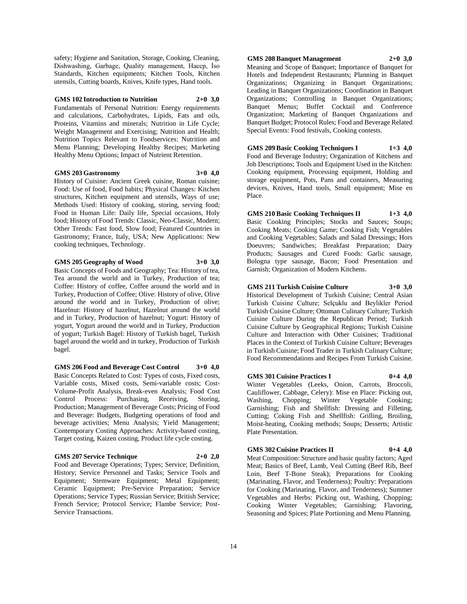safety; Hygiene and Sanitation, Storage, Cooking, Cleaning, Dishwashing, Garbage, Quality management, Haccp, İso Standards, Kitchen equipments; Kitchen Tools, Kitchen utensils, Cutting boards, Knives, Knife types, Hand tools.

## **GMS 102 Introduction to Nutrition 2+0 3,0**

Fundamentals of Personal Nutrition: Energy requirements and calculations, Carbohydrates, Lipids, Fats and oils, Proteins, Vitamins and minerals; Nutrition in Life Cycle; Weight Management and Exercising; Nutrition and Health; Nutrition Topics Relevant to Foodservices: Nutrition and Menu Planning; Developing Healthy Recipes; Marketing Healthy Menu Options; Impact of Nutrient Retention.

#### **GMS 203 Gastronomy 3+0 4,0**

History of Cuisine: Ancient Greek cuisine, Roman cuisine; Food: Use of food, Food habits; Physical Changes: Kitchen structures, Kitchen equipment and utensils, Ways of use; Methods Used: History of cooking, storing, serving food; Food in Human Life: Daily life, Special occasions, Holy food; History of Food Trends: Classic, Neo-Classic, Modern; Other Trends: Fast food, Slow food; Featured Countries in Gastronomy; France, Italy, USA; New Applications: New cooking techniques, Technology.

## **GMS 205 Geography of Wood 3+0 3,0**

Basic Concepts of Foods and Geography; Tea: History of tea, Tea around the world and in Turkey, Production of tea; Coffee: History of coffee, Coffee around the world and in Turkey, Production of Coffee; Olive: History of olive, Olive around the world and in Turkey, Production of olive; Hazelnut: History of hazelnut, Hazelnut around the world and in Turkey, Production of hazelnut; Yogurt: History of yogurt, Yogurt around the world and in Turkey, Production of yogurt; Turkish Bagel: History of Turkish bagel, Turkish bagel around the world and in turkey, Production of Turkish bagel.

**GMS 206 Food and Beverage Cost Control 3+0 4,0** Basic Concepts Related to Cost: Types of costs, Fixed costs, Variable costs, Mixed costs, Semi-variable costs; Cost-Volume-Profit Analysis, Break-even Analysis; Food Cost Control Process: Purchasing, Receiving, Storing, Production; Management of Beverage Costs; Pricing of Food and Beverage: Budgets, Budgeting operations of food and beverage activities; Menu Analysis; Yield Management; Contemporary Costing Approaches: Activity-based costing, Target costing, Kaizen costing, Product life cycle costing.

#### **GMS 207 Service Technique 2+0 2,0**

Food and Beverage Operations; Types; Service; Definition, History; Service Personnel and Tasks; Service Tools and Equipment; Stemware Equipment; Metal Equipment; Ceramic Equipment; Pre-Service Preparation; Service Operations; Service Types; Russian Service; British Service; French Service; Protocol Service; Flambe Service; Post-Service Transactions.

## **GMS 208 Banquet Management 2+0 3,0**

Meaning and Scope of Banquet; Importance of Banquet for Hotels and Independent Restaurants; Planning in Banquet Organizations; Organizing in Banquet Organizations; Leading in Banquet Organizations; Coordination in Banquet Organizations; Controlling in Banquet Organizations; Banquet Menus; Buffet Cocktail and Conference Organization; Marketing of Banquet Organizations and Banquet Budget; Protocol Rules; Food and Beverage Related Special Events: Food festivals, Cooking contests.

**GMS 209 Basic Cooking Techniques I 1+3 4,0** Food and Beverage Industry; Organization of Kitchens and Job Descriptions; Tools and Equipment Used in the Kitchen: Cooking equipment, Processing equipment, Holding and storage equipment, Pots, Pans and containers, Measuring devices, Knives, Hand tools, Small equipment; Mise en Place.

**GMS 210 Basic Cooking Techniques II 1+3 4,0** Basic Cooking Principles; Stocks and Sauces; Soups; Cooking Meats; Cooking Game; Cooking Fish; Vegetables and Cooking Vegetables; Salads and Salad Dressings; Hors Doeuvres; Sandwiches; Breakfast Preparation; Dairy Products; Sausages and Cured Foods: Garlic sausage, Bologna type sausage, Bacon; Food Presentation and Garnish; Organization of Modern Kitchens.

**GMS 211 Turkish Cuisine Culture 3+0 3,0** Historical Development of Turkish Cuisine; Central Asian Turkish Cuisine Culture; Selçuklu and Beylikler Period Turkish Cuisine Culture; Ottoman Culinary Culture; Turkish Cuisine Culture During the Republican Period; Turkish Cuisine Culture by Geographical Regions; Turkish Cuisine Culture and Interaction with Other Cuisines; Traditional Places in the Context of Turkish Cuisine Culture; Beverages in Turkish Cuisine; Food Trader in Turkish Culinary Culture; Food Recommendations and Recipes From Turkish Cuisine.

**GMS 301 Cuisine Practices I 0+4 4,0** Winter Vegetables (Leeks, Onion, Carrots, Broccoli, Cauliflower, Cabbage, Celery): Mise en Place: Picking out, Washing, Chopping; Winter Vegetable Cooking; Garnishing; Fish and Shellfish: Dressing and Filleting, Cutting; Coking Fish and Shellfish: Grilling, Broiling, Moist-heating, Cooking methods; Soups; Desserts; Artistic Plate Presentation.

**GMS 302 Cuisine Practices II 0+4 4,0**

Meat Composition: Structure and basic quality factors; Aged Meat; Basics of Beef, Lamb, Veal Cutting (Beef Rib, Beef Loin, Beef T-Bone Steak); Preparations for Cooking (Marinating, Flavor, and Tenderness); Poultry: Preparations for Cooking (Marinating, Flavor, and Tenderness); Summer Vegetables and Herbs: Picking out, Washing, Chopping; Cooking Winter Vegetables; Garnishing; Flavoring, Seasoning and Spices; Plate Portioning and Menu Planning.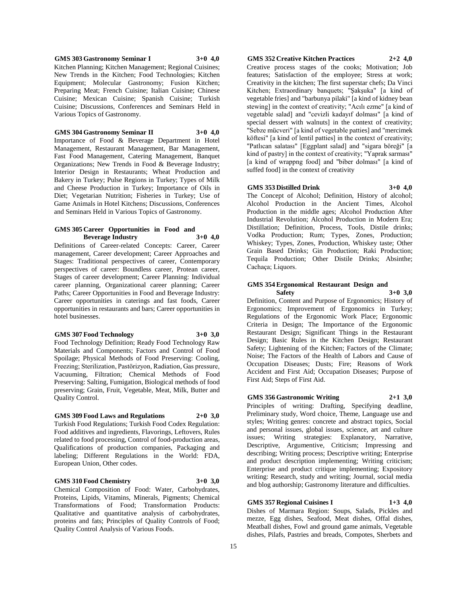**GMS 303 Gastronomy Seminar I 3+0 4,0** Kitchen Planning; Kitchen Management; Regional Cuisines; New Trends in the Kitchen; Food Technologies; Kitchen Equipment; Molecular Gastronomy; Fusion Kitchen; Preparing Meat; French Cuisine; Italian Cuisine; Chinese Cuisine; Mexican Cuisine; Spanish Cuisine; Turkish Cuisine; Discussions, Conferences and Seminars Held in

#### **GMS 304 Gastronomy Seminar II 3+0 4,0**

Various Topics of Gastronomy.

Importance of Food & Beverage Department in Hotel Management, Restaurant Management, Bar Management, Fast Food Management, Catering Management, Banquet Organizations; New Trends in Food & Beverage Industry; Interior Design in Restaurants; Wheat Production and Bakery in Turkey; Pulse Regions in Turkey; Types of Milk and Cheese Production in Turkey; Importance of Oils in Diet; Vegetarian Nutrition; Fisheries in Turkey; Use of Game Animals in Hotel Kitchens; Discussions, Conferences and Seminars Held in Various Topics of Gastronomy.

#### **GMS 305 Career Opportunities in Food and Beverage Industry 3+0 4,0**

Definitions of Career-related Concepts: Career, Career management, Career development; Career Approaches and Stages: Traditional perspectives of career, Contemporary perspectives of career: Boundless career, Protean career, Stages of career development; Career Planning: Individual career planning, Organizational career planning; Career Paths; Career Opportunities in Food and Beverage Industry: Career opportunities in caterings and fast foods, Career opportunities in restaurants and bars; Career opportunities in hotel businesses.

#### **GMS 307 Food Technology 3+0 3,0**

Food Technology Definition; Ready Food Technology Raw Materials and Components; Factors and Control of Food Spoilage; Physical Methods of Food Preserving: Cooling, Freezing; Sterilization, Pastörizyon, Radiation, Gas pressure, Vacuuming, Filtration; Chemical Methods of Food Preserving: Salting, Fumigation, Biological methods of food preserving; Grain, Fruit, Vegetable, Meat, Milk, Butter and Quality Control.

## **GMS 309 Food Laws and Regulations 2+0 3,0**

Turkish Food Regulations; Turkish Food Codex Regulation: Food additives and ingredients, Flavorings, Leftovers, Rules related to food processing, Control of food-production areas, Qualifications of production companies, Packaging and labeling; Different Regulations in the World: FDA, European Union, Other codes.

## **GMS 310 Food Chemistry 3+0 3,0**

Chemical Composition of Food: Water, Carbohydrates, Proteins, Lipids, Vitamins, Minerals, Pigments; Chemical Transformations of Food; Transformation Products: Qualitative and quantitative analysis of carbohydrates, proteins and fats; Principles of Quality Controls of Food; Quality Control Analysis of Various Foods.

## **GMS 352 Creative Kitchen Practices 2+2 4,0**

Creative process stages of the cooks; Motivation; Job features; Satisfaction of the employee; Stress at work; Creativity in the kitchen; The first superstar chefs; Da Vinci Kitchen; Extraordinary banquets; "Şakşuka" [a kind of vegetable fries] and "barbunya pilaki" [a kind of kidney bean stewing] in the context of creativity; "Acılı ezme" [a kind of vegetable salad] and "cevizli kadayıf dolması" [a kind of special dessert with walnuts] in the context of creativity; "Sebze mücveri" [a kind of vegetable patties] and "mercimek köftesi" [a kind of lentil patties] in the context of creativity; "Patlıcan salatası" [Eggplant salad] and "sigara böreği" [a kind of pastry] in the context of creativity; "Yaprak sarması" [a kind of wrappng food] and "biber dolması" [a kind of suffed food] in the context of creativity

## **GMS 353 Distilled Drink 3+0 4,0**

Cachaça; Liquors.

The Concept of Alcohol: Definition, History of alcohol: Alcohol Production in the Ancient Times, Alcohol Production in the middle ages; Alcohol Production After Industrial Revolution; Alcohol Production in Modern Era; Distillation; Definition, Process, Tools, Distile drinks; Vodka Production; Rum; Types, Zones, Production; Whiskey; Types, Zones, Production, Whiskey taste; Other Grain Based Drinks; Gin Production; Raki Production; Tequila Production; Other Distile Drinks; Absinthe;

## **GMS 354 Ergonomical Restaurant Design and Safety 3+0 3,0**

Definition, Content and Purpose of Ergonomics; History of Ergonomics; Improvement of Ergonomics in Turkey; Regulations of the Ergonomic Work Place; Ergonomic Criteria in Design; The Importance of the Ergonomic Restaurant Design; Significant Things in the Restaurant Design; Basic Rules in the Kitchen Design; Restaurant Safety; Lightening of the Kitchen; Factors of the Climate; Noise; The Factors of the Health of Labors and Cause of Occupation Diseases; Dusts; Fire; Reasons of Work Accident and First Aid; Occupation Diseases; Purpose of First Aid; Steps of First Aid.

## **GMS 356 Gastronomic Writing 2+1 3,0**

Principles of writing: Drafting, Specifying deadline, Preliminary study, Word choice, Theme, Language use and styles; Writing genres: concrete and abstract topics, Social and personal issues, global issues, science, art and culture issues; Writing strategies: Explanatory, Narrative, Descriptive, Argumentive, Criticism; Impressing and describing; Writing process; Descriptive writing; Enterprise and product description implementing; Writing criticism; Enterprise and product critique implementing; Expository writing: Research, study and writing; Journal, social media and blog authorship; Gastronomy literature and difficulties.

## **GMS 357 Regional Cuisines I 1+3 4,0**

Dishes of Marmara Region: Soups, Salads, Pickles and mezze, Egg dishes, Seafood, Meat dishes, Offal dishes, Meatball dishes, Fowl and ground game animals, Vegetable dishes, Pilafs, Pastries and breads, Compotes, Sherbets and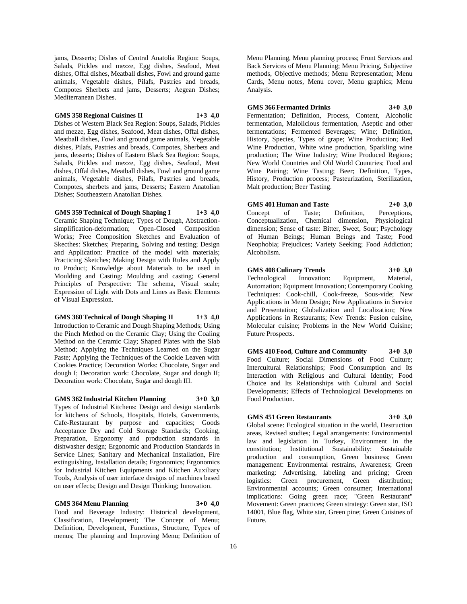jams, Desserts; Dishes of Central Anatolia Region: Soups, Salads, Pickles and mezze, Egg dishes, Seafood, Meat dishes, Offal dishes, Meatball dishes, Fowl and ground game animals, Vegetable dishes, Pilafs, Pastries and breads, Compotes Sherbets and jams, Desserts; Aegean Dishes; Mediterranean Dishes.

## **GMS 358 Regional Cuisines II 1+3 4,0**

Dishes of Western Black Sea Region: Soups, Salads, Pickles and mezze, Egg dishes, Seafood, Meat dishes, Offal dishes, Meatball dishes, Fowl and ground game animals, Vegetable dishes, Pilafs, Pastries and breads, Compotes, Sherbets and jams, desserts; Dishes of Eastern Black Sea Region: Soups, Salads, Pickles and mezze, Egg dishes, Seafood, Meat dishes, Offal dishes, Meatball dishes, Fowl and ground game animals, Vegetable dishes, Pilafs, Pastries and breads, Compotes, sherbets and jams, Desserts; Eastern Anatolian Dishes; Southeastern Anatolian Dishes.

## **GMS 359 Technical of Dough Shaping I 1+3 4,0**

Ceramic Shaping Technique; Types of Dough, Abstractionsimplification-deformation; Open-Closed Composition Works; Free Composition Sketches and Evaluation of Skecthes: Sketches; Preparing, Solving and testing; Design and Application: Practice of the model with materials; Practicing Sketches; Making Design with Rules and Apply to Product; Knowledge about Materials to be used in Moulding and Casting: Moulding and casting; General Principles of Perspective: The schema, Visual scale; Expression of Light with Dots and Lines as Basic Elements of Visual Expression.

## **GMS 360 Technical of Dough Shaping II 1+3 4,0**

Introduction to Ceramic and Dough Shaping Methods; Using the Pinch Method on the Ceramic Clay; Using the Coaling Method on the Ceramic Clay; Shaped Plates with the Slab Method; Applying the Techniques Learned on the Sugar Paste; Applying the Techniques of the Cookie Leaven with Cookies Practice; Decoration Works: Chocolate, Sugar and dough I; Decoration work: Chocolate, Sugar and dough II; Decoration work: Chocolate, Sugar and dough III.

## **GMS 362 Industrial Kitchen Planning 3+0 3,0**

Types of Industrial Kitchens: Design and design standards for kitchens of Schools, Hospitals, Hotels, Governments, Cafe-Restaurant by purpose and capacities; Goods Acceptance Dry and Cold Storage Standards; Cooking, Preparation, Ergonomy and production standards in dishwasher design; Ergonomic and Production Standards in Service Lines; Sanitary and Mechanical Installation, Fire extinguishing, Installation details; Ergonomics; Ergonomics for Industrial Kitchen Equipments and Kitchen Auxiliary Tools, Analysis of user interface designs of machines based on user effects; Design and Design Thinking; Innovation.

## **GMS 364 Menu Planning 3+0 4,0**

Food and Beverage Industry: Historical development, Classification, Development; The Concept of Menu; Definition, Development, Functions, Structure, Types of menus; The planning and Improving Menu; Definition of

Menu Planning, Menu planning process; Front Services and Back Services of Menu Planning; Menu Pricing, Subjective methods, Objective methods; Menu Representation; Menu Cards, Menu notes, Menu cover, Menu graphics; Menu Analysis.

**GMS 366 Fermanted Drinks 3+0 3,0**

Fermentation; Definition, Process, Content, Alcoholic fermentation, Malolicious fermentation, Aseptic and other fermentations; Fermented Beverages; Wine; Definition, History, Species, Types of grape; Wine Production; Red Wine Production, White wine production, Sparkling wine production; The Wine Industry; Wine Produced Regions; New World Countries and Old World Countries; Food and Wine Pairing; Wine Tasting; Beer; Definition, Types, History, Production process; Pasteurization, Sterilization, Malt production; Beer Tasting.

## **GMS 401 Human and Taste 2+0 3,0**

Concept of Taste; Definition, Perceptions, Conceptualization, Chemical dimension, Physiological dimension; Sense of taste: Bitter, Sweet, Sour; Psychology of Human Beings; Human Beings and Taste; Food Neophobia; Prejudices; Variety Seeking; Food Addiction; Alcoholism.

## **GMS 408 Culinary Trends 3+0 3,0**

Technological Innovation: Equipment, Material, Automation; Equipment Innovation; Contemporary Cooking Techniques: Cook-chill, Cook-freeze, Sous-vide; New Applications in Menu Design; New Applications in Service and Presentation; Globalization and Localization; New Applications in Restaurants; New Trends: Fusion cuisine, Molecular cuisine; Problems in the New World Cuisine; Future Prospects.

**GMS 410 Food, Culture and Community 3+0 3,0** Food Culture; Social Dimensions of Food Culture; Intercultural Relationships; Food Consumption and Its Interaction with Religious and Cultural Identity; Food Choice and Its Relationships with Cultural and Social Developments; Effects of Technological Developments on Food Production.

## **GMS 451 Green Restaurants 3+0 3,0**

Global scene: Ecological situation in the world, Destruction areas, Revised studies; Legal arrangements: Environmental law and legislation in Turkey, Environment in the constitution; Institutional Sustainability: Sustainable production and consumption, Green business; Green management: Environmental restrains, Awareness; Green marketing: Advertising, labeling and pricing; Green logistics: Green procurement, Green distribution; Environmental accounts; Green consumer; International implications: Going green race; "Green Restaurant" Movement: Green practices; Green strategy: Green star, ISO 14001, Blue flag, White star, Green pine; Green Cuisines of Future.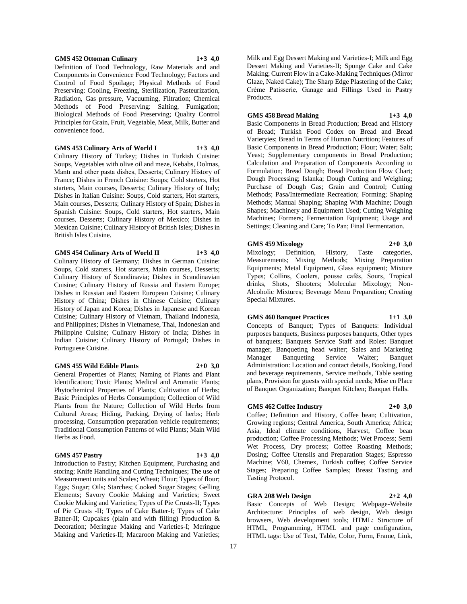## **GMS 452 Ottoman Culinary 1+3 4,0**

Definition of Food Technology, Raw Materials and and Components in Convenience Food Technology; Factors and Control of Food Spoilage; Physical Methods of Food Preserving: Cooling, Freezing, Sterilization, Pasteurization, Radiation, Gas pressure, Vacuuming, Filtration; Chemical Methods of Food Preserving: Salting, Fumigation; Biological Methods of Food Preserving; Quality Control Principles for Grain, Fruit, Vegetable, Meat, Milk, Butter and convenience food.

**GMS 453 Culinary Arts of World I 1+3 4,0**

Culinary History of Turkey; Dishes in Turkish Cuisine: Soups, Vegetables with olive oil and meze, Kebabs, Dolmas, Mantı and other pasta dishes, Desserts; Culinary History of France; Dishes in French Cuisine: Soups; Cold starters, Hot starters, Main courses, Desserts; Culinary History of Italy; Dishes in Italian Cuisine: Soups, Cold starters, Hot starters, Main courses, Desserts; Culinary History of Spain; Dishes in Spanish Cuisine: Soups, Cold starters, Hot starters, Main courses, Desserts; Culinary History of Mexico; Dishes in Mexican Cuisine; Culinary History of British Isles; Dishes in British Isles Cuisine.

**GMS 454 Culinary Arts of World II 1+3 4,0**

Culinary History of Germany; Dishes in German Cuisine: Soups, Cold starters, Hot starters, Main courses, Desserts; Culinary History of Scandinavia; Dishes in Scandinavian Cuisine; Culinary History of Russia and Eastern Europe; Dishes in Russian and Eastern European Cuisine; Culinary History of China; Dishes in Chinese Cuisine; Culinary History of Japan and Korea; Dishes in Japanese and Korean Cuisine; Culinary History of Vietnam, Thailand Indonesia, and Philippines; Dishes in Vietnamese, Thai, Indonesian and Philippine Cuisine; Culinary History of India; Dishes in Indian Cuisine; Culinary History of Portugal; Dishes in Portuguese Cuisine.

#### **GMS 455 Wild Edible Plants 2+0 3,0**

General Properties of Plants; Naming of Plants and Plant Identification; Toxic Plants; Medical and Aromatic Plants; Phytochemical Properties of Plants; Cultivation of Herbs; Basic Principles of Herbs Consumption; Collection of Wild Plants from the Nature; Collection of Wild Herbs from Cultural Areas; Hiding, Packing, Drying of herbs; Herb processing, Consumption preparation vehicle requirements; Traditional Consumption Patterns of wild Plants; Main Wild Herbs as Food.

## **GMS 457 Pastry 1+3 4,0**

Introduction to Pastry; Kitchen Equipment, Purchasing and storing; Knife Handling and Cutting Techniques; The use of Measurement units and Scales; Wheat; Flour; Types of flour; Eggs; Sugar; Oils; Starches; Cooked Sugar Stages; Gelling Elements; Savory Cookie Making and Varieties; Sweet Cookie Making and Varieties; Types of Pie Crusts-II; Types of Pie Crusts -II; Types of Cake Batter-I; Types of Cake Batter-II; Cupcakes (plain and with filling) Production & Decoration; Meringue Making and Varieties-I; Meringue Making and Varieties-II; Macaroon Making and Varieties;

Milk and Egg Dessert Making and Varieties-I; Milk and Egg Dessert Making and Varieties-II; Sponge Cake and Cake Making; Current Flow in a Cake-Making Techniques (Mirror Glaze, Naked Cake); The Sharp Edge Plastering of the Cake; Crème Patisserie, Ganage and Fillings Used in Pastry Products.

## **GMS 458 Bread Making 1+3 4,0**

Basic Components in Bread Production; Bread and History of Bread; Turkish Food Codex on Bread and Bread Varietyies; Bread in Terms of Human Nutrition; Features of Basic Components in Bread Production; Flour; Water; Salt; Yeast; Supplementary components in Bread Production; Calculation and Preparation of Components According to Formulation; Bread Dough; Bread Production Flow Chart; Dough Processing; Islanka; Dough Cutting and Weighing; Purchase of Dough Gas; Grain and Control; Cutting Methods; Pasa/Intermediate Recreation; Forming; Shaping Methods; Manual Shaping; Shaping With Machine; Dough Shapes; Machinery and Equipment Used; Cutting Weighing Machines; Formers; Fermentation Equipment; Usage and Settings; Cleaning and Care; To Pan; Final Fermentation.

## **GMS 459 Mixology 2+0 3,0**

Mixology; Definition, History, Taste categories, Measurements; Mixing Methods; Mixing Preparation Equipments; Metal Equipment, Glass equipment; Mixture Types; Collins, Coolers, pousse cafés, Sours, Tropical drinks, Shots, Shooters; Molecular Mixology; Non-Alcoholic Mixtures; Beverage Menu Preparation; Creating Special Mixtures.

#### **GMS 460 Banquet Practices 1+1 3,0**

Concepts of Banquet; Types of Banquets: Individual purposes banquets, Business purposes banquets, Other types of banquets; Banquets Service Staff and Roles: Banquet manager, Banqueting head waiter; Sales and Marketing Manager Banqueting Service Waiter; Banquet Administration: Location and contact details, Booking, Food and beverage requirements, Service methods, Table seating plans, Provision for guests with special needs; Mise en Place

## **GMS 462 Coffee Industry 2+0 3,0**

Coffee; Definition and History, Coffee bean; Cultivation, Growing regions; Central America, South America; Africa; Asia, Ideal climate conditions, Harvest, Coffee bean production; Coffee Processing Methods; Wet Process; Semi Wet Process, Dry process; Coffee Roasting Methods; Dosing; Coffee Utensils and Preparation Stages; Espresso Machine; V60, Chemex, Turkish coffee; Coffee Service Stages; Preparing Coffee Samples; Breast Tasting and Tasting Protocol.

of Banquet Organization; Banquet Kitchen; Banquet Halls.

## **GRA 208 Web Design 2+2 4,0**

Basic Concepts of Web Design; Webpage-Website Architecture: Principles of web design, Web design browsers, Web development tools; HTML: Structure of HTML, Programming, HTML and page configuration, HTML tags: Use of Text, Table, Color, Form, Frame, Link,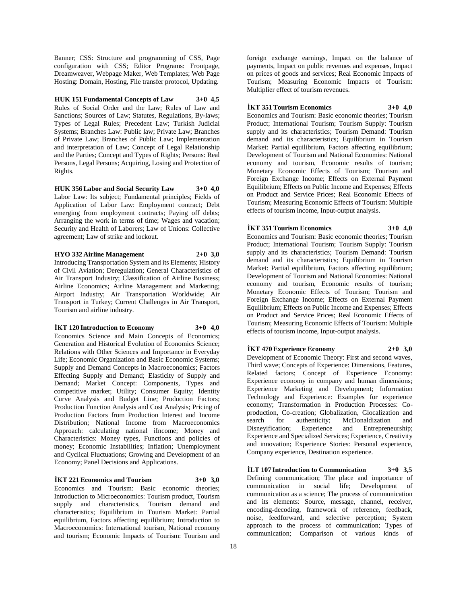Banner; CSS: Structure and programming of CSS, Page configuration with CSS; Editor Programs: Frontpage, Dreamweaver, Webpage Maker, Web Templates; Web Page Hosting: Domain, Hosting, File transfer protocol, Updating.

**HUK 151 Fundamental Concepts of Law 3+0 4,5** Rules of Social Order and the Law; Rules of Law and Sanctions; Sources of Law; Statutes, Regulations, By-laws; Types of Legal Rules; Precedent Law; Turkish Judicial Systems; Branches Law: Public law; Private Law; Branches of Private Law; Branches of Public Law; Implementation and interpretation of Law; Concept of Legal Relationship and the Parties; Concept and Types of Rights; Persons: Real Persons, Legal Persons; Acquiring, Losing and Protection of Rights.

**HUK 356 Labor and Social Security Law 3+0 4,0** Labor Law: Its subject; Fundamental principles; Fields of Application of Labor Law: Employment contract; Debt emerging from employment contracts; Paying off debts; Arranging the work in terms of time; Wages and vacation; Security and Health of Laborers; Law of Unions: Collective agreement; Law of strike and lockout.

**HYO 332 Airline Management 2+0 3,0** Introducing Transportation System and its Elements; History of Civil Aviation; Deregulation; General Characteristics of Air Transport Industry; Classification of Airline Business; Airline Economics; Airline Management and Marketing; Airport Industry; Air Transportation Worldwide; Air Transport in Turkey; Current Challenges in Air Transport, Tourism and airline industry.

**İKT 120 Introduction to Economy 3+0 4,0** Economics Science and Main Concepts of Economics; Generation and Historical Evolution of Economics Science; Relations with Other Sciences and Importance in Everyday Life; Economic Organization and Basic Economic Systems; Supply and Demand Concepts in Macroeconomics; Factors Effecting Supply and Demand; Elasticity of Supply and Demand; Market Concept: Components, Types and competitive market; Utility; Consumer Equity; Identity Curve Analysis and Budget Line; Production Factors; Production Function Analysis and Cost Analysis; Pricing of Production Factors from Production Interest and Income Distribution; National Income from Macroeconomics Approach: calculating national iIncome; Money and Characteristics: Money types, Functions and policies of money; Economic Instabilities; Inflation; Unemployment and Cyclical Fluctuations; Growing and Development of an Economy; Panel Decisions and Applications.

#### $\textbf{i}$ KT 221 Economics and Tourism  $3+0$  3.0

Economics and Tourism: Basic economic theories; Introduction to Microeconomics: Tourism product, Tourism supply and characteristics, Tourism demand and characteristics; Equilibrium in Tourism Market: Partial equilibrium, Factors affecting equilibrium; Introduction to Macroeconomics: International tourism, National economy and tourism; Economic Impacts of Tourism: Tourism and

foreign exchange earnings, Impact on the balance of payments, Impact on public revenues and expenses, Impact on prices of goods and services; Real Economic Impacts of Tourism; Measuring Economic Impacts of Tourism: Multiplier effect of tourism revenues.

## **İKT 351 Tourism Economics 3+0 4,0**

Economics and Tourism: Basic economic theories; Tourism Product; International Tourism; Tourism Supply: Tourism supply and its characteristics; Tourism Demand: Tourism demand and its characteristics; Equilibrium in Tourism Market: Partial equilibrium, Factors affecting equilibrium; Development of Tourism and National Economies: National economy and tourism, Economic results of tourism; Monetary Economic Effects of Tourism; Tourism and Foreign Exchange Income; Effects on External Payment Equilibrium; Effects on Public Income and Expenses; Effects on Product and Service Prices; Real Economic Effects of Tourism; Measuring Economic Effects of Tourism: Multiple effects of tourism income, Input-output analysis.

## **İKT 351 Tourism Economics 3+0 4,0**

Economics and Tourism: Basic economic theories; Tourism Product; International Tourism; Tourism Supply: Tourism supply and its characteristics; Tourism Demand: Tourism demand and its characteristics; Equilibrium in Tourism Market: Partial equilibrium, Factors affecting equilibrium; Development of Tourism and National Economies: National economy and tourism, Economic results of tourism; Monetary Economic Effects of Tourism; Tourism and Foreign Exchange Income; Effects on External Payment Equilibrium; Effects on Public Income and Expenses; Effects on Product and Service Prices; Real Economic Effects of Tourism; Measuring Economic Effects of Tourism: Multiple effects of tourism income, Input-output analysis.

## **İKT 470 Experience Economy 2+0 3,0**

Development of Economic Theory: First and second waves, Third wave; Concepts of Experience: Dimensions, Features, Related factors; Concept of Experience Economy: Experience economy in company and human dimensions; Experience Marketing and Development; Information Technology and Experience: Examples for experience economy; Transformation in Production Processes: Coproduction, Co-creation; Globalization, Glocalization and search for authenticity; McDonaldization and Disneyification; Experience and Entrepreneurship; Experience and Specialized Services; Experience, Creativity and innovation; Experience Stories: Personal experience, Company experience, Destination experience.

**İLT 107 Introduction to Communication 3+0 3,5** Defining communication; The place and importance of communication in social life; Development of communication as a science; The process of communication and its elements: Source, message, channel, receiver, encoding-decoding, framework of reference, feedback, noise, feedforward, and selective perception; System approach to the process of communication; Types of communication; Comparison of various kinds of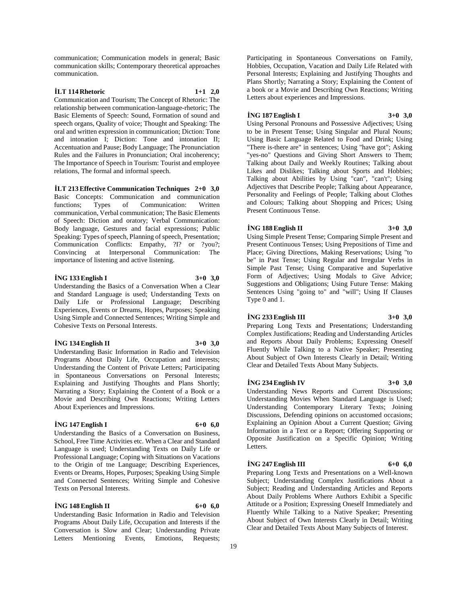communication; Communication models in general; Basic communication skills; Contemporary theoretical approaches communication.

## **İLT 114 Rhetoric 1+1 2,0**

Communication and Tourism; The Concept of Rhetoric: The relationship between communication-language-rhetoric; The Basic Elements of Speech: Sound, Formation of sound and speech organs, Quality of voice; Thought and Speaking: The oral and written expression in communication; Diction: Tone and intonation I; Diction: Tone and intonation II; Accentuation and Pause; Body Language; The Pronunciation Rules and the Failures in Pronunciation; Oral incoherency; The Importance of Speech in Tourism: Tourist and employee relations, The formal and informal speech.

**İLT 213 Effective Communication Techniques 2+0 3,0** Basic Concepts: Communication and communication functions; Types of Communication: Written communication, Verbal communication; The Basic Elements of Speech: Diction and oratory; Verbal Communication: Body language, Gestures and facial expressions; Public Speaking: Types of speech, Planning of speech, Presentation; Communication Conflicts: Empathy, ?I? or ?you?; Convincing at Interpersonal Communication: The importance of listening and active listening.

## **İNG 133 English I 3+0 3,0**

Understanding the Basics of a Conversation When a Clear and Standard Language is used; Understanding Texts on Daily Life or Professional Language; Describing Experiences, Events or Dreams, Hopes, Purposes; Speaking Using Simple and Connected Sentences; Writing Simple and Cohesive Texts on Personal Interests.

## **İNG 134 English II 3+0 3,0**

Understanding Basic Information in Radio and Television Programs About Daily Life, Occupation and interests; Understanding the Content of Private Letters; Participating in Spontaneous Conversations on Personal Interests; Explaining and Justifying Thoughts and Plans Shortly; Narrating a Story; Explaining the Content of a Book or a Movie and Describing Own Reactions; Writing Letters About Experiences and Impressions.

## **İNG 147 English I 6+0 6,0**

Understanding the Basics of a Conversation on Business, School, Free Time Activities etc. When a Clear and Standard Language is used; Understanding Texts on Daily Life or Professional Language; Coping with Situations on Vacations to the Origin of tne Language; Describing Experiences, Events or Dreams, Hopes, Purposes; Speaking Using Simple and Connected Sentences; Writing Simple and Cohesive Texts on Personal Interests.

## **İNG 148 English II 6+0 6,0**

Understanding Basic Information in Radio and Television Programs About Daily Life, Occupation and Interests if the Conversation is Slow and Clear; Understanding Private Letters Mentioning Events, Emotions, Requests; Participating in Spontaneous Conversations on Family, Hobbies, Occupation, Vacation and Daily Life Related with Personal Interests; Explaining and Justifying Thoughts and Plans Shortly; Narrating a Story; Explaining the Content of a book or a Movie and Describing Own Reactions; Writing Letters about experiences and Impressions.

## **İNG 187 English I 3+0 3,0**

Using Personal Pronouns and Possessive Adjectives; Using to be in Present Tense; Using Singular and Plural Nouns; Using Basic Language Related to Food and Drink; Using "There is-there are" in sentences; Using "have got"; Asking "yes-no" Questions and Giving Short Answers to Them; Talking about Daily and Weekly Routines; Talking about Likes and Dislikes; Talking about Sports and Hobbies; Talking about Abilities by Using "can", "can't"; Using Adjectives that Describe People; Talking about Appearance, Personality and Feelings of People; Talking about Clothes and Colours; Talking about Shopping and Prices; Using Present Continuous Tense.

## **İNG 188 English II 3+0 3,0**

Using Simple Present Tense; Comparing Simple Present and Present Continuous Tenses; Using Prepositions of Time and Place; Giving Directions, Making Reservations; Using "to be" in Past Tense; Using Regular and Irregular Verbs in Simple Past Tense; Using Comparative and Superlative Form of Adjectives; Using Modals to Give Advice; Suggestions and Obligations; Using Future Tense: Making Sentences Using "going to" and "will"; Using If Clauses Type 0 and 1.

## **İNG 233 English III 3+0 3,0**

Preparing Long Texts and Presentations; Understanding Complex Justifications; Reading and Understanding Articles and Reports About Daily Problems; Expressing Oneself Fluently While Talking to a Native Speaker; Presenting About Subject of Own Interests Clearly in Detail; Writing Clear and Detailed Texts About Many Subjects.

#### **İNG 234 English IV 3+0 3,0**

Understanding News Reports and Current Discussions; Understanding Movies When Standard Language is Used; Understanding Contemporary Literary Texts; Joining Discussions, Defending opinions on accustomed occasions; Explaining an Opinion About a Current Question; Giving Information in a Text or a Report; Offering Supporting or Opposite Justification on a Specific Opinion; Writing Letters.

## **İNG 247 English III 6+0 6,0**

Preparing Long Texts and Presentations on a Well-known Subject; Understanding Complex Justifications About a Subject; Reading and Understanding Articles and Reports About Daily Problems Where Authors Exhibit a Specific Attitude or a Position; Expressing Oneself Immediately and Fluently While Talking to a Native Speaker; Presenting About Subject of Own Interests Clearly in Detail; Writing Clear and Detailed Texts About Many Subjects of Interest.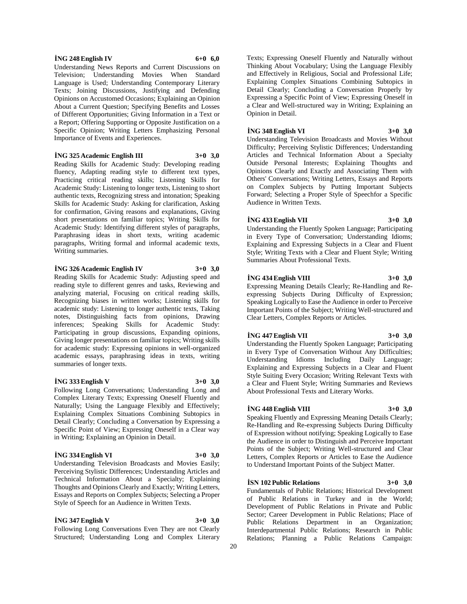## **İNG 248 English IV 6+0 6,0**

Understanding News Reports and Current Discussions on Television; Understanding Movies When Standard Language is Used; Understanding Contemporary Literary Texts; Joining Discussions, Justifying and Defending Opinions on Accustomed Occasions; Explaining an Opinion About a Current Question; Specifying Benefits and Losses of Different Opportunities; Giving Information in a Text or a Report; Offering Supporting or Opposite Justification on a Specific Opinion; Writing Letters Emphasizing Personal Importance of Events and Experiences.

#### **İNG 325 Academic English III 3+0 3,0**

Reading Skills for Academic Study: Developing reading fluency, Adapting reading style to different text types, Practicing critical reading skills; Listening Skills for Academic Study: Listening to longer texts, Listening to short authentic texts, Recognizing stress and intonation; Speaking Skills for Academic Study: Asking for clarification, Asking for confirmation, Giving reasons and explanations, Giving short presentations on familiar topics; Writing Skills for Academic Study: Identifying different styles of paragraphs, Paraphrasing ideas in short texts, writing academic paragraphs, Writing formal and informal academic texts, Writing summaries.

## **İNG 326 Academic English IV 3+0 3,0**

Reading Skills for Academic Study: Adjusting speed and reading style to different genres and tasks, Reviewing and analyzing material, Focusing on critical reading skills, Recognizing biases in written works; Listening skills for academic study: Listening to longer authentic texts, Taking notes, Distinguishing facts from opinions, Drawing inferences; Speaking Skills for Academic Study: Participating in group discussions, Expanding opinions, Giving longer presentations on familiar topics; Writing skills for academic study: Expressing opinions in well-organized academic essays, paraphrasing ideas in texts, writing summaries of longer texts.

## **İNG 333 English V 3+0 3,0**

Following Long Conversations; Understanding Long and Complex Literary Texts; Expressing Oneself Fluently and Naturally; Using the Language Flexibly and Effectively; Explaining Complex Situations Combining Subtopics in Detail Clearly; Concluding a Conversation by Expressing a Specific Point of View; Expressing Oneself in a Clear way in Writing; Explaining an Opinion in Detail.

## **İNG 334 English VI 3+0 3,0**

Understanding Television Broadcasts and Movies Easily; Perceiving Stylistic Differences; Understanding Articles and Technical Information About a Specialty; Explaining Thoughts and Opinions Clearly and Exactly; Writing Letters, Essays and Reports on Complex Subjects; Selecting a Proper Style of Speech for an Audience in Written Texts.

## **İNG 347 English V 3+0 3,0**

Following Long Conversations Even They are not Clearly Structured; Understanding Long and Complex Literary Texts; Expressing Oneself Fluently and Naturally without Thinking About Vocabulary; Using the Language Flexibly and Effectively in Religious, Social and Professional Life; Explaining Complex Situations Combining Subtopics in Detail Clearly; Concluding a Conversation Properly by Expressing a Specific Point of View; Expressing Oneself in a Clear and Well-structured way in Writing; Explaining an Opinion in Detail.

## **İNG 348 English VI 3+0 3,0**

Understanding Television Broadcasts and Movies Without Difficulty; Perceiving Stylistic Differences; Understanding Articles and Technical Information About a Specialty Outside Personal Interests; Explaining Thoughts and Opinions Clearly and Exactly and Associating Them with Others' Conversations; Writing Letters, Essays and Reports on Complex Subjects by Putting Important Subjects Forward; Selecting a Proper Style of Speechfor a Specific Audience in Written Texts.

## **İNG 433 English VII 3+0 3,0**

Understanding the Fluently Spoken Language; Participating in Every Type of Conversation; Understanding Idioms; Explaining and Expressing Subjects in a Clear and Fluent Style; Writing Texts with a Clear and Fluent Style; Writing Summaries About Professional Texts.

## **İNG 434 English VIII 3+0 3,0**

Expressing Meaning Details Clearly; Re-Handling and Reexpressing Subjects During Difficulty of Expression; Speaking Logically to Ease the Audience in order to Perceive Important Points of the Subject; Writing Well-structured and Clear Letters, Complex Reports or Articles.

#### **İNG 447 English VII 3+0 3,0**

Understanding the Fluently Spoken Language; Participating in Every Type of Conversation Without Any Difficulties; Understanding Idioms Including Daily Language; Explaining and Expressing Subjects in a Clear and Fluent Style Suiting Every Occasion; Writing Relevant Texts with a Clear and Fluent Style; Writing Summaries and Reviews About Professional Texts and Literary Works.

## **İNG 448 English VIII 3+0 3,0**

Speaking Fluently and Expressing Meaning Details Clearly; Re-Handling and Re-expressing Subjects During Difficulty of Expression without notifying; Speaking Logically to Ease the Audience in order to Distinguish and Perceive Important Points of the Subject; Writing Well-structured and Clear Letters, Complex Reports or Articles to Ease the Audience to Understand Important Points of the Subject Matter.

## **İSN 102 Public Relations 3+0 3,0**

Fundamentals of Public Relations; Historical Development of Public Relations in Turkey and in the World; Development of Public Relations in Private and Public Sector; Career Development in Public Relations; Place of Public Relations Department in an Organization; Interdepartmental Public Relations; Research in Public Relations; Planning a Public Relations Campaign: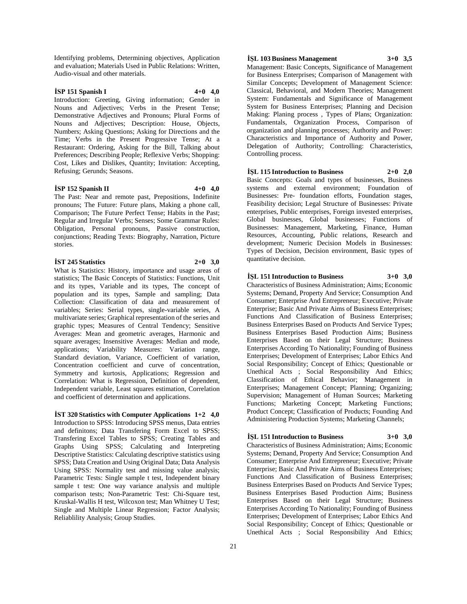Identifying problems, Determining objectives, Application and evaluation; Materials Used in Public Relations: Written, Audio-visual and other materials.

## **İSP 151 Spanish I 4+0 4,0**

Introduction: Greeting, Giving information; Gender in Nouns and Adjectives; Verbs in the Present Tense; Demonstrative Adjectives and Pronouns; Plural Forms of Nouns and Adjectives; Description: House, Objects, Numbers; Asking Questions; Asking for Directions and the Time; Verbs in the Present Progressive Tense; At a Restaurant: Ordering, Asking for the Bill, Talking about Preferences; Describing People; Reflexive Verbs; Shopping: Cost, Likes and Dislikes, Quantity; Invitation: Accepting, Refusing; Gerunds; Seasons.

## **İSP 152 Spanish II 4+0 4,0**

The Past: Near and remote past, Prepositions, Indefinite pronouns; The Future: Future plans, Making a phone call, Comparison; The Future Perfect Tense; Habits in the Past; Regular and Irregular Verbs; Senses; Some Grammar Rules: Obligation, Personal pronouns, Passive construction, conjunctions; Reading Texts: Biography, Narration, Picture stories.

## **İST 245 Statistics 2+0 3,0**

What is Statistics: History, importance and usage areas of statistics; The Basic Concepts of Statistics: Functions, Unit and its types, Variable and its types, The concept of population and its types, Sample and sampling; Data Collection: Classification of data and measurement of variables; Series: Serial types, single-variable series, A multivariate series; Graphical representation of the series and graphic types; Measures of Central Tendency; Sensitive Averages: Mean and geometric averages, Harmonic and square averages; Insensitive Averages: Median and mode, applications; Variability Measures: Variation range, Standard deviation, Variance, Coefficient of variation, Concentration coefficient and curve of concentration, Symmetry and kurtosis, Applications; Regression and Correlation: What is Regression, Definition of dependent, Independent variable, Least squares estimation, Correlation and coefficient of determination and applications.

**İST 320 Statistics with Computer Applications 1+2 4,0** Introduction to SPSS: Introducing SPSS menus, Data entries and definitons; Data Transfering Form Excel to SPSS; Transfering Excel Tables to SPSS; Creating Tables and Graphs Using SPSS; Calculating and Interpreting Descriptive Statistics: Calculating descriptive statistics using SPSS; Data Creation and Using Original Data; Data Analysis Using SPSS: Normality test and missing value analysis; Parametric Tests: Single sample t test, Independent binary sample t test: One way variance analysis and multiple comparison tests; Non-Parametric Test: Chi-Square test, Kruskal-Wallis H test, Wilcoxon test; Man Whitney U Test; Single and Multiple Linear Regression; Factor Analysis; Reliablility Analysis; Group Studies.

## **İŞL 103 Business Management 3+0 3,5**

Management: Basic Concepts, Significance of Management for Business Enterprises; Comparison of Management with Similar Concepts; Development of Management Science: Classical, Behavioral, and Modern Theories; Management System: Fundamentals and Significance of Management System for Business Enterprises; Planning and Decision Making: Planing process , Types of Plans; Organization: Fundamentals, Organization Process, Comparison of organization and planning processes; Authority and Power: Characteristics and Importance of Authority and Power, Delegation of Authority; Controlling: Characteristics, Controlling process.

## **İŞL 115 Introduction to Business 2+0 2,0**

Basic Concepts: Goals and types of businesses, Business systems and external environment; Foundation of Businesses: Pre- foundation efforts, Foundation stages, Feasibility decision; Legal Structure of Businesses: Private enterprises, Public enterprises, Foreign invested enterprises, Global businesses, Global businesses; Functions of Businesses: Management, Marketing, Finance, Human Resources, Accounting, Public relations, Research and development; Numeric Decision Models in Businesses: Types of Decision, Decision environment, Basic types of quantitative decision.

## **İŞL 151 Introduction to Business 3+0 3,0**

Characteristics of Business Administration; Aims; Economic Systems; Demand, Property And Service; Consumption And Consumer; Enterprise And Entrepreneur; Executive; Private Enterprise; Basic And Private Aims of Business Enterprises; Functions And Classification of Business Enterprises; Business Enterprises Based on Products And Service Types; Business Enterprises Based Production Aims; Business Enterprises Based on their Legal Structure; Business Enterprises According To Nationality; Founding of Business Enterprises; Development of Enterprises; Labor Ethics And Social Responsibility; Concept of Ethics; Questionable or Unethical Acts ; Social Responsibility And Ethics; Classification of Ethical Behavior; Management in Enterprises; Management Concept; Planning; Organizing; Supervision; Management of Human Sources; Marketing Functions; Marketing Concept; Marketing Functions; Product Concept; Classification of Products; Founding And Administering Production Systems; Marketing Channels;

## **İŞL 151 Introduction to Business 3+0 3,0**

Characteristics of Business Administration; Aims; Economic Systems; Demand, Property And Service; Consumption And Consumer; Enterprise And Entrepreneur; Executive; Private Enterprise; Basic And Private Aims of Business Enterprises; Functions And Classification of Business Enterprises; Business Enterprises Based on Products And Service Types; Business Enterprises Based Production Aims; Business Enterprises Based on their Legal Structure; Business Enterprises According To Nationality; Founding of Business Enterprises; Development of Enterprises; Labor Ethics And Social Responsibility; Concept of Ethics; Questionable or Unethical Acts ; Social Responsibility And Ethics;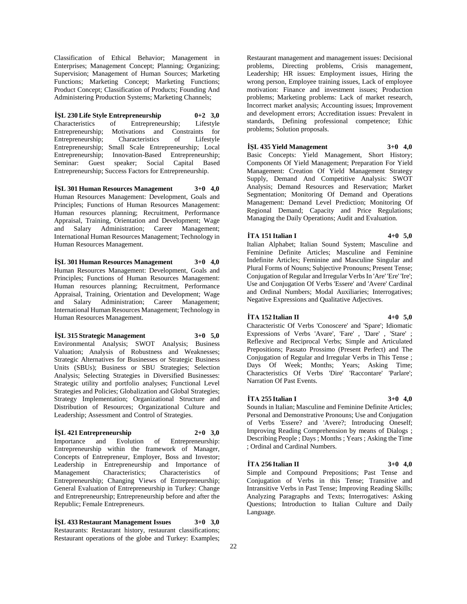Classification of Ethical Behavior; Management in Enterprises; Management Concept; Planning; Organizing; Supervision; Management of Human Sources; Marketing Functions; Marketing Concept; Marketing Functions; Product Concept; Classification of Products; Founding And Administering Production Systems; Marketing Channels;

## **İŞL 230 Life Style Entrepreneurship 0+2 3,0**

Characteristics of Entrepreneurship; Lifestyle Entrepreneurship; Motivations and Constraints for Entrepreneurship; Characteristics of Lifestyle Entrepreneurship; Small Scale Entrepreneurship; Local Entrepreneurship; Innovation-Based Entrepreneurship; Seminar: Guest speaker; Social Capital Based Entrepreneurship; Success Factors for Entrepreneurship.

**İŞL 301 Human Resources Management 3+0 4,0** Human Resources Management: Development, Goals and Principles; Functions of Human Resources Management: Human resources planning; Recruitment, Performance Appraisal, Training, Orientation and Development; Wage and Salary Administration; Career Management; International Human Resources Management; Technology in Human Resources Management.

**İŞL 301 Human Resources Management 3+0 4,0** Human Resources Management: Development, Goals and Principles; Functions of Human Resources Management: Human resources planning; Recruitment, Performance Appraisal, Training, Orientation and Development; Wage and Salary Administration; Career Management; International Human Resources Management; Technology in Human Resources Management.

**İŞL 315 Strategic Management 3+0 5,0** Environmental Analysis; SWOT Analysis; Business Valuation; Analysis of Robustness and Weaknesses; Strategic Alternatives for Businesses or Strategic Business Units (SBUs); Business or SBU Strategies; Selection Analysis; Selecting Strategies in Diversified Businesses: Strategic utility and portfolio analyses; Functional Level Strategies and Policies; Globalization and Global Strategies; Strategy Implementation; Organizational Structure and Distribution of Resources; Organizational Culture and Leadership; Assessment and Control of Strategies.

## **İŞL 421 Entrepreneurship 2+0 3,0**

Importance and Evolution of Entrepreneurship: Entrepreneurship within the framework of Manager, Concepts of Entrepreneur, Employer, Boss and Investor; Leadership in Entrepreneurship and Importance of Management Characteristics; Characteristics of Entrepreneurship; Changing Views of Entrepreneurship; General Evaluation of Entrepreneurship in Turkey: Change and Entrepreneurship; Entrepreneurship before and after the Republic; Female Entrepreneurs.

**İŞL 433 Restaurant Management Issues 3+0 3,0** Restaurants: Restaurant history, restaurant classifications; Restaurant operations of the globe and Turkey: Examples;

Restaurant management and management issues: Decisional problems, Directing problems, Crisis management, Leadership; HR issues: Employment issues, Hiring the wrong person, Employee training issues, Lack of employee motivation: Finance and investment issues; Production problems; Marketing problems: Lack of market research, Incorrect market analysis; Accounting issues; Improvement and development errors; Accreditation issues: Prevalent in standards, Defining professional competence; Ethic problems; Solution proposals.

## **İŞL 435 Yield Management 3+0 4,0**

Basic Concepts: Yield Management, Short History; Components Of Yield Management; Preparation For Yield Management: Creation Of Yield Management Strategy Supply, Demand And Competitive Analysis: SWOT Analysis; Demand Resources and Reservation; Market Segmentation; Monitoring Of Demand and Operations Management: Demand Level Prediction; Monitoring Of Regional Demand; Capacity and Price Regulations; Managing the Daily Operations; Audit and Evaluation.

## **İTA 151 Italian I 4+0 5,0**

Italian Alphabet; Italian Sound System; Masculine and Feminine Definite Articles; Masculine and Feminine Indefinite Articles; Feminine and Masculine Singular and Plural Forms of Nouns; Subjective Pronouns; Present Tense; Conjugation of Regular and Irregular Verbs In 'Are' 'Ere' 'Ire'; Use and Conjugation Of Verbs 'Essere' and 'Avere' Cardinal and Ordinal Numbers; Modal Auxiliaries; Interrogatives; Negative Expressions and Qualitative Adjectives.

#### **İTA 152 Italian II 4+0 5,0**

Characteristic Of Verbs 'Conoscere' and 'Spare'; Idiomatic Expressions of Verbs 'Avare', 'Fare' , 'Dare' , 'Stare' ; Reflexive and Reciprocal Verbs; Simple and Articulated Prepositions; Passato Prossimo (Present Perfect) and The Conjugation of Regular and Irregular Verbs in This Tense ; Days Of Week; Months; Years; Asking Time; Characteristics Of Verbs 'Dire' 'Raccontare' 'Parlare'; Narration Of Past Events.

#### **İTA 255 Italian I 3+0 4,0**

Sounds in Italian; Masculine and Feminine Definite Articles; Personal and Demonstrative Pronouns; Use and Conjugation of Verbs 'Essere? and 'Avere?; Introducing Oneself; Improving Reading Comprehension by means of Dialogs ; Describing People ; Days ; Months ; Years ; Asking the Time ; Ordinal and Cardinal Numbers.

#### **İTA 256 Italian II 3+0 4,0**

Simple and Compound Prepositions; Past Tense and Conjugation of Verbs in this Tense; Transitive and Intransitive Verbs in Past Tense; Improving Reading Skills; Analyzing Paragraphs and Texts; Interrogatives: Asking Questions; Introduction to Italian Culture and Daily Language.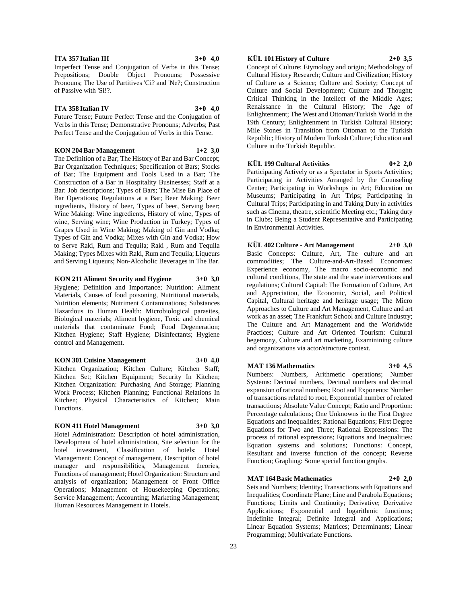Perfect Tense and the Conjugation of Verbs in this Tense.

**KON 204 Bar Management 1+2 3,0** The Definition of a Bar; The History of Bar and Bar Concept; Bar Organization Techniques; Specification of Bars; Stocks of Bar; The Equipment and Tools Used in a Bar; The Construction of a Bar in Hospitality Businesses; Staff at a Bar: Job descriptions; Types of Bars; The Mise En Place of Bar Operations; Regulations at a Bar; Beer Making: Beer ingredients, History of beer, Types of beer, Serving beer; Wine Making: Wine ingredients, History of wine, Types of wine, Serving wine; Wine Production in Turkey; Types of Grapes Used in Wine Making; Making of Gin and Vodka; Types of Gin and Vodka; Mixes with Gin and Vodka; How to Serve Raki, Rum and Tequila; Raki , Rum and Tequila Making; Types Mixes with Raki, Rum and Tequila; Liqueurs and Serving Liqueurs; Non-Alcoholic Beverages in The Bar.

**KON 211 Aliment Security and Hygiene 3+0 3,0** Hygiene; Definition and Importance; Nutrition: Aliment Materials, Causes of food poisoning, Nutritional materials, Nutrition elements; Nutriment Contaminations; Substances Hazardous to Human Health: Microbiological parasites, Biological materials; Aliment hygiene, Toxic and chemical materials that contaminate Food; Food Degeneration; Kitchen Hygiene; Staff Hygiene; Disinfectants; Hygiene control and Management.

**KON 301 Cuisine Management 3+0 4,0** Kitchen Organization; Kitchen Culture; Kitchen Staff; Kitchen Set; Kitchen Equipment; Security In Kitchen; Kitchen Organization: Purchasing And Storage; Planning Work Process; Kitchen Planning; Functional Relations In Kitchen; Physical Characteristics of Kitchen; Main Functions.

#### **KON 411 Hotel Management 3+0 3,0**

Hotel Administration: Description of hotel administration, Development of hotel administration, Site selection for the hotel investment, Classification of hotels; Hotel Management: Concept of management, Description of hotel manager and responsibilities, Management theories, Functions of management; Hotel Organization: Structure and analysis of organization; Management of Front Office Operations; Management of Housekeeping Operations; Service Management; Accounting; Marketing Management; Human Resources Management in Hotels.

## **KÜL 101 History of Culture 2+0 3,5**

Concept of Culture: Etymology and origin; Methodology of Cultural History Research; Culture and Civilization; History of Culture as a Science; Culture and Society; Concept of Culture and Social Development; Culture and Thought; Critical Thinking in the Intellect of the Middle Ages; Renaissance in the Cultural History; The Age of Enlightenment; The West and Ottoman/Turkish World in the 19th Century; Enlightenment in Turkish Cultural History; Mile Stones in Transition from Ottoman to the Turkish Republic; History of Modern Turkish Culture; Education and Culture in the Turkish Republic.

## **KÜL 199 Cultural Activities 0+2 2,0**

Participating Actively or as a Spectator in Sports Activities; Participating in Activities Arranged by the Counseling Center; Participating in Workshops in Art; Education on Museums; Participating in Art Trips; Participating in Cultural Trips; Participating in and Taking Duty in activities such as Cinema, theatre, scientific Meeting etc.; Taking duty in Clubs; Being a Student Representative and Participating in Environmental Activities.

## **KÜL 402 Culture - Art Management 2+0 3,0** Basic Concepts: Culture, Art, The culture and art

commodities; The Culture-and-Art-Based Economies: Experience economy, The macro socio-economic and cultural conditions, The state and the state interventions and regulations; Cultural Capital: The Formation of Culture, Art and Appreciation, the Economic, Social, and Political Capital, Cultural heritage and heritage usage; The Micro Approaches to Culture and Art Management, Culture and art work as an asset; The Frankfurt School and Culture Industry; The Culture and Art Management and the Worldwide Practices; Culture and Art Oriented Tourism: Cultural hegemony, Culture and art marketing, Examinining culture and organizations via actor/structure context.

#### **MAT 136 Mathematics 3+0 4,5**

Numbers: Numbers, Arithmetic operations; Number Systems: Decimal numbers, Decimal numbers and decimal expansion of rational numbers; Root and Exponents: Number of transactions related to root, Exponential number of related transactions; Absolute Value Concept; Ratio and Proportion: Percentage calculations; One Unknowns in the First Degree Equations and Inequalities; Rational Equations; First Degree Equations for Two and Three; Rational Expressions: The process of rational expressions; Equations and Inequalities: Equation systems and solutions; Functions: Concept, Resultant and inverse function of the concept; Reverse Function; Graphing: Some special function graphs.

## **MAT 164 Basic Mathematics 2+0 2,0**

Sets and Numbers; Identity; Transactions with Equations and Inequalities; Coordinate Plane; Line and Parabola Equations; Functions; Limits and Continuity; Derivative; Derivative Applications; Exponential and logarithmic functions; Indefinite Integral; Definite Integral and Applications; Linear Equation Systems; Matrices; Determinants; Linear Programming; Multivariate Functions.

**İTA 357 Italian III 3+0 4,0**

Imperfect Tense and Conjugation of Verbs in this Tense; Prepositions; Double Object Pronouns; Possessive Pronouns; The Use of Partitives 'Ci? and 'Ne?; Construction of Passive with 'Si!?.

Future Tense; Future Perfect Tense and the Conjugation of Verbs in this Tense; Demonstrative Pronouns; Adverbs; Past

## **İTA 358 Italian IV 3+0 4,0**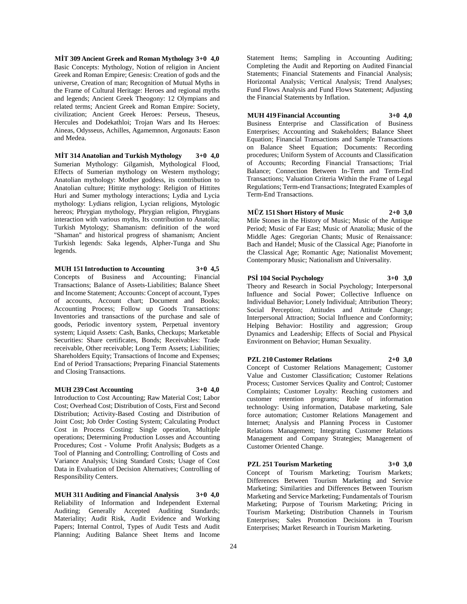**MİT 309 Ancient Greek and Roman Mythology 3+0 4,0** Basic Concepts: Mythology, Notion of religion in Ancient Greek and Roman Empire; Genesis: Creation of gods and the universe, Creation of man; Recognition of Mutual Myths in the Frame of Cultural Heritage: Heroes and regional myths and legends; Ancient Greek Theogony: 12 Olympians and related terms; Ancient Greek and Roman Empire: Society, civilization; Ancient Greek Heroes: Perseus, Theseus, Hercules and Dodekathloi; Trojan Wars and Its Heroes: Aineas, Odysseus, Achilles, Agamemnon, Argonauts: Eason and Medea.

**MİT 314 Anatolian and Turkish Mythology 3+0 4,0** Sumerian Mythology: Gilgamish, Mythological Flood, Effects of Sumerian mythology on Western mythology; Anatolian mythology: Mother goddess, its contribution to Anatolian culture; Hittite mythology: Religion of Hittites Huri and Sumer mythology interactions; Lydia and Lycia mythology: Lydians religion, Lycian religions, Mytologic hereos; Phrygian mythology, Phrygian religion, Phrygians interaction with various myths, Its contribution to Anatolia; Turkish Mytology; Shamanism: definition of the word "Shaman" and historical progress of shamanism; Ancient Turkish legends: Saka legends, Alpher-Tunga and Shu legends.

**MUH 151 Introduction to Accounting 3+0 4,5**

Concepts of Business and Accounting; Financial Transactions; Balance of Assets-Liabilities; Balance Sheet and Income Statement; Accounts: Concept of account, Types of accounts, Account chart; Document and Books; Accounting Process; Follow up Goods Transactions: Inventories and transactions of the purchase and sale of goods, Periodic inventory system, Perpetual inventory system; Liquid Assets: Cash, Banks, Checkups; Marketable Securities: Share certificates, Bonds; Receivables: Trade receivable, Other receivable; Long Term Assets; Liabilities; Shareholders Equity; Transactions of Income and Expenses; End of Period Transactions; Preparing Financial Statements and Closing Transactions.

## **MUH 239 Cost Accounting 3+0 4,0**

Introduction to Cost Accounting; Raw Material Cost; Labor Cost; Overhead Cost; Distribution of Costs, First and Second Distribution; Activity-Based Costing and Distribution of Joint Cost; Job Order Costing System; Calculating Product Cost in Process Costing: Single operation, Multiple operations; Determining Production Losses and Accounting Procedures; Cost - Volume Profit Analysis; Budgets as a Tool of Planning and Controlling; Controlling of Costs and Variance Analysis; Using Standard Costs; Usage of Cost Data in Evaluation of Decision Alternatives; Controlling of Responsibility Centers.

**MUH 311 Auditing and Financial Analysis 3+0 4,0** Reliability of Information and Independent External Auditing; Generally Accepted Auditing Standards; Materiality; Audit Risk, Audit Evidence and Working Papers; Internal Control, Types of Audit Tests and Audit Planning; Auditing Balance Sheet Items and Income

Statement Items; Sampling in Accounting Auditing; Completing the Audit and Reporting on Audited Financial Statements; Financial Statements and Financial Analysis; Horizontal Analysis; Vertical Analysis; Trend Analyses; Fund Flows Analysis and Fund Flows Statement; Adjusting the Financial Statements by Inflation.

## **MUH 419 Financial Accounting 3+0 4,0**

Business Enterprise and Classification of Business Enterprises; Accounting and Stakeholders; Balance Sheet Equation; Financial Transactions and Sample Transactions on Balance Sheet Equation; Documents: Recording procedures; Uniform System of Accounts and Classification of Accounts; Recording Financial Transactions; Trial Balance; Connection Between In-Term and Term-End Transactions; Valuation Criteria Within the Frame of Legal Regulations; Term-end Transactions; Integrated Examples of Term-End Transactions.

## **MÜZ 151 Short History of Music 2+0 3,0**

Mile Stones in the History of Music; Music of the Antique Period; Music of Far East; Music of Anatolia; Music of the Middle Ages: Gregorian Chants; Music of Renaissance: Bach and Handel; Music of the Classical Age; Pianoforte in the Classical Age; Romantic Age; Nationalist Movement; Contemporary Music; Nationalism and Universality.

**PSİ 104 Social Psychology 3+0 3,0**

Theory and Research in Social Psychology; Interpersonal Influence and Social Power; Collective Influence on Individual Behavior; Lonely Individual; Attribution Theory; Social Perception; Attitudes and Attitude Change; Interpersonal Attraction; Social Influence and Conformity; Helping Behavior: Hostility and aggression; Group Dynamics and Leadership; Effects of Social and Physical Environment on Behavior; Human Sexuality.

## **PZL 210 Customer Relations 2+0 3,0**

Concept of Customer Relations Management; Customer Value and Customer Classification; Customer Relations Process; Customer Services Quality and Control; Customer Complaints; Customer Loyalty: Reaching customers and customer retention programs; Role of information technology: Using information, Database marketing, Sale force automation; Customer Relations Management and Internet; Analysis and Planning Process in Customer Relations Management; Integrating Customer Relations Management and Company Strategies; Management of Customer Oriented Change.

**PZL 251 Tourism Marketing 3+0 3,0** Concept of Tourism Marketing; Tourism Markets; Differences Between Tourism Marketing and Service Marketing; Similarities and Differences Between Tourism Marketing and Service Marketing; Fundamentals of Tourism Marketing; Purpose of Tourism Marketing; Pricing in Tourism Marketing; Distribution Channels in Tourism Enterprises; Sales Promotion Decisions in Tourism Enterprises; Market Research in Tourism Marketing.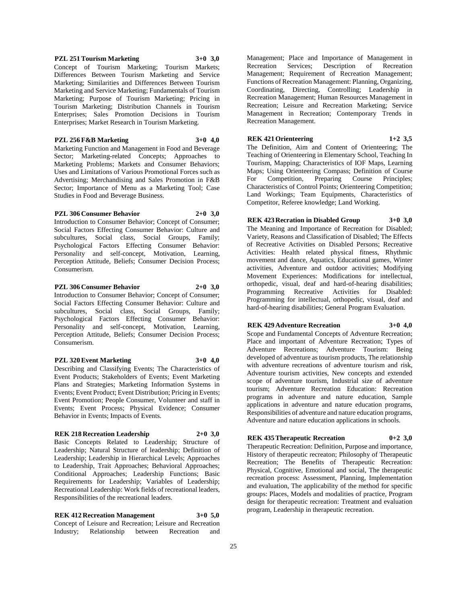## **PZL 251 Tourism Marketing 3+0 3,0**

Concept of Tourism Marketing; Tourism Markets; Differences Between Tourism Marketing and Service Marketing; Similarities and Differences Between Tourism Marketing and Service Marketing; Fundamentals of Tourism Marketing; Purpose of Tourism Marketing; Pricing in Tourism Marketing; Distribution Channels in Tourism Enterprises; Sales Promotion Decisions in Tourism Enterprises; Market Research in Tourism Marketing.

## **PZL 256 F&B Marketing 3+0 4,0**

Marketing Function and Management in Food and Beverage Sector; Marketing-related Concepts; Approaches to Marketing Problems; Markets and Consumer Behaviors; Uses and Limitations of Various Promotional Forces such as Advertising; Merchandising and Sales Promotion in F&B Sector; Importance of Menu as a Marketing Tool; Case Studies in Food and Beverage Business.

## **PZL 306 Consumer Behavior 2+0 3,0**

Introduction to Consumer Behavior; Concept of Consumer; Social Factors Effecting Consumer Behavior: Culture and subcultures, Social class, Social Groups, Family; Psychological Factors Effecting Consumer Behavior: Personality and self-concept, Motivation, Learning, Perception Attitude, Beliefs; Consumer Decision Process; Consumerism.

## **PZL 306 Consumer Behavior 2+0 3,0**

Introduction to Consumer Behavior; Concept of Consumer; Social Factors Effecting Consumer Behavior: Culture and subcultures, Social class, Social Groups, Family; Psychological Factors Effecting Consumer Behavior: Personality and self-concept, Motivation, Learning, Perception Attitude, Beliefs; Consumer Decision Process; Consumerism.

## **PZL 320 Event Marketing 3+0 4,0**

Describing and Classifying Events; The Characteristics of Event Products; Stakeholders of Events; Event Marketing Plans and Strategies; Marketing Information Systems in Events; Event Product; Event Distribution; Pricing in Events; Event Promotion; People Consumer, Volunteer and staff in Events; Event Process; Physical Evidence; Consumer Behavior in Events; Impacts of Events.

#### **REK 218 Recreation Leadership 2+0 3,0**

Basic Concepts Related to Leadership; Structure of Leadership; Natural Structure of leadership; Definition of Leadership; Leadership in Hierarchical Levels; Approaches to Leadership, Trait Approaches; Behavioral Approaches; Conditional Approaches; Leadership Functions; Basic Requirements for Leadership; Variables of Leadership; Recreational Leadership: Work fields of recreational leaders, Responsibilities of the recreational leaders.

**REK 412 Recreation Management 3+0 5,0** Concept of Leisure and Recreation; Leisure and Recreation Industry; Relationship between Recreation and

Management; Place and Importance of Management in Recreation Services; Description of Recreation Management; Requirement of Recreation Management; Functions of Recreation Management: Planning, Organizing, Coordinating, Directing, Controlling; Leadership in Recreation Management; Human Resources Management in Recreation; Leisure and Recreation Marketing; Service Management in Recreation; Contemporary Trends in Recreation Management.

## **REK 421 Orienteering 1+2 3,5**

The Definition, Aim and Content of Orienteering; The Teaching of Orienteering in Elementary School, Teaching In Tourism, Mapping; Characteristics of IOF Maps, Learning Maps; Using Orienteering Compass; Definition of Course For Competition, Preparing Course Principles; Characteristics of Control Points; Orienteering Competition; Land Workings; Team Equipments, Characteristics of Competitor, Referee knowledge; Land Working.

## **REK 423 Recration in Disabled Group 3+0 3,0**

The Meaning and Importance of Recreation for Disabled; Variety, Reasons and Classification of Disabled; The Effects of Recreative Activities on Disabled Persons; Recreative Activities: Health related physical fitness, Rhythmic movement and dance, Aquatics, Educational games, Winter activities, Adventure and outdoor activities; Modifying Movement Experiences: Modifications for intellectual, orthopedic, visual, deaf and hard-of-hearing disabilities; Programming Recreative Activities for Disabled: Programming for intellectual, orthopedic, visual, deaf and hard-of-hearing disabilities; General Program Evaluation.

#### **REK 429 Adventure Recreation 3+0 4,0**

Scope and Fundamental Concepts of Adventure Recreation; Place and important of Adventure Recreation; Types of Adventure Recreations; Adventure Tourism: Being developed of adventure as tourism products, The relationship with adventure recreations of adventure tourism and risk, Adventure tourism activities, New concepts and extended scope of adventure tourism, Industrial size of adventure tourism; Adventure Recreation Education: Recreation programs in adventure and nature education, Sample applications in adventure and nature education programs, Responsibilities of adventure and nature education programs, Adventure and nature education applications in schools.

#### **REK 435 Therapeutic Recreation 0+2 3,0**

Therapeutic Recreation: Definition, Purpose and importance, History of therapeutic recreaton; Philosophy of Therapeutic Recreation; The Benefits of Therapeutic Recreation: Physical, Cognitive, Emotional and social, The therapeutic recreation process: Assessment, Planning, Implementation and evaluation, The applicability of the method for specific groups: Places, Models and modalities of practice, Program design for therapeutic recreation: Treatment and evaluation program, Leadership in therapeutic recreation.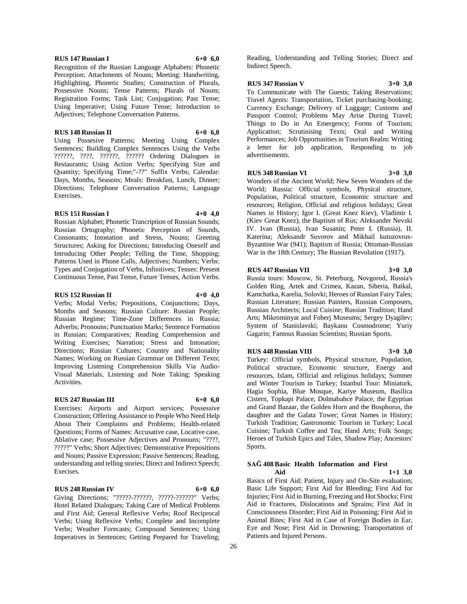## **RUS 147 Russian I 6+0 6,0**

Recognition of the Russian Language Alphabets: Phonetic Perception; Attachments of Nouns; Meeting: Handwriting, Highlighting, Phonetic Studies; Construction of Plurals, Possessive Nouns; Tense Patterns; Plurals of Nouns; Registration Forms; Task List; Conjugation; Past Tense; Using Imperative; Using Future Tense; Introduction to Adjectives; Telephone Conversation Patterns.

### **RUS 148 Russian II 6+0 6,0**

Using Possesive Patterns; Meeting Using Complex Sentences; Building Complex Sentences Using the Verbs ??????, ????, ??????, ?????? Ordering Dialogues in Restaurants; Using Action Verbs; Specifying Size and Quantity; Specifying Time;"-??" Suffix Verbs; Calendar: Days, Months, Seasons; Meals: Breakfast, Lunch, Dinner; Directions; Telephone Conversation Patterns; Language Exercises.

## **RUS 151 Russian I 4+0 4,0**

Russian Alphabet; Phonetic Trancription of Russian Sounds; Russian Ortography; Phonetic Perception of Sounds, Consonants; Intonation and Stress, Nouns; Greeting Structures; Asking for Directions; Introducing Oneself and Introducing Other People; Telling the Time, Shopping; Patterns Used in Phone Calls, Adjectives; Numbers; Verbs: Types and Conjugation of Verbs, Infinitives; Tenses: Present Continuous Tense, Past Tense, Future Tenses, Action Verbs.

## **RUS 152 Russian II 4+0 4,0**

Verbs; Modal Verbs; Prepositions, Conjunctions; Days, Months and Seasons; Russian Culture: Russian People; Russian Regime; Time-Zone Differences in Russia; Adverbs; Pronouns; Punctuation Marks; Sentence Formation in Russian; Comparatives; Reading Comprehension and Writing Exercises; Narration; Stress and Intonation; Directions; Russian Cultures; Country and Nationality Names; Working on Russian Grammar on Different Texts; Improving Listening Comprehension Skills Via Audio-Visual Materials, Listening and Note Taking; Speaking Activities.

#### **RUS 247 Russian III 6+0 6,0**

Exercises: Airports and Airport services; Possessive Construction; Offering Assistance to People Who Need Help About Their Complaints and Problems; Health-related Questions; Forms of Names: Accusative case, Locative case, Ablative case; Possessive Adjectives and Pronouns; "????, ?????" Verbs; Short Adjectives; Demonstrative Prepositions and Nouns; Passive Expression; Passive Sentences; Reading, understanding and telling stories; Direct and Indirect Speech; Execises.

#### **RUS 248 Russian IV 6+0 6,0**

Giving Directions; "?????-??????, ?????-??????" Verbs; Hotel Related Dialogues; Taking Care of Medical Problems and First Aid; General Reflexive Verbs; Roof Reciprocal Verbs; Using Reflexive Verbs; Complete and Incomplete Verbs; Weather Forecasts; Compound Sentences; Using Imperatives in Sentences; Getting Prepared for Traveling;

Reading, Understanding and Telling Stories; Direct and Indirect Speech.

## **RUS 347 Russian V 3+0 3,0**

To Communicate with The Guests; Taking Reservations; Travel Agents: Transportation, Ticket purchasing-booking; Currency Exchange; Delivery of Luggage; Customs and Passport Control; Problems May Arise During Travel; Things to Do in An Emergency; Forms of Tourism; Application; Scrutinising Texts; Oral and Writing Performances; Job Opportunities in Tourism Realm: Writing a letter for job application, Responding to job advertisements.

#### **RUS 348 Russian VI 3+0 3,0**

Wonders of the Ancient World; New Seven Wonders of the World; Russia: Official symbols, Physical structure, Population, Political structure, Economic structure and resources; Religion, Official and religious holidays; Great Names in History; Igor I. (Great Knez Kiev), Vladimir I. (Kiev Great Knez), the Baptism of Rus; Aleksander Nevski IV. Ivan (Russia), Ivan Susanin; Peter I. (Russia), II. Katerina; Aleksandr Suvorov and Mikhail kutuzovrus-Byzantine War (941); Baptism of Russia; Ottoman-Russian War in the 18th Century; The Russian Revolution (1917).

## **RUS 447 Russian VII 3+0 3,0**

Russia tours: Moscow, St. Peterburg, Novgorod, Russia's Golden Ring, Artek and Crimea, Kazan, Siberia, Baikal, Kamchatka, Karelia, Solovki; Heroes of Russian Fairy Tales; Russian Literature; Russian Painters, Russian Composers, Russian Architects; Local Cuisine; Russian Tradition; Hand Arts; Mikrominyat and Foberj Museums; Sergey Dyagilev; System of Stanislavski; Baykanu Cosmodrome; Yuriy Gagarin; Famous Russian Scientists; Russian Sports.

## **RUS 448 Russian VIII 3+0 3,0**

Turkey: Official symbols, Physical structure, Population, Political structure, Economic structure, Energy and resources, Islam, Official and religious holidays; Summer and Winter Tourism in Turkey; Istanbul Tour: Miniaturk, Hagia Sophia, Blue Mosque, Kariye Museum, Basilica Cistern, Topkapi Palace, Dolmabahce Palace, the Egyptian and Grand Bazaar, the Golden Horn and the Bosphorus, the daughter and the Galata Tower; Great Names in History; Turkish Tradition; Gastronomic Tourism in Turkey; Local Cuisine; Turkish Coffee and Tea; Hand Arts; Folk Songs; Heroes of Turkish Epics and Tales, Shadow Play; Ancestors' Sports.

## **SAĞ 408 Basic Health Information and First**

**Aid 1+1 3,0** Basics of First Aid; Patient, Injury and On-Site evaluation; Basic Life Support; First Aid for Bleeding; First Aid for Injuries; First Aid in Burning, Freezing and Hot Shocks; First Aid in Fractures, Dislocations and Sprains; First Aid in Consciousness Disorder; First Aid in Poisoning; First Aid in Animal Bites; First Aid in Case of Foreign Bodies in Ear, Eye and Nose; First Aid in Drowning; Transportation of Patients and Injured Persons.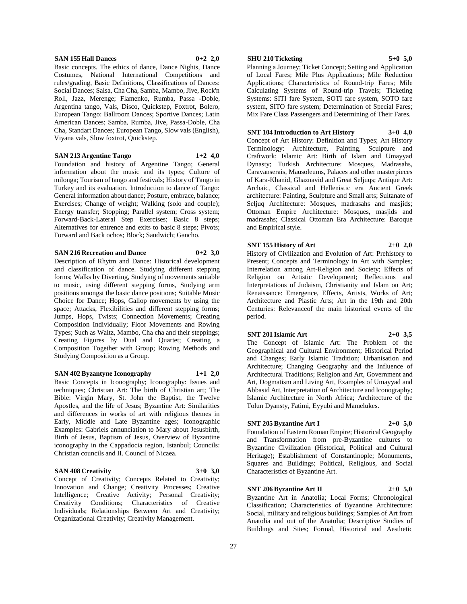## **SAN 155 Hall Dances 0+2 2,0**

Basic concepts. The ethics of dance, Dance Nights, Dance Costumes, National International Competitions and rules/grading, Basic Definitions, Classifications of Dances: Social Dances; Salsa, Cha Cha, Samba, Mambo, Jive, Rock'n Roll, Jazz, Merenge; Flamenko, Rumba, Passa -Doble, Argentina tango, Vals, Disco, Quickstep, Foxtrot, Bolero, European Tango: Ballroom Dances; Sportive Dances; Latin American Dances; Samba, Rumba, Jive, Passa-Doble, Cha Cha, Standart Dances; European Tango, Slow vals (English), Viyana vals, Slow foxtrot, Quickstep.

**SAN 213 Argentine Tango 1+2 4,0**

Foundation and history of Argentine Tango; General information about the music and its types; Culture of milonga; Tourism of tango and festivals; History of Tango in Turkey and its evaluation. Introduction to dance of Tango: General information about dance; Posture, embrace, balance; Exercises; Change of weight; Walking (solo and couple); Energy transfer; Stopping; Parallel system; Cross system; Forward-Back-Lateral Step Exercises; Basic 8 steps; Alternatives for entrence and exits to basic 8 steps; Pivots; Forward and Back ochos; Block; Sandwich; Gancho.

**SAN 216 Recreation and Dance 0+2 3,0**

Description of Rhytm and Dance: Historical development and classification of dance. Studying different stepping forms; Walks by Diverting, Studying of movements suitable to music, using different stepping forms, Studying arm positions amongst the basic dance positions; Suitable Music Choice for Dance; Hops, Gallop movements by using the space; Attacks, Flexibilities and different stepping forms; Jumps, Hops, Twists; Connection Movements; Creating Composition Individually; Floor Movements and Rowing Types; Such as Waltz, Mambo, Cha cha and their steppings; Creating Figures by Dual and Quartet; Creating a Composition Together with Group; Rowing Methods and Studying Composition as a Group.

**SAN 402 Byzantyne Iconography 1+1 2,0**

Basic Concepts in Iconography; Iconography: Issues and techniques; Christian Art: The birth of Christian art; The Bible: Virgin Mary, St. John the Baptist, the Twelve Apostles, and the life of Jesus; Byzantine Art: Similarities and differences in works of art with religious themes in Early, Middle and Late Byzantine ages; Iconographic Examples: Gabriels annunciation to Mary about Jesusbirth, Birth of Jesus, Baptism of Jesus, Overview of Byzantine iconography in the Cappadocia region, Istanbul; Councils: Christian councils and II. Council of Nicaea.

## **SAN 408 Creativity 3+0 3,0**

Concept of Creativity; Concepts Related to Creativity; Innovation and Change; Creativity Processes; Creative Intelligence; Creative Activity; Personal Creativity; Creativity Conditions; Characteristics of Creative Individuals; Relationships Between Art and Creativity; Organizational Creativity; Creativity Management.

## **SHU 210 Ticketing 5+0 5,0**

Planning a Journey; Ticket Concept; Setting and Application of Local Fares; Mile Plus Applications; Mile Reduction Applications; Characteristics of Round-trip Fares; Mile Calculating Systems of Round-trip Travels; Ticketing Systems: SITI fare System, SOTI fare system, SOTO fare system, SITO fare system; Determination of Special Fares; Mix Fare Class Passengers and Determining of Their Fares.

## **SNT 104 Introduction to Art History 3+0 4,0**

Concept of Art History: Definition and Types; Art History Terminology: Architecture, Painting, Sculpture and Craftwork; Islamic Art: Birth of Islam and Umayyad Dynasty; Turkish Architecture: Mosques, Madrasahs, Caravanserais, Mausoleums, Palaces and other masterpieces of Kara-Khanid, Ghaznavid and Great Seljuqs; Antique Art: Archaic, Classical and Hellenistic era Ancient Greek architecture: Painting, Sculpture and Small arts; Sultanate of Seljuq Architecture: Mosques, madrasahs and masjids; Ottoman Empire Architecture: Mosques, masjids and madrasahs; Classical Ottoman Era Architecture: Baroque and Empirical style.

### **SNT 155 History of Art 2+0 2,0**

History of Civilization and Evolution of Art: Prehistory to Present; Concepts and Terminology in Art with Samples; Interrelation among Art-Religion and Society; Effects of Religion on Artistic Development; Reflections and Interpretations of Judaism, Christianity and Islam on Art; Renaissance: Emergence, Effects, Artists, Works of Art; Architecture and Plastic Arts; Art in the 19th and 20th Centuries: Relevanceof the main historical events of the period.

#### **SNT 201 Islamic Art 2+0 3,5**

The Concept of Islamic Art: The Problem of the Geographical and Cultural Environment; Historical Period and Changes; Early Islamic Tradition; Urbanisation and Architecture; Changing Geography and the Influence of Architectural Traditions; Religion and Art, Government and Art, Dogmatism and Living Art, Examples of Umayyad and Abbasid Art, Interpretation of Architecture and Iconography; Islamic Architecture in North Africa; Architecture of the Tolun Dyansty, Fatimi, Eyyubi and Mamelukes.

## **SNT 205 Byzantine Art I 2+0 5,0**

Foundation of Eastern Roman Empire; Historical Geography and Transformation from pre-Byzantine cultures to Byzantine Civilization (Historical, Political and Cultural Heritage); Establishment of Constantinople; Monuments, Squares and Buildings; Political, Religious, and Social Characteristics of Byzantine Art.

#### **SNT 206 Byzantine Art II 2+0 5,0**

Byzantine Art in Anatolia; Local Forms; Chronological Classification; Characteristics of Byzantine Architecture: Social, military and religious buildings; Samples of Art from Anatolia and out of the Anatolia; Descriptive Studies of Buildings and Sites; Formal, Historical and Aesthetic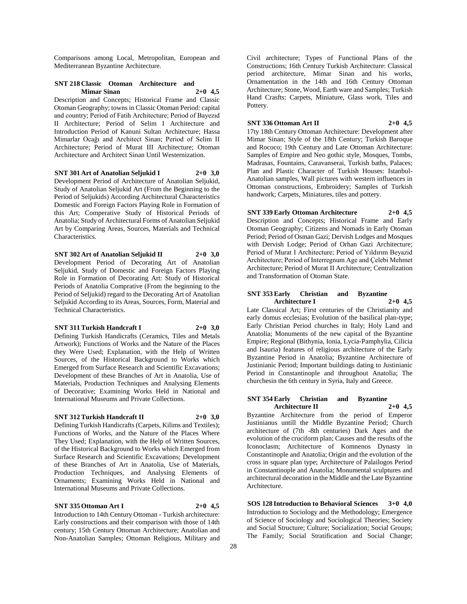Comparisons among Local, Metropolitan, European and Mediterranean Byzantine Architecture.

## **SNT 218 Classic Otoman Architecture and Mimar Sinan 2+0 4,5**

Description and Concepts; Historical Frame and Classic Otoman Geography; towns in Classic Otoman Period: capital and country; Period of Fatih Architecture; Period of Bayezıd II Architecture; Period of Selim I Architecture and Introduction Period of Kanuni Sultan Architecture; Hassa Mimarlar Ocağı and Architect Sinan; Period of Selim II Architecture; Period of Murat III Architecture; Otoman Architecture and Architect Sinan Until Westernization.

## **SNT 301 Art of Anatolian Seljukid I 2+0 3,0**

Development Period of Architecture of Anatolian Seljukid, Study of Anatolian Seljukid Art (From the Beginning to the Period of Seljukids) According Architectural Characteristics Domestic and Foreign Factors Playing Role in Formation of this Art; Comperative Study of Historical Periods of Anatolia; Study of Architectural Forms of Anatolian Seljukid Art by Comparing Areas, Sources, Materials and Technical Characteristics.

**SNT 302 Art of Anatolian Seljukid II 2+0 3,0** Development Period of Decorating Art of Anatolian Seljukid, Study of Domestic and Foreign Factors Playing Role in Formation of Decorating Art: Study of Historical Periods of Anatolia Comprative (From the beginning to the Period of Seljukid) regard to the Decorating Art of Anatolian Seljukid According to its Areas, Sources, Form, Material and Technical Characteristics.

#### **SNT 311 Turkish Handcraft I 2+0 3,0**

Defining Turkish Handicrafts (Ceramics, Tiles and Metals Artwork); Functions of Works and the Nature of the Places they Were Used; Explanation, with the Help of Written Sources, of the Historical Background to Works which Emerged from Surface Research and Scientific Excavations; Development of these Branches of Art in Anatolia, Use of Materials, Production Techniques and Analysing Elements of Decorative; Examining Works Held in National and International Museums and Private Collections.

## **SNT 312 Turkish Handcraft II 2+0 3,0**

Defining Turkish Handicrafts (Carpets, Kilims and Textiles); Functions of Works, and the Nature of the Places Where They Used; Explanation, with the Help of Written Sources, of the Historical Background to Works which Emerged from Surface Research and Scientific Excavations; Development of these Branches of Art in Anatolia, Use of Materials, Production Techniques, and Analysing Elements of Ornaments; Examining Works Held in National and International Museums and Private Collections.

## **SNT 335 Ottoman Art I 2+0 4,5**

Introduction to 14th Century Ottoman - Turkish architecture: Early constructions and their comparison with those of 14th century; 15th Century Ottoman Architecture; Anatolian and Non-Anatolian Samples; Ottoman Religious, Military and Civil architecture; Types of Functional Plans of the Constructions; 16th Century Turkish Architecture: Classical period architecture, Mimar Sinan and his works, Ornamentation in the 14th and 16th Century Ottoman Architecture; Stone, Wood, Earth ware and Samples; Turkish Hand Crasfts: Carpets, Miniature, Glass work, Tiles and Pottery.

## **SNT 336 Ottoman Art II 2+0 4,5**

17ty 18th Century Ottoman Architecture: Development after Mimar Sinan; Style of the 18th Century; Turkish Baroque and Rococo; 19th Century and Late Ottoman Architecture: Samples of Empire and Neo gothic style, Mosques, Tombs, Madrasas, Fountains, Caravanserai, Turkish baths, Palaces; Plan and Plastic Character of Turkish Houses: Istanbul-Anatolian samples, Wall pictures with western influences in Ottoman constructions, Embroidery; Samples of Turkish handwork; Carpets, Miniatures, tiles and pottery.

**SNT 339 Early Ottoman Architecture 2+0 4,5** Description and Concepts; Historical Frame and Early Otoman Geography; Citizens and Nomads in Early Otoman Period; Period of Osman Gazi; Dervish Lodges and Mosques with Dervish Lodge; Period of Orhan Gazi Architecture; Period of Murat I Architecture; Period of Yıldırım Beyazid Architecture; Period of Interregnum Age and Çelebi Mehmet Architecture; Period of Murat II Architecture; Centralization and Transformation of Otoman State.

## **SNT 353 Early Christian and Byzantine Architecture I 2+0 4,5**

Late Classical Art; First centuries of the Christianity and early domus ecclesias; Evolution of the basilical plan-type; Early Christian Period churches in Italy; Holy Land and Anatolia; Monuments of the new capital of the Byzantine Empire; Regional (Bithynia, Ionia, Lycia-Pamphylia, Cilicia and Isauria) features of religious architecture of the Early Byzantine Period in Anatolia; Byzantine Architecture of Justinianic Period; Important buildings dating to Justinianic Period in Constantinople and throughout Anatolia; The churchesin the 6th century in Syria, Italy and Greece.

## **SNT 354 Early Christian and Byzantine Architecture II 2+0 4,5**

Byzantine Architecture from the period of Emperor Justinianus untill the Middle Byzantine Period; Church architecture of (7th -8th centuries) Dark Ages and the evolution of the cruciform plan; Causes and the results of the Iconoclasm; Architecture of Komnenos Dynasty in Constantinople and Anatolia; Origin and the evolution of the cross in square plan type; Architecture of Palailogos Period in Constantinople and Anatolia; Monumental sculptures and architectural decoration in the Middle and the Late Byzantine Architecture.

**SOS 128 Introduction to Behavioral Sciences 3+0 4,0** Introduction to Sociology and the Methodology; Emergence of Science of Sociology and Sociological Theories; Society and Social Structure; Culture; Socialization; Social Groups; The Family; Social Stratification and Social Change;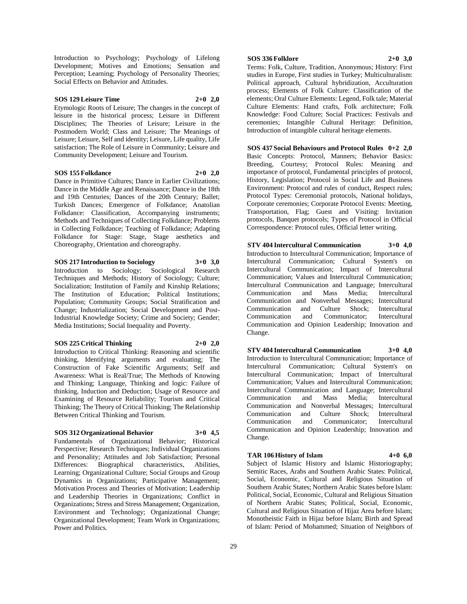Introduction to Psychology; Psychology of Lifelong Development; Motives and Emotions; Sensation and Perception; Learning; Psychology of Personality Theories; Social Effects on Behavior and Attitudes.

## **SOS 129 Leisure Time 2+0 2,0**

Etymologic Roots of Leisure; The changes in the concept of leisure in the historical process; Leisure in Different Disciplines; The Theories of Leisure; Leisure in the Postmodern World; Class and Leisure; The Meanings of Leisure; Leisure, Self and identity; Leisure, Life quality, Life satisfaction; The Role of Leisure in Community; Leisure and Community Development; Leisure and Tourism.

## **SOS 155 Folkdance 2+0 2,0**

Dance in Primitive Cultures; Dance in Earlier Civilizations; Dance in the Middle Age and Renaissance; Dance in the 18th and 19th Centuries; Dances of the 20th Century; Ballet; Turkish Dances; Emergence of Folkdance; Anatolian Folkdance: Classification, Accompanying instruments; Methods and Techniques of Collecting Folkdance; Problems in Collecting Folkdance; Teaching of Folkdance; Adapting Folkdance for Stage: Stage, Stage aesthetics and Choreography, Orientation and choreography.

## **SOS 217 Introduction to Sociology 3+0 3,0**

Introduction to Sociology; Sociological Research Techniques and Methods; History of Sociology; Culture; Socialization; Institution of Family and Kinship Relations; The Institution of Education; Political Institutions; Population; Community Groups; Social Stratification and Change; Industrialization; Social Development and Post-Industrial Knowledge Society; Crime and Society; Gender; Media Institutions; Social Inequality and Poverty.

## **SOS 225 Critical Thinking 2+0 2,0**

Introduction to Critical Thinking: Reasoning and scientific thinking, Identifying arguments and evaluating; The Construction of Fake Scientific Arguments; Self and Awareness: What is Real/True; The Methods of Knowing and Thinking; Language, Thinking and logic: Failure of thinking, Induction and Deduction; Usage of Resource and Examining of Resource Reliability; Tourism and Critical Thinking; The Theory of Critical Thinking; The Relationship Between Critical Thinking and Tourism.

## **SOS 312 Organizational Behavior 3+0 4,5**

Fundamentals of Organizational Behavior; Historical Perspective; Research Techniques; Individual Organizations and Personality; Attitudes and Job Satisfaction; Personal characteristics, Abilities, Learning; Organizational Culture; Social Groups and Group Dynamics in Organizations; Participative Management; Motivation Process and Theories of Motivation; Leadership and Leadership Theories in Organizations; Conflict in Organizations; Stress and Stress Management; Organization, Environment and Technology; Organizational Change; Organizational Development; Team Work in Organizations; Power and Politics.

## **SOS 336 Folklore 2+0 3,0**

Terms: Folk, Culture, Tradition, Anonymous; History: First studies in Europe, First studies in Turkey; Multiculturalism: Political approach, Cultural hybridization, Acculturation process; Elements of Folk Culture: Classification of the elements; Oral Culture Elements: Legend, Folk tale; Material Culture Elements: Hand crafts, Folk architecture; Folk Knowledge: Food Culture; Social Practices: Festivals and ceremonies; Intangible Cultural Heritage: Definition, Introduction of intangible cultural heritage elements.

**SOS 437 Social Behaviours and Protocol Rules 0+2 2,0** Basic Concepts: Protocol, Manners; Behavior Basics: Breeding, Courtesy; Protocol Rules: Meaning and importance of protocol, Fundamental principles of protocol, History, Legislation; Protocol in Social Life and Business Environment: Protocol and rules of conduct, Respect rules; Protocol Types: Ceremonial protocols, National holidays, Corporate ceremonies; Corporate Protocol Events: Meeting, Transportation, Flag; Guest and Visiting: Invitation protocols, Banquet protocols; Types of Protocol in Official Correspondence: Protocol rules, Official letter writing.

## Introduction to Intercultural Communication; Importance of Intercultural Communication; Cultural System's on Intercultural Communication; Impact of Intercultural Communication; Values and Intercultural Communication; Intercultural Communication and Language; Intercultural

**STV 404 Intercultural Communication 3+0 4,0**

Communication and Mass Media; Intercultural Communication and Nonverbal Messages; Intercultural Communication and Culture Shock; Intercultural Communication and Communicator; Intercultural Communication and Opinion Leadership; Innovation and Change.

## **STV 404 Intercultural Communication 3+0 4,0**

Introduction to Intercultural Communication; Importance of Intercultural Communication; Cultural System's on Intercultural Communication; Impact of Intercultural Communication; Values and Intercultural Communication; Intercultural Communication and Language; Intercultural Communication and Mass Media; Intercultural Communication and Nonverbal Messages; Intercultural Communication and Culture Shock; Intercultural Communication and Communicator; Intercultural Communication and Opinion Leadership; Innovation and Change.

## **TAR 106 History of Islam 4+0 6,0**

Subject of Islamic History and Islamic Historiography; Semitic Races, Arabs and Southern Arabic States: Political, Social, Economic, Cultural and Religious Situation of Southern Arabic States; Northern Arabic States before Islam: Political, Social, Economic, Cultural and Religious Situation of Northern Arabic States; Political, Social, Economic, Cultural and Religious Situation of Hijaz Area before Islam; Monotheistic Faith in Hijaz before Islam; Birth and Spread of Islam: Period of Mohammed; Situation of Neighbors of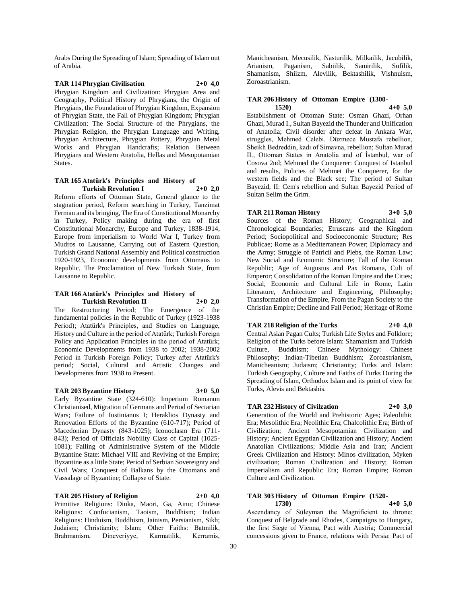Arabs During the Spreading of Islam; Spreading of Islam out of Arabia.

**TAR 114 Phrygian Civilisation 2+0 4,0** Phrygian Kingdom and Civilization: Phrygian Area and Geography, Political History of Phrygians, the Origin of Phrygians, the Foundation of Phrygian Kingdom, Expansion of Phrygian State, the Fall of Phrygian Kingdom; Phrygian Civilization: The Social Structure of the Phrygians, the Phrygian Religion, the Phrygian Language and Writing, Phrygian Architecture, Phrygian Pottery, Phrygian Metal Works and Phrygian Handcrafts; Relation Between Phrygians and Western Anatolia, Hellas and Mesopotamian States.

## **TAR 165 Atatürk's Principles and History of Turkish Revolution I 2+0 2,0**

Reform efforts of Ottoman State, General glance to the stagnation period, Reform searching in Turkey, Tanzimat Ferman and its bringing, The Era of Constitutional Monarchy in Turkey, Policy making during the era of first Constitutional Monarchy, Europe and Turkey, 1838-1914, Europe from imperialism to World War I, Turkey from Mudros to Lausanne, Carrying out of Eastern Question, Turkish Grand National Assembly and Political construction 1920-1923, Economic developments from Ottomans to Republic, The Proclamation of New Turkish State, from Lausanne to Republic.

#### **TAR 166 Atatürk's Principles and History of Turkish Revolution II 2+0 2,0**

The Restructuring Period; The Emergence of the fundamental policies in the Republic of Turkey (1923-1938 Period); Atatürk's Principles, and Studies on Language, History and Culture in the period of Atatürk; Turkish Foreign Policy and Application Principles in the period of Atatürk; Economic Developments from 1938 to 2002; 1938-2002 Period in Turkish Foreign Policy; Turkey after Atatürk's period; Social, Cultural and Artistic Changes and Developments from 1938 to Present.

## **TAR 203 Byzantine History 3+0 5,0**

Early Byzantine State (324-610): Imperium Romanun Christianised, Migration of Germans and Period of Sectarian Wars; Failure of Iustinianus I; Heraklios Dynasty and Renovation Efforts of the Byzantine (610-717); Period of Macedonian Dynasty (843-1025); Iconoclasm Era (711- 843); Period of Officials Nobility Class of Capital (1025- 1081); Falling of Administrative System of the Middle Byzantine State: Michael VIII and Reviving of the Empire; Byzantine as a little State; Period of Serbian Sovereignty and Civil Wars; Conquest of Balkans by the Ottomans and Vassalage of Byzantine; Collapse of State.

## **TAR 205 History of Religion 2+0 4,0**

Primitive Religions: Dinka, Maori, Ga, Ainu; Chinese Religions: Confucianism, Taoism, Buddhism; Indian Religions: Hinduism, Buddhism, Jainism, Persianism, Sikh; Judaism; Christianity; Islam; Other Faiths: Batınilik, Brahmanism, Dineveriyye, Karmatılik, Kerramis,

Manicheanism, Mecusilik, Nasturilik, Milkailik, Jacubilik, Arianism, Paganism, Sabiilik, Samirilik, Sufilik, Shamanism, Shiizm, Alevilik, Bektashilik, Vishnuism, Zoroastrianism.

## **TAR 206 History of Ottoman Empire (1300-**

**1520) 4+0 5,0** Establishment of Ottoman State: Osman Ghazi, Orhan Ghazi, Murad I., Sultan Bayezid the Thunder and Unification of Anatolia; Civil disorder after defeat in Ankara War, struggles, Mehmed Celebi. Düzmece Mustafa rebellion, Sheikh Bedreddin, kadı of Simavna, rebellion; Sultan Murad II., Ottoman States in Anatolia and of İstanbul, war of Cosova 2nd; Mehmed the Conquerer: Conquest of Istanbul and results, Policies of Mehmet the Conquerer, for the western fields and the Black see; The period of Sultan Bayezid, II: Cem's rebellion and Sultan Bayezid Period of Sultan Selim the Grim.

## **TAR 211 Roman History 3+0 5,0**

Sources of the Roman History; Geographical and Chronological Boundaries; Etruscans and the Kingdom Period; Sociopolitical and Socioeconomic Structure; Res Publicae; Rome as a Mediterranean Power; Diplomacy and the Army; Struggle of Patricii and Plebs, the Roman Law; New Social and Economic Structure; Fall of the Roman Republic; Age of Augustus and Pax Romana, Cult of Emperor; Consolidation of the Roman Empire and the Cities; Social, Economic and Cultural Life in Rome, Latin Literature, Architecture and Engineering, Philosophy; Transformation of the Empire, From the Pagan Society to the Christian Empire; Decline and Fall Period; Heritage of Rome

#### **TAR 218 Religion of the Turks 2+0 4,0**

Central Asian Pagan Cults; Turkish Life Styles and Folklore; Religion of the Turks before Islam: Shamanism and Turkish Culture, Buddhism; Chinese Mythology: Chinese Philosophy; Indian-Tibetian Buddhism; Zoroastrianism, Manicheanism; Judaism; Christianity; Turks and Islam: Turkish Geography, Culture and Faiths of Turks During the Spreading of Islam, Orthodox Islam and its point of view for Turks, Alevis and Bektashis.

## **TAR 232 History of Civilzation 2+0 3,0**

Generation of the World and Prehistoric Ages; Paleolithic Era; Mesolithic Era; Neolithic Era; Chalcolithic Era; Birth of Civilization; Ancient Mesopotamian Civilization and History; Ancient Egyptian Civilization and History; Ancient Anatolian Civilizations; Middle Asia and Iran; Ancient Greek Civilization and History: Minos civilization, Myken civilization; Roman Civilization and History; Roman Imperialism and Republic Era; Roman Empire; Roman Culture and Civilization.

#### **TAR 303 History of Ottoman Empire (1520- 1730) 4+0 5,0**

Ascendancy of Süleyman the Magnificient to throne: Conquest of Belgrade and Rhodes, Campaigns to Hungary, the first Siege of Vienna, Pact with Austria; Commercial concessions given to France, relations with Persia: Pact of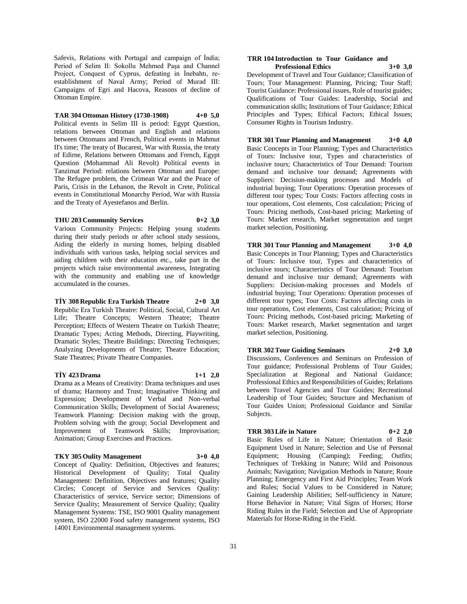Safevis, Relations with Portugal and campaign of İndia; Period of Selim II: Sokollu Mehmed Paşa and Channel Project, Conquest of Cyprus, defeating in İnebahtı, reestablishment of Naval Army; Period of Murad III: Campaigns of Egri and Hacova, Reasons of decline of Ottoman Empire.

**TAR 304 Ottoman History (1730-1908) 4+0 5,0** Political events in Selim III is period: Egypt Question, relations between Ottoman and English and relations between Ottomans and French, Political events in Mahmut II's time; The treaty of Bucarest, War with Russia, the treaty of Edirne, Relations between Ottomans and French, Egypt Question (Mohammad Ali Revolt) Political events in Tanzimat Period: relations between Ottoman and Europe: The Refugee problem, the Crimean War and the Peace of Paris, Crisis in the Lebanon, the Revolt in Crete, Political events in Constitutional Monarchy Period, War with Russia and the Treaty of Ayestefanos and Berlin.

## **THU 203 Community Services 0+2 3,0**

Various Community Projects: Helping young students during their study periods or after school study sessions, Aiding the elderly in nursing homes, helping disabled individuals with various tasks, helping social services and aiding children with their education etc., take part in the projects which raise environmental awareness, Integrating with the community and enabling use of knowledge accumulated in the courses.

#### **TİY 308 Republic Era Turkish Theatre 2+0 3,0**

Republic Era Turkish Theatre: Political, Social, Cultural Art Life; Theatre Concepts; Western Theatre; Theatre Perception; Effects of Western Theatre on Turkish Theatre; Dramatic Types; Acting Methods, Directing, Playwriting, Dramatic Styles; Theatre Buildings; Directing Techniques; Analyzing Developments of Theatre; Theatre Education; State Theatres; Private Theatre Companies.

## **TİY 423 Drama 1+1 2,0**

Drama as a Means of Creativity: Drama techniques and uses of drama; Harmony and Trust; Imaginative Thinking and Expression; Development of Verbal and Non-verbal Communication Skills; Development of Social Awareness; Teamwork Planning: Decision making with the group, Problem solving with the group; Social Development and Improvement of Teamwork Skills; Improvisation; Animation; Group Exercises and Practices.

## **TKY 305 Oulity Management 3+0 4,0**

Concept of Quality: Definition, Objectives and features; Historical Development of Quality; Total Quality Management: Definition, Objectives and features; Quality Circles; Concept of Service and Services Quality: Characteristics of service, Service sector; Dimensions of Service Quality; Measurement of Service Quality; Quality Management Systems: TSE, ISO 9001 Quality management system, ISO 22000 Food safety management systems, ISO 14001 Environmental management systems.

#### **TRR 104 Introduction to Tour Guidance and Professional Ethics 3+0 3,0**

Development of Travel and Tour Guidance; Classification of Tours; Tour Management: Planning, Pricing; Tour Staff; Tourist Guidance: Professional issues, Role of tourist guides; Qualifications of Tour Guides: Leadership, Social and communication skills; Institutions of Tour Guidance; Ethical Principles and Types; Ethical Factors; Ethical Issues; Consumer Rights in Tourism Industry.

**TRR 301 Tour Planning and Management 3+0 4,0** Basic Concepts in Tour Planning; Types and Characteristics of Tours: Inclusive tour, Types and characteristics of inclusive tours; Characteristics of Tour Demand: Tourism demand and inclusive tour demand; Agreements with Suppliers: Decision-making processes and Models of industrial buying; Tour Operations: Operation processes of different tour types; Tour Costs: Factors affecting costs in tour operations, Cost elements, Cost calculation; Pricing of Tours: Pricing methods, Cost-based pricing; Marketing of Tours: Market research, Market segmentation and target market selection, Positioning.

**TRR 301 Tour Planning and Management 3+0 4,0** Basic Concepts in Tour Planning; Types and Characteristics of Tours: Inclusive tour, Types and characteristics of inclusive tours; Characteristics of Tour Demand: Tourism demand and inclusive tour demand; Agreements with Suppliers: Decision-making processes and Models of industrial buying; Tour Operations: Operation processes of different tour types; Tour Costs: Factors affecting costs in tour operations, Cost elements, Cost calculation; Pricing of Tours: Pricing methods, Cost-based pricing; Marketing of Tours: Market research, Market segmentation and target market selection, Positioning.

#### **TRR 302 Tour Guiding Seminars 2+0 3,0**

Discussions, Conferences and Seminars on Profession of Tour guidance; Professional Problems of Tour Guides; Specialization at Regional and National Guidance; Professional Ethics and Responsibilities of Guides; Relations between Travel Agencies and Tour Guides; Recreational Leadership of Tour Guides; Structure and Mechanism of Tour Guides Union; Professional Guidance and Similar Subjects.

## **TRR 303 Life in Nature 0+2 2,0**

Basic Rules of Life in Nature; Orientation of Basic Equipment Used in Nature; Selection and Use of Personal Equipment; Housing (Camping); Feeding; Outfits; Techniques of Trekking in Nature; Wild and Poisonous Animals; Navigation; Navigation Methods in Nature; Route Planning; Emergency and First Aid Principles; Team Work and Rules; Social Values to be Considered in Nature; Gaining Leadership Abilities; Self-sufficiency in Nature; Horse Behavior in Nature; Vital Signs of Horses; Horse Riding Rules in the Field; Selection and Use of Appropriate Materials for Horse-Riding in the Field.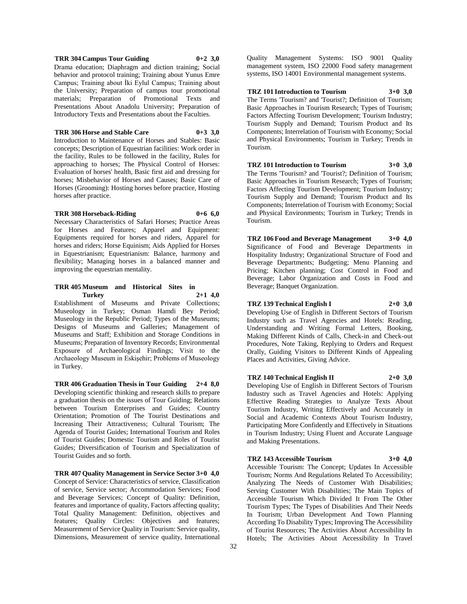## **TRR 304 Campus Tour Guiding 0+2 3,0**

Drama education; Diaphragm and diction training; Social behavior and protocol training; Training about Yunus Emre Campus; Training about İki Eylul Campus; Training about the University; Preparation of campus tour promotional materials; Preparation of Promotional Texts and Presentations About Anadolu University; Preparation of Introductory Texts and Presentations about the Faculties.

#### **TRR 306 Horse and Stable Care 0+3 3,0**

Introduction to Maintenance of Horses and Stables: Basic concepts; Description of Equestrian facilities: Work order in the facility, Rules to be followed in the facility, Rules for approaching to horses; The Physical Control of Horses: Evaluation of horses' health, Basic first aid and dressing for horses; Misbehavior of Horses and Causes; Basic Care of Horses (Grooming): Hosting horses before practice, Hosting horses after practice.

## **TRR 308 Horseback-Riding 0+6 6,0**

Necessary Characteristics of Safari Horses; Practice Areas for Horses and Features; Apparel and Equipment: Equipments required for horses and riders, Apparel for horses and riders; Horse Equinism; Aids Applied for Horses in Equestrianism; Equestrianism: Balance, harmony and flexibility; Managing horses in a balanced manner and improving the equestrian mentality.

## **TRR 405 Museum and Historical Sites in Turkey 2+1 4,0**

Establishment of Museums and Private Collections; Museology in Turkey; Osman Hamdi Bey Period; Museology in the Republic Period; Types of the Museums; Designs of Museums and Galleries; Management of Museums and Staff; Exhibition and Storage Conditions in Museums; Preparation of Inventory Records; Environmental Exposure of Archaeological Findings; Visit to the Archaeology Museum in Eskişehir; Problems of Museology in Turkey.

**TRR 406 Graduation Thesis in Tour Guiding 2+4 8,0** Developing scientific thinking and research skills to prepare a graduation thesis on the issues of Tour Guiding; Relations between Tourism Enterprises and Guides; Country Orientation; Promotion of The Tourist Destinations and Increasing Their Attractiveness; Cultural Tourism; The Agenda of Tourist Guides; International Tourism and Roles of Tourist Guides; Domestic Tourism and Roles of Tourist Guides; Diversification of Tourism and Specialization of Tourist Guides and so forth.

**TRR 407 Quality Management in Service Sector 3+0 4,0** Concept of Service: Characteristics of service, Classification of service, Service sector; Accommodation Services; Food and Beverage Services; Concept of Quality: Definition, features and importance of quality, Factors affecting quality; Total Quality Management: Definition, objectives and features; Quality Circles: Objectives and features; Measurement of Service Quality in Tourism: Service quality, Dimensions, Measurement of service quality, International

Quality Management Systems: ISO 9001 Quality management system, ISO 22000 Food safety management systems, ISO 14001 Environmental management systems.

## **TRZ 101 Introduction to Tourism 3+0 3,0**

The Terms 'Tourism? and 'Tourist?; Definition of Tourism; Basic Approaches in Tourism Research; Types of Tourism; Factors Affecting Tourism Development; Tourism Industry; Tourism Supply and Demand; Tourism Product and Its Components; Interrelation of Tourism with Economy; Social and Physical Environments; Tourism in Turkey; Trends in Tourism.

## **TRZ 101 Introduction to Tourism 3+0 3,0** The Terms 'Tourism? and 'Tourist?; Definition of Tourism; Basic Approaches in Tourism Research; Types of Tourism; Factors Affecting Tourism Development; Tourism Industry; Tourism Supply and Demand; Tourism Product and Its Components; Interrelation of Tourism with Economy; Social and Physical Environments; Tourism in Turkey; Trends in Tourism.

**TRZ 106 Food and Beverage Management 3+0 4,0** Significance of Food and Beverage Departments in Hospitality Industry; Organizational Structure of Food and Beverage Departments; Budgeting; Menu Planning and Pricing; Kitchen planning; Cost Control in Food and Beverage; Labor Organization and Costs in Food and Beverage; Banquet Organization.

## **TRZ 139 Technical English I 2+0 3,0**

Developing Use of English in Different Sectors of Tourism Industry such as Travel Agencies and Hotels: Reading, Understanding and Writing Formal Letters, Booking, Making Different Kinds of Calls, Check-in and Check-out Procedures, Note Taking, Replying to Orders and Request Orally, Guiding Visitors to Different Kinds of Appealing Places and Activities, Giving Advice.

## **TRZ 140 Technical English II 2+0 3,0**

Developing Use of English in Different Sectors of Tourism Industry such as Travel Agencies and Hotels: Applying Effective Reading Strategies to Analyze Texts About Tourism Industry, Writing Effectively and Accurately in Social and Academic Contexts About Tourism Industry, Participating More Confidently and Effectively in Situations in Tourism Industry; Using Fluent and Accurate Language and Making Presentations.

#### **TRZ 143 Accessible Tourism 3+0 4,0**

Accessible Tourism: The Concept; Updates In Accessible Tourism; Norms And Regulations Related To Accessibility; Analyzing The Needs of Customer With Disabilities; Serving Customer With Disabilities; The Main Topics of Accessible Tourism Which Divided It From The Other Tourism Types; The Types of Disabilities And Their Needs In Tourism; Urban Development And Town Planning According To Disability Types; Improving The Accessibility of Tourist Resources; The Activities About Accessibility In Hotels; The Activities About Accessibility In Travel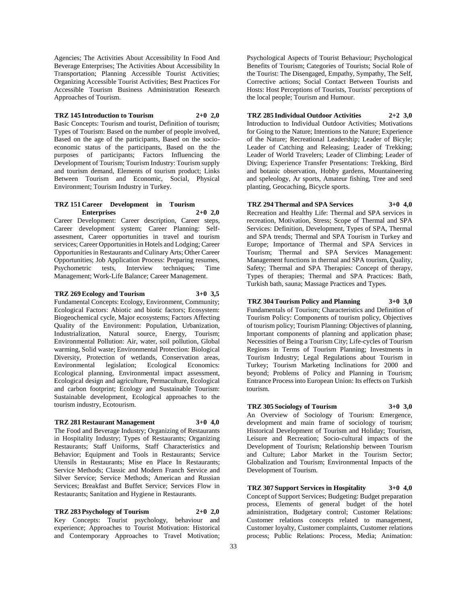Agencies; The Activities About Accessibility In Food And Beverage Enterprises; The Activities About Accessibility In Transportation; Planning Accessible Tourist Activities; Organizing Accessible Tourist Activities; Best Practices For Accessible Tourism Business Administration Research Approaches of Tourism.

## **TRZ 145 Introduction to Tourism 2+0 2,0**

Basic Concepts: Tourism and tourist, Definition of tourism; Types of Tourism: Based on the number of people involved, Based on the age of the participants, Based on the socioeconomic status of the participants, Based on the the purposes of participants; Factors Influencing the Development of Tourism; Tourism Industry: Tourism supply and tourism demand, Elements of tourism product; Links Between Tourism and Economic, Social, Physical Environment; Tourism Industry in Turkey.

## **TRZ 151 Career Development in Tourism Enterprises 2+0 2,0**

Career Development: Career description, Career steps, Career development system; Career Planning: Selfassesment, Career opportunities in travel and tourism services; Career Opportunities in Hotels and Lodging; Career Opportunities in Restaurants and Culinary Arts; Other Career Opportunities; Job Application Process: Preparing resumes, Psychometric tests, Interview techniques; Time Management; Work-Life Balance; Career Management.

## **TRZ 269 Ecology and Tourism 3+0 3,5**

Fundamental Concepts: Ecology, Environment, Community; Ecological Factors: Abiotic and biotic factors; Ecosystem: Biogeochemical cycle, Major ecosystems; Factors Affecting Quality of the Environment: Population, Urbanization, Industrialization, Natural source, Energy, Tourism; Environmental Pollution: Air, water, soil pollution, Global warming, Solid waste; Environmental Protection: Biological Diversity, Protection of wetlands, Conservation areas,<br>Environmental legislation; Ecological Economics: Ecological Economics: Ecological planning, Environmental impact assessment, Ecological design and agriculture, Permaculture, Ecological and carbon footprint; Ecology and Sustainable Tourism: Sustainable development, Ecological approaches to the

#### **TRZ 281 Restaurant Management 3+0 4,0**

tourism industry, Ecotourism.

The Food and Beverage Industry; Organizing of Restaurants in Hospitality Industry; Types of Restaurants; Organizing Restaurants; Staff Uniforms, Staff Characteristics and Behavior; Equipment and Tools in Restaurants; Service Utensils in Restaurants; Mise en Place In Restaurants; Service Methods; Classic and Modern Franch Service and Silver Service; Service Methods; American and Russian Services; Breakfast and Buffet Service; Services Flow in Restaurants; Sanitation and Hygiene in Restaurants.

**TRZ 283 Psychology of Tourism 2+0 2,0** Key Concepts: Tourist psychology, behaviour and experience; Approaches to Tourist Motivation: Historical and Contemporary Approaches to Travel Motivation;

Psychological Aspects of Tourist Behaviour; Psychological Benefits of Tourism; Categories of Tourists; Social Role of the Tourist: The Disengaged, Empathy, Sympathy, The Self, Corrective actions; Social Contact Between Tourists and Hosts: Host Perceptions of Tourists, Tourists' perceptions of the local people; Tourism and Humour.

**TRZ 285 Individual Outdoor Activities 2+2 3,0** Introduction to Individual Outdoor Activities; Motivations for Going to the Nature; Intentions to the Nature; Experience of the Nature; Recreational Leadership; Leader of Bicyle; Leader of Catching and Releasing; Leader of Trekking; Leader of World Travelers; Leader of Climbing; Leader of Diving; Experience Transfer Presentations: Trekking, Bird and botanic observation, Hobby gardens, Mountaineering and speleology, Ar sports, Amateur fishing, Tree and seed planting, Geocaching, Bicycle sports.

**TRZ 294 Thermal and SPA Services 3+0 4,0** Recreation and Healthy Life: Thermal and SPA services in recreation, Motivation, Stress; Scope of Thermal and SPA Services: Definition, Development, Types of SPA, Thermal and SPA trends; Thermal and SPA Tourism in Turkey and Europe; Importance of Thermal and SPA Services in Tourism; Thermal and SPA Services Management: Management functions in thermal and SPA tourism, Quality, Safety; Thermal and SPA Therapies: Concept of therapy, Types of therapies; Thermal and SPA Practices: Bath, Turkish bath, sauna; Massage Practices and Types.

## **TRZ 304 Tourism Policy and Planning 3+0 3,0**

Fundamentals of Tourism; Characteristics and Definition of Tourism Policy: Components of tourism policy, Objectives of tourism policy; Tourism Planning: Objectives of planning, Important components of planning and application phase; Necessities of Being a Tourism City; Life-cycles of Tourism Regions in Terms of Tourism Planning; Investments in Tourism Industry; Legal Regulations about Tourism in Turkey; Tourism Marketing Inclinations for 2000 and beyond; Problems of Policy and Planning in Tourism; Entrance Process into European Union: Its effects on Turkish tourism.

### **TRZ 305 Sociology of Tourism 3+0 3,0**

An Overview of Sociology of Tourism: Emergence, development and main frame of sociology of tourism; Historical Development of Tourism and Holiday; Tourism, Leisure and Recreation; Socio-cultural impacts of the Development of Tourism; Relationship between Tourism and Culture; Labor Market in the Tourism Sector; Globalization and Tourism; Environmental Impacts of the Development of Tourism.

**TRZ 307 Support Services in Hospitality 3+0 4,0** Concept of Support Services; Budgeting: Budget preparation process, Elements of general budget of the hotel administration, Budgetary control; Customer Relations: Customer relations concepts related to management, Customer loyalty, Customer complaints, Customer relations process; Public Relations: Process, Media; Animation: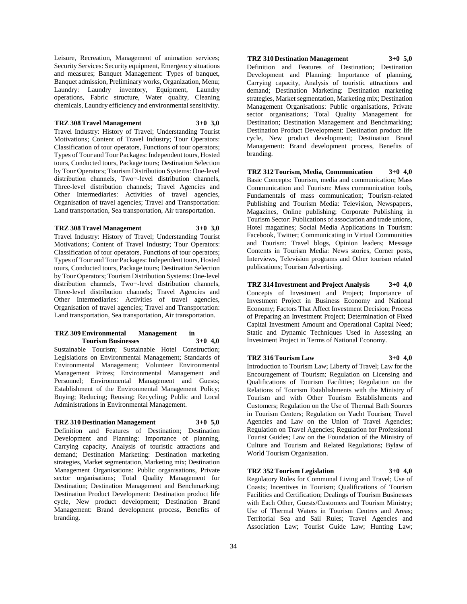Leisure, Recreation, Management of animation services; Security Services: Security equipment, Emergency situations and measures; Banquet Management: Types of banquet, Banquet admission, Preliminary works, Organization, Menu; Laundry: Laundry inventory, Equipment, Laundry operations, Fabric structure, Water quality, Cleaning chemicals, Laundry efficiency and environmental sensitivity.

## **TRZ 308 Travel Management 3+0 3,0**

Travel Industry: History of Travel; Understanding Tourist Motivations; Content of Travel Industry; Tour Operators: Classification of tour operators, Functions of tour operators; Types of Tour and Tour Packages: Independent tours, Hosted tours, Conducted tours, Package tours; Destination Selection by Tour Operators; Tourism Distribution Systems: One-level distribution channels, Two¬-level distribution channels, Three-level distribution channels; Travel Agencies and Other Intermediaries: Activities of travel agencies, Organisation of travel agencies; Travel and Transportation: Land transportation, Sea transportation, Air transportation.

## **TRZ 308 Travel Management 3+0 3,0**

Travel Industry: History of Travel; Understanding Tourist Motivations; Content of Travel Industry; Tour Operators: Classification of tour operators, Functions of tour operators; Types of Tour and Tour Packages: Independent tours, Hosted tours, Conducted tours, Package tours; Destination Selection by Tour Operators; Tourism Distribution Systems: One-level distribution channels, Two¬-level distribution channels, Three-level distribution channels; Travel Agencies and Other Intermediaries: Activities of travel agencies, Organisation of travel agencies; Travel and Transportation: Land transportation, Sea transportation, Air transportation.

## **TRZ 309 Environmental Management in Tourism Businesses 3+0 4,0**

Sustainable Tourism; Sustainable Hotel Construction; Legislations on Environmental Management; Standards of Environmental Management; Volunteer Environmental Management Prizes; Environmental Management and Personnel; Environmental Management and Guests; Establishment of the Environmental Management Policy; Buying; Reducing; Reusing; Recycling; Public and Local Administrations in Environmental Management.

## **TRZ 310 Destination Management 3+0 5,0**

Definition and Features of Destination; Destination Development and Planning: Importance of planning, Carrying capacity, Analysis of touristic attractions and demand; Destination Marketing: Destination marketing strategies, Market segmentation, Marketing mix; Destination Management Organisations: Public organisations, Private sector organisations; Total Quality Management for Destination; Destination Management and Benchmarking; Destination Product Development: Destination product life cycle, New product development; Destination Brand Management: Brand development process, Benefits of branding.

# **TRZ 310 Destination Management 3+0 5,0**

Definition and Features of Destination; Destination Development and Planning: Importance of planning, Carrying capacity, Analysis of touristic attractions and demand; Destination Marketing: Destination marketing strategies, Market segmentation, Marketing mix; Destination Management Organisations: Public organisations, Private sector organisations; Total Quality Management for Destination; Destination Management and Benchmarking; Destination Product Development: Destination product life cycle, New product development; Destination Brand Management: Brand development process, Benefits of branding.

**TRZ 312 Tourism, Media, Communication 3+0 4,0** Basic Concepts: Tourism, media and communication; Mass Communication and Tourism: Mass communication tools, Fundamentals of mass communication; Tourism-related Publishing and Tourism Media: Television, Newspapers, Magazines, Online publishing; Corporate Publishing in Tourism Sector: Publications of association and trade unions, Hotel magazines; Social Media Applications in Tourism: Facebook, Twitter; Communicating in Virtual Communities and Tourism: Travel blogs, Opinion leaders; Message Contents in Tourism Media: News stories, Corner posts, Interviews, Television programs and Other tourism related publications; Tourism Advertising.

**TRZ 314 Investment and Project Analysis 3+0 4,0** Concepts of Investment and Project; Importance of Investment Project in Business Economy and National Economy; Factors That Affect Investment Decision; Process of Preparing an Investment Project; Determination of Fixed Capital Investment Amount and Operational Capital Need; Static and Dynamic Techniques Used in Assessing an Investment Project in Terms of National Economy.

## **TRZ 316 Tourism Law 3+0 4,0**

Introduction to Tourism Law; Liberty of Travel; Law for the Encouragement of Tourism; Regulation on Licensing and Qualifications of Tourism Facilities; Regulation on the Relations of Tourism Establishments with the Ministry of Tourism and with Other Tourism Establishments and Customers; Regulation on the Use of Thermal Bath Sources in Tourism Centers; Regulation on Yacht Tourism; Travel Agencies and Law on the Union of Travel Agencies; Regulation on Travel Agencies; Regulation for Professional Tourist Guides; Law on the Foundation of the Ministry of Culture and Tourism and Related Regulations; Bylaw of World Tourism Organisation.

## **TRZ 352 Tourism Legislation 3+0 4,0**

Regulatory Rules for Communal Living and Travel; Use of Coasts; Incentives in Tourism; Qualifications of Tourism Facilities and Certification; Dealings of Tourism Businesses with Each Other, Guests/Customers and Tourism Ministry; Use of Thermal Waters in Tourism Centres and Areas; Territorial Sea and Sail Rules; Travel Agencies and Association Law; Tourist Guide Law; Hunting Law;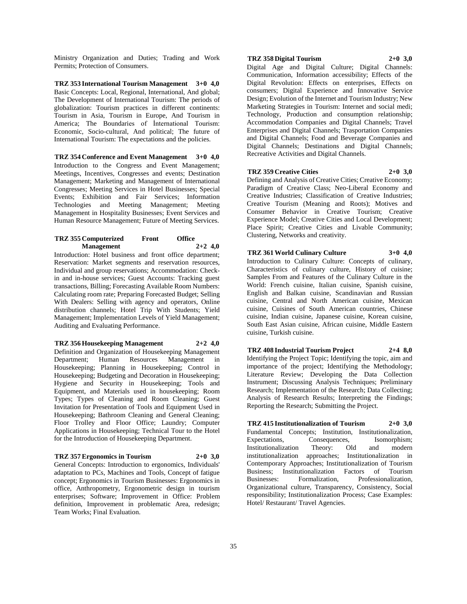Ministry Organization and Duties; Trading and Work Permits; Protection of Consumers.

**TRZ 353 International Tourism Management 3+0 4,0** Basic Concepts: Local, Regional, International, And global; The Development of International Tourism: The periods of globalization: Tourism practices in different continents: Tourism in Asia, Tourism in Europe, And Tourism in America; The Boundaries of İnternational Tourism: Economic, Socio-cultural, And political; The future of International Tourism: The expectations and the policies.

**TRZ 354 Conference and Event Management 3+0 4,0** Introduction to the Congress and Event Management; Meetings, Incentives, Congresses and events; Destination Management; Marketing and Management of International Congresses; Meeting Services in Hotel Businesses; Special Events; Exhibition and Fair Services; Information Technologies and Meeting Management; Meeting Management in Hospitality Businesses; Event Services and Human Resource Management; Future of Meeting Services.

## **TRZ 355 Computerized Front Office Management 2+2 4,0**

Introduction: Hotel business and front office department; Reservation: Market segments and reservation resources, Individual and group reservations; Accommodation: Checkin and in-house services; Guest Accounts: Tracking guest transactions, Billing; Forecasting Available Room Numbers: Calculating room rate; Preparing Forecasted Budget; Selling With Dealers: Selling with agency and operators, Online distribution channels; Hotel Trip With Students; Yield Management; Implementation Levels of Yield Management; Auditing and Evaluating Performance.

## **TRZ 356 Housekeeping Management 2+2 4,0**

Definition and Organization of Housekeeping Management Department; Human Resources Management in Housekeeping; Planning in Housekeeping; Control in Housekeeping; Budgeting and Decoration in Housekeeping; Hygiene and Security in Housekeeping; Tools and Equipment, and Materials used in housekeeping; Room Types; Types of Cleaning and Room Cleaning; Guest Invitation for Presentation of Tools and Equipment Used in Housekeeping; Bathroom Cleaning and General Cleaning; Floor Trolley and Floor Office; Laundry; Computer Applications in Housekeeping; Technical Tour to the Hotel for the Introduction of Housekeeping Department.

#### **TRZ 357 Ergonomics in Tourism 2+0 3,0**

General Concepts: Introduction to ergonomics, Individuals' adaptation to PCs, Machines and Tools, Concept of fatigue concept; Ergonomics in Tourism Businesses: Ergonomics in office, Anthropometry, Ergonometric design in tourism enterprises; Software; Improvement in Office: Problem definition, Improvement in problematic Area, redesign; Team Works; Final Evaluation.

## **TRZ 358 Digital Tourism 2+0 3,0**

Digital Age and Digital Culture; Digital Channels: Communication, Information accessibility; Effects of the Digital Revolution: Effects on enterprises, Effects on consumers; Digital Experience and Innovative Service Design; Evolution of the Internet and Tourism Industry; New Marketing Strategies in Tourism: Internet and social medi; Technology, Production and consumption relationship; Accommodation Companies and Digital Channels; Travel Enterprises and Digital Channels; Trasportation Companies and Digital Channels; Food and Beverage Companies and Digital Channels; Destinations and Digital Channels; Recreative Activities and Digital Channels.

## **TRZ 359 Creative Cities 2+0 3,0**

Defining and Analysis of Creative Cities; Creative Economy; Paradigm of Creative Class; Neo-Liberal Economy and Creative Industries; Classification of Creative Industries; Creative Tourism (Meaning and Roots); Motives and Consumer Behavior in Creative Tourism; Creative Experience Model; Creative Cities and Local Development; Place Spirit; Creative Cities and Livable Community; Clustering, Networks and creativity.

## **TRZ 361 World Culinary Culture 3+0 4,0**

Introduction to Culinary Culture: Concepts of culinary, Characteristics of culinary culture, History of cuisine; Samples From and Features of the Culinary Culture in the World: French cuisine, Italian cuisine, Spanish cuisine, English and Balkan cuisine, Scandinavian and Russian cuisine, Central and North American cuisine, Mexican cuisine, Cuisines of South American countries, Chinese cuisine, Indian cuisine, Japanese cuisine, Korean cuisine, South East Asian cuisine, African cuisine, Middle Eastern cuisine, Turkish cuisine.

## **TRZ 408 Industrial Tourism Project 2+4 8,0** Identifying the Project Topic; Identifying the topic, aim and importance of the project; Identifying the Methodology; Literature Review; Developing the Data Collection

Instrument; Discussing Analysis Techniques; Preliminary Research; Implementation of the Research; Data Collecting; Analysis of Research Results; Interpreting the Findings; Reporting the Research; Submitting the Project.

**TRZ 415 Institutionalization of Tourism 2+0 3,0** Fundamental Concepts; Institution, Institutionalization,<br>Expectations, Consequences, Isomorphism; Expectations, Consequences,<br>Institutionalization Theory: O Institutionalization Theory: Old and modern institutionalization approaches; Institutionalization in Contemporary Approaches; Institutionalization of Tourism Business; Institutionalization Factors of Tourism Businesses: Formalization, Professionalization, Organizational culture, Transparency, Consistency, Social responsibility; Institutionalization Process; Case Examples: Hotel/ Restaurant/ Travel Agencies.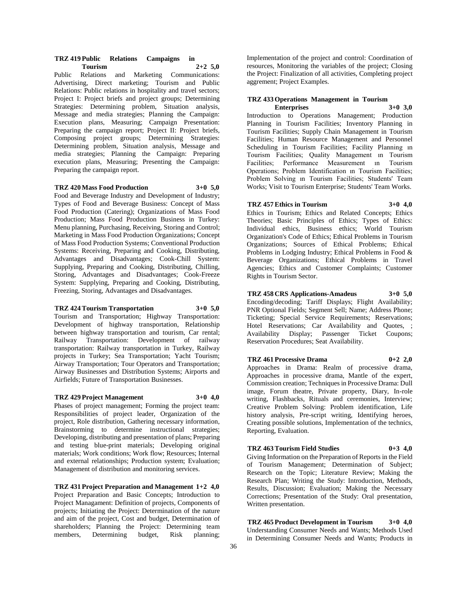#### **TRZ 419 Public Relations Campaigns in Tourism 2+2 5,0**

Public Relations and Marketing Communications: Advertising, Direct marketing; Tourism and Public Relations: Public relations in hospitality and travel sectors; Project I: Project briefs and project groups; Determining Strategies: Determining problem, Situation analysis, Message and media strategies; Planning the Campaign: Execution plans, Measuring; Campaign Presentation: Preparing the campaign report; Project II: Project briefs, Composing project groups; Determining Strategies: Determining problem, Situation analysis, Message and media strategies; Planning the Campaign: Preparing execution plans, Measuring; Presenting the Campaign: Preparing the campaign report.

## **TRZ 420 Mass Food Production 3+0 5,0**

Food and Beverage Industry and Development of Industry; Types of Food and Beverage Business: Concept of Mass Food Production (Catering); Organizations of Mass Food Production; Mass Food Production Business in Turkey: Menu planning, Purchasing, Receiving, Storing and Control; Marketing in Mass Food Production Organizations; Concept of Mass Food Production Systems; Conventional Production Systems: Receiving, Preparing and Cooking, Distributing, Advantages and Disadvantages; Cook-Chill System: Supplying, Preparing and Cooking, Distributing, Chilling, Storing, Advantages and Disadvantages; Cook-Freeze System: Supplying, Preparing and Cooking, Distributing, Freezing, Storing, Advantages and Disadvantages.

## **TRZ 424 Tourism Transportation 3+0 5,0**

Tourism and Transportation; Highway Transportation: Development of highway transportation, Relationship between highway transportation and tourism, Car rental; Railway Transportation: Development of railway transportation: Railway transportation in Turkey, Railway projects in Turkey; Sea Transportation; Yacht Tourism; Airway Transportation; Tour Operators and Transportation; Airway Businesses and Distribution Systems; Airports and Airfields; Future of Transportation Businesses.

## **TRZ 429 Project Management 3+0 4,0**

Phases of project management; Forming the project team: Responsibilities of project leader, Organization of the project, Role distribution, Gathering necessary information, Brainstorming to determine instructional strategies; Developing, distributing and presentation of plans; Preparing and testing blue-print materials; Developing original materials; Work conditions; Work flow; Resources; Internal and external relationships; Production system; Evaluation; Management of distribution and monitoring services.

**TRZ 431 Project Preparation and Management 1+2 4,0** Project Preparation and Basic Concepts; Introduction to Project Managament: Definition of projects, Components of projects; Initiating the Project: Determination of the nature and aim of the project, Cost and budget, Determination of shareholders; Planning the Project: Determining team members, Determining budget, Risk planning;

Implementation of the project and control: Coordination of resources, Monitoring the variables of the project; Closing the Project: Finalization of all activities, Completing project aggrement; Project Examples.

#### **TRZ 433 Operations Management in Tourism Enterprises 3+0 3,0**

Introduction to Operations Management; Production Planning in Tourism Facilities; Inventory Planning in Tourism Facilities; Supply Chain Management in Tourism Facilities; Human Resource Management and Personnel Scheduling in Tourism Facilities; Facility Planning ın Tourism Facilities; Quality Management ın Tourism Facilities; Performance Measurement ın Tourism Operations; Problem Identification ın Tourism Facilities; Problem Solving ın Tourism Facilities; Students' Team Works; Visit to Tourism Enterprise; Students' Team Works.

## **TRZ 457 Ethics in Tourism 3+0 4,0**

Ethics in Tourism; Ethics and Related Concepts; Ethics Theories; Basic Principles of Ethics; Types of Ethics: Individual ethics, Business ethics; World Tourism Organization's Code of Ethics; Ethical Problems in Tourism Organizations; Sources of Ethical Problems; Ethical Problems in Lodging Industry; Ethical Problems in Food & Beverage Organizations; Ethical Problems in Travel Agencies; Ethics and Customer Complaints; Customer Rights in Tourism Sector.

## **TRZ 458 CRS Applications-Amadeus 3+0 5,0**

Encoding/decoding; Tariff Displays; Flight Availability; PNR Optional Fields; Segment Sell; Name; Address Phone; Ticketing; Special Service Requirements; Reservations; Hotel Reservations; Car Availability and Quotes, ; Availability Display; Passenger Ticket Coupons; Reservation Procedures; Seat Availability.

#### **TRZ 461 Processive Drama 0+2 2,0**

Approaches in Drama: Realm of processive drama, Approaches in processive drama, Mantle of the expert, Commission creation; Techniques in Processive Drama: Dull image, Forum theatre, Private property, Diary, In-role writing, Flashbacks, Rituals and ceremonies, Interview; Creative Problem Solving: Problem identification, Life history analysis, Pre-script writing, Identifying heroes, Creating possible solutions, Implementation of the technics, Reporting, Evaluation.

## **TRZ 463 Tourism Field Studies 0+3 4,0**

Giving Information on the Preparation of Reports in the Field of Tourism Management; Determination of Subject; Research on the Topic; Literature Review; Making the Research Plan; Writing the Study: Introduction, Methods, Results, Discussion; Evaluation; Making the Necessary Corrections; Presentation of the Study: Oral presentation, Written presentation.

**TRZ 465 Product Development in Tourism 3+0 4,0** Understanding Consumer Needs and Wants; Methods Used in Determining Consumer Needs and Wants; Products in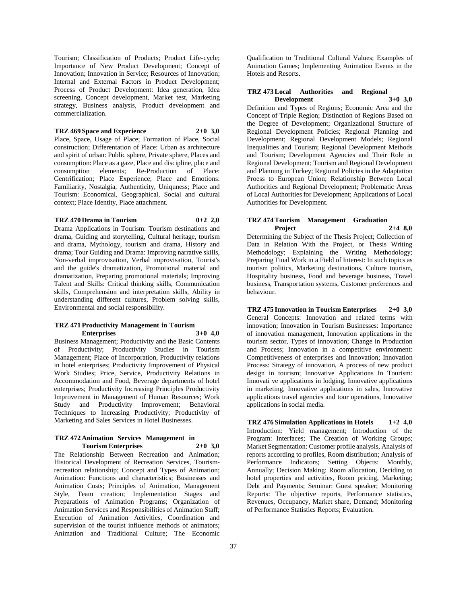Tourism; Classification of Products; Product Life-cycle; Importance of New Product Development; Concept of Innovation; Innovation in Service; Resources of Innovation; Internal and External Factors in Product Development; Process of Product Development: Idea generation, Idea screening, Concept development, Market test, Marketing strategy, Business analysis, Product development and commercialization.

## **TRZ 469 Space and Experience 2+0 3,0**

Place, Space, Usage of Place; Formation of Place, Social construction; Differentation of Place: Urban as architecture and spirit of urban: Public sphere, Private sphere, Places and consumption: Place as a gaze, Place and discipline, place and consumption elements; Re-Production of Place: Gentrification; Place Experience; Place and Emotions: Familiarity, Nostalgia, Authenticity, Uniquness; Place and Tourism: Economical, Geographical, Social and cultural context; Place Identity, Place attachment.

## **TRZ 470 Drama in Tourism 0+2 2,0**

Drama Applications in Tourism: Tourism destinations and drama, Guiding and storytelling, Cultural heritage, tourism and drama, Mythology, tourism and drama, History and drama; Tour Guiding and Drama: Improving narrative skills, Non-verbal improvisation, Verbal improvisation, Tourist's and the guide's dramatization, Promotional material and dramatization, Preparing promotional materials; Improving Talent and Skills: Critical thinking skills, Communication skills, Comprehension and interpretation skills, Ability in understanding different cultures, Problem solving skills, Environmental and social responsibility.

#### **TRZ 471 Productivity Management in Tourism Enterprises 3+0 4,0**

Business Management; Productivity and the Basic Contents of Productivity; Productivity Studies in Tourism Management; Place of Incorporation, Productivity relations in hotel enterprises; Productivity Improvement of Physical Work Studies; Price, Service, Productivity Relations in Accommodation and Food, Beverage departments of hotel enterprises; Productivity Increasing Principles Productivity Improvement in Management of Human Resources; Work Study and Productivity Improvement; Behavioral Techniques to Increasing Productivity; Productivity of Marketing and Sales Services in Hotel Businesses.

#### **TRZ 472 Animation Services Management in Tourism Enterprises 2+0 3,0**

The Relationship Between Recreation and Animation; Historical Development of Recreation Services, Tourismrecreation relationship; Concept and Types of Animation; Animation: Functions and characteristics; Businesses and Animation Costs; Principles of Animation, Management Style, Team creation; Implementation Stages and Preparations of Animation Programs; Organization of Animation Services and Responsibilities of Animation Staff; Execution of Animation Activities, Coordination and supervision of the tourist influence methods of animators; Animation and Traditional Culture; The Economic

Qualification to Traditional Cultural Values; Examples of Animation Games; Implementing Animation Events in the Hotels and Resorts.

## **TRZ 473 Local Authorities and Regional Development 3+0 3,0**

Definition and Types of Regions; Economic Area and the Concept of Triple Region; Distinction of Regions Based on the Degree of Development; Organizational Structure of Regional Development Policies; Regional Planning and Development; Regional Development Models; Regional Inequalities and Tourism; Regional Development Methods and Tourism; Development Agencies and Their Role in Regional Development; Tourism and Regional Development and Planning in Turkey; Regional Policies in the Adaptation Proess to European Union; Relationship Between Local Authorities and Regional Development; Problematic Areas of Local Authorities for Development; Applications of Local Authorities for Development.

## **TRZ 474 Tourism Management Graduation Project 2+4 8,0**

Determining the Subject of the Thesis Project; Collection of Data in Relation With the Project, or Thesis Writing Methodology; Explaining the Writing Methodology; Preparing Final Work in a Field of Interest: In such topics as tourism politics, Marketing destinations, Culture tourism, Hospitality business, Food and beverage business, Travel business, Transportation systems, Customer preferences and behaviour.

**TRZ 475 Innovation in Tourism Enterprises 2+0 3,0** General Concepts: Innovation and related terms with innovation; Innovation in Tourism Businesses: Importance of innovation management, Innovation applications in the tourism sector, Types of innovation; Change in Production and Process; Innovation in a competitive environment: Competitiveness of enterprises and Innovation; Innovation Process: Strategy of innovation, A process of new product design in tourism; Innovative Applications In Tourism: Innovati ve applications in lodging, Innovative applications in marketing, Innovative applications in sales, Innovative applications travel agencies and tour operations, Innovative applications in social media.

**TRZ 476 Simulation Applications in Hotels 1+2 4,0** Introduction: Yield management; Introduction of the Program: Interfaces; The Creation of Working Groups; Market Segmentation: Customer profile analysis, Analysis of reports according to profiles, Room distribution; Analysis of Performance Indicators; Setting Objects: Monthly, Annually; Decision Making: Room allocation, Deciding to hotel properties and activities, Room pricing, Marketing; Debt and Payments; Seminar: Guest speaker; Monitoring Reports: The objective reports, Performance statistics, Revenues, Occupancy, Market share, Demand; Monitoring of Performance Statistics Reports; Evaluation.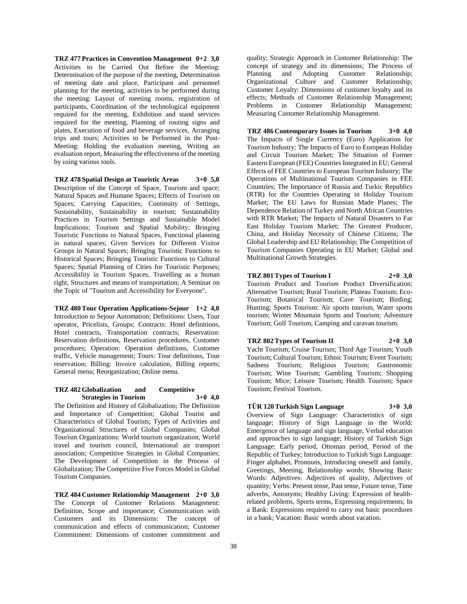**TRZ 477 Practices in Convention Management 0+2 3,0** Activities to be Carried Out Before the Meeting: Determination of the purpose of the meeting, Determination of meeting date and place, Participant and personnel planning for the meeting, activities to be performed during the meeting: Layout of meeting rooms, registration of participants, Coordination of the technological equipment required for the meeting, Exhibition and stand services required for the meeting, Planning of routing signs and plates, Execution of food and beverage services, Arranging trips and tours; Activities to be Performed in the Post-Meeting: Holding the evaluation meeting, Writing an evaluation report, Measuring the effectiveness of the meeting by using various tools.

**TRZ 478 Spatial Design at Touristic Areas 3+0 5,0** Description of the Concept of Space, Tourism and space; Natural Spaces and Humane Spaces; Effects of Tourism on Spaces; Carrying Capacities; Continuity of Settings, Sustainability, Sustainability in tourism; Sustainability Practices in Tourism Settings and Sustainable Model İmplications; Tourism and Spatial Mobility; Bringing Touristic Functions to Natural Spaces, Functional planning in natural spaces; Given Services for Different Visitor Groups in Natural Spaces; Bringing Touristic Functions to Historical Spaces; Bringing Touristic Functions to Cultural Spaces; Spatial Planning of Cities for Touristic Purposes; Accessibility in Tourism Spaces, Travelling as a human right, Structures and means of transportation; A Seminar on the Topic of "Tourism and Accessibility for Everyone".

**TRZ 480 Tour Operation Applications-Sejour 1+2 4,0** Introduction to Sejour Automation; Definitions: Users, Tour operator, Pricelists, Groups; Contracts: Hotel definitions, Hotel contracts, Transportation contracts; Reservation: Reservation definitions, Reservation procedures, Customer procedures; Operation: Operation definitions, Customer traffic, Vehicle management; Tours: Tour definitions, Tour reservation; Billing: Invoice calculation, Billing reports; General menu; Reorganization; Online menu.

## **TRZ 482 Globalization and Competitive Strategies in Tourism 3+0 4,0**

The Definition and History of Globalization; The Definition and Importance of Competition; Global Tourist and Characteristics of Global Tourists; Types of Activities and Organizational Structures of Global Companies; Global Tourism Organizations: World tourism organization, World travel and tourism council, International air transport association; Competitive Strategies in Global Companies; The Development of Competition in the Process of Globalization; The Competitive Five Forces Model in Global Tourism Companies.

**TRZ 484 Customer Relationship Management 2+0 3,0** The Concept of Customer Relations Management: Definition, Scope and importance; Communication with Customers and its Dimensions: The concept of communication and effects of communication; Customer Commitment: Dimensions of customer commitment and

quality; Strategic Approach in Customer Relationship: The concept of strategy and its dimensions; The Process of Planning and Adopting Customer Relationship; Organizational Culture and Customer Relationship; Customer Loyalty: Dimensions of customer loyalty and its effects; Methods of Customer Relationship Management; Problems in Customer Relationship Management; Measuring Customer Relationship Management.

## **TRZ 486 Contemporary Issues in Tourism 3+0 4,0**

The Impacts of Single Currency (Euro) Application for Tourism Industry; The Impacts of Euro to European Holiday and Circuit Tourism Market; The Situation of Former Eastern European (FEE) Countries Integrated in EU; General Effects of FEE Countries to European Tourism Industry; The Operations of Multinational Tourism Companies in FEE Countries; The Importance of Russia and Turkic Republics (RTR) for the Countries Operating in Holiday Tourism Market; The EU Laws for Russian Made Planes; The Dependence Relation of Turkey and North African Countries with RTR Market; The Impacts of Natural Disasters to Far East Holiday Tourism Market; The Greatest Producer, China, and Holiday Necessity of Chinese Citizens; The Global Leadership and EU Relationship; The Competition of Tourism Companies Operating in EU Market; Global and Multinational Growth Strategies.

**TRZ 801 Types of Tourism I 2+0 3,0** Tourism Product and Tourism Product Diversification; Alternative Tourism; Rural Tourism; Plateau Tourism; Eco-Tourism; Botanical Tourism; Cave Tourism; Birding; Hunting; Sports Tourism: Air sports tourism, Water sports tourism; Winter Mountain Sports and Tourism; Adventure Tourism; Golf Tourism, Camping and caravan tourism.

## **TRZ 802 Types of Tourism II 2+0 3,0**

Yacht Tourism; Cruise Tourism; Third Age Tourism; Youth Tourism; Cultural Tourism; Ethnic Tourism; Event Tourism; Sadness Tourism; Religious Tourism; Gastronomic Tourism; Wine Tourism; Gambling Tourism; Shopping Tourism; Mice; Leisure Tourism; Health Tourism; Space Tourism; Festival Tourism.

## **TÜR 120 Turkish Sign Language 3+0 3,0**

Overview of Sign Language: Characteristics of sign language; History of Sign Language in the World: Emergence of language and sign language, Verbal education and approaches to sign language; History of Turkish Sign Language: Early period, Ottoman period, Period of the Republic of Turkey; Introduction to Turkish Sign Language: Finger alphabet, Pronouns, Introducing oneself and family, Greetings, Meeting, Relationship words; Showing Basic Words: Adjectives: Adjectives of quality, Adjectives of quantity; Verbs: Present tense, Past tense, Future tense, Time adverbs, Antonyms; Healthy Living: Expression of healthrelated problems, Sports terms, Expressing requirements; In a Bank: Expressions required to carry out basic procedures in a bank; Vacation: Basic words about vacation.